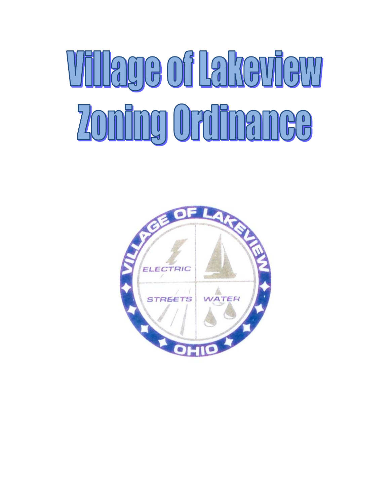# Village of Lakeview Zoning Ordinance

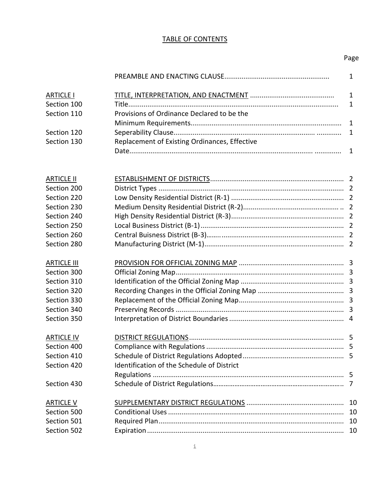### TABLE OF CONTENTS

## Page

| <b>ARTICLE I</b> |                                               |  |
|------------------|-----------------------------------------------|--|
| Section 100      |                                               |  |
| Section 110      | Provisions of Ordinance Declared to be the    |  |
|                  |                                               |  |
| Section 120      |                                               |  |
| Section 130      | Replacement of Existing Ordinances, Effective |  |
|                  |                                               |  |

| <b>ARTICLE II</b>  |                                            |  |
|--------------------|--------------------------------------------|--|
| Section 200        |                                            |  |
| Section 220        |                                            |  |
| Section 230        |                                            |  |
| Section 240        |                                            |  |
| Section 250        |                                            |  |
| Section 260        |                                            |  |
| Section 280        |                                            |  |
| <b>ARTICLE III</b> |                                            |  |
| Section 300        |                                            |  |
| Section 310        |                                            |  |
| Section 320        |                                            |  |
| Section 330        |                                            |  |
| Section 340        |                                            |  |
| Section 350        |                                            |  |
| <b>ARTICLE IV</b>  |                                            |  |
| Section 400        |                                            |  |
| Section 410        |                                            |  |
| Section 420        | Identification of the Schedule of District |  |
|                    |                                            |  |
| Section 430        |                                            |  |
| <b>ARTICLE V</b>   |                                            |  |
| Section 500        |                                            |  |
| Section 501        |                                            |  |
| Section 502        |                                            |  |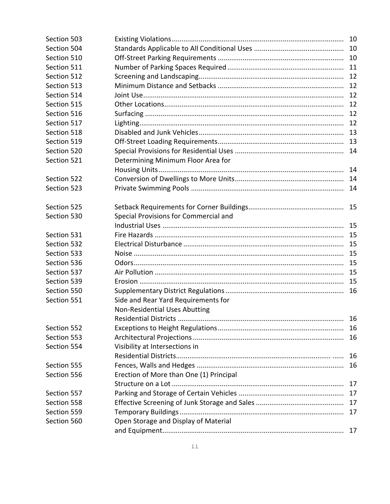| Section 503 |                                         | 10 |
|-------------|-----------------------------------------|----|
| Section 504 |                                         |    |
| Section 510 |                                         |    |
| Section 511 |                                         |    |
| Section 512 |                                         |    |
| Section 513 |                                         | 12 |
| Section 514 |                                         | 12 |
| Section 515 |                                         | 12 |
| Section 516 |                                         | 12 |
| Section 517 |                                         | 12 |
| Section 518 |                                         |    |
| Section 519 |                                         |    |
| Section 520 |                                         | 14 |
| Section 521 | Determining Minimum Floor Area for      |    |
|             |                                         | 14 |
| Section 522 |                                         |    |
| Section 523 |                                         |    |
| Section 525 |                                         | 15 |
| Section 530 | Special Provisions for Commercial and   |    |
|             |                                         |    |
| Section 531 |                                         |    |
| Section 532 |                                         | 15 |
| Section 533 |                                         | 15 |
| Section 536 |                                         | 15 |
| Section 537 |                                         |    |
| Section 539 |                                         | 15 |
| Section 550 |                                         |    |
| Section 551 | Side and Rear Yard Requirements for     |    |
|             | Non-Residential Uses Abutting           |    |
|             | Residential Districts                   | 16 |
| Section 552 |                                         |    |
| Section 553 |                                         |    |
| Section 554 | Visibility at Intersections in          |    |
|             |                                         | 16 |
| Section 555 |                                         | 16 |
| Section 556 | Erection of More than One (1) Principal |    |
|             |                                         | 17 |
| Section 557 |                                         | 17 |
| Section 558 |                                         |    |
| Section 559 |                                         |    |
| Section 560 | Open Storage and Display of Material    |    |
|             |                                         | 17 |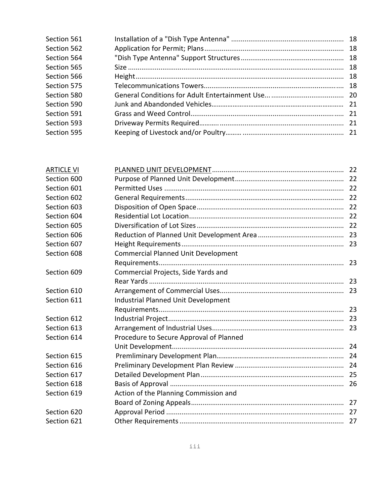| Section 561 |  |
|-------------|--|
| Section 562 |  |
| Section 564 |  |
| Section 565 |  |
| Section 566 |  |
| Section 575 |  |
| Section 580 |  |
| Section 590 |  |
| Section 591 |  |
| Section 593 |  |
| Section 595 |  |
|             |  |

| <b>ARTICLE VI</b> |                                            |  |
|-------------------|--------------------------------------------|--|
| Section 600       |                                            |  |
| Section 601       |                                            |  |
| Section 602       |                                            |  |
| Section 603       |                                            |  |
| Section 604       |                                            |  |
| Section 605       |                                            |  |
| Section 606       |                                            |  |
| Section 607       |                                            |  |
| Section 608       | <b>Commercial Planned Unit Development</b> |  |
|                   |                                            |  |
| Section 609       | Commercial Projects, Side Yards and        |  |
|                   |                                            |  |
| Section 610       |                                            |  |
| Section 611       | Industrial Planned Unit Development        |  |
|                   |                                            |  |
| Section 612       |                                            |  |
| Section 613       |                                            |  |
| Section 614       | Procedure to Secure Approval of Planned    |  |
|                   |                                            |  |
| Section 615       |                                            |  |
| Section 616       |                                            |  |
| Section 617       |                                            |  |
| Section 618       |                                            |  |
| Section 619       | Action of the Planning Commission and      |  |
|                   |                                            |  |
| Section 620       |                                            |  |
| Section 621       |                                            |  |
|                   |                                            |  |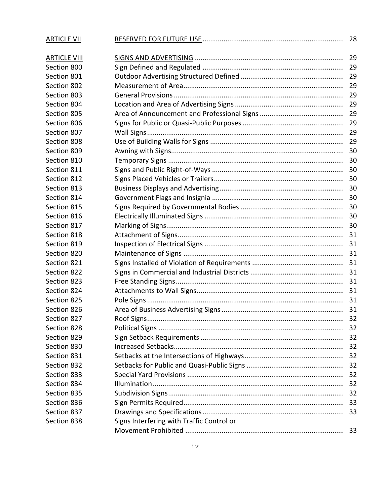| <b>ARTICLE VII</b>  |                                           | 28 |
|---------------------|-------------------------------------------|----|
| <b>ARTICLE VIII</b> |                                           |    |
| Section 800         |                                           |    |
| Section 801         |                                           |    |
| Section 802         |                                           | 29 |
| Section 803         |                                           |    |
| Section 804         |                                           | 29 |
| Section 805         |                                           | 29 |
| Section 806         |                                           | 29 |
| Section 807         |                                           | 29 |
| Section 808         |                                           |    |
| Section 809         |                                           |    |
| Section 810         |                                           | 30 |
| Section 811         |                                           | 30 |
| Section 812         |                                           |    |
| Section 813         |                                           |    |
| Section 814         |                                           |    |
| Section 815         |                                           |    |
| Section 816         |                                           | 30 |
| Section 817         |                                           |    |
| Section 818         |                                           |    |
| Section 819         |                                           |    |
| Section 820         |                                           |    |
| Section 821         |                                           |    |
| Section 822         |                                           |    |
| Section 823         |                                           |    |
| Section 824         |                                           |    |
| Section 825         |                                           |    |
| Section 826         |                                           |    |
| Section 827         |                                           | 32 |
| Section 828         |                                           | 32 |
| Section 829         |                                           | 32 |
| Section 830         |                                           |    |
| Section 831         |                                           |    |
| Section 832         |                                           | 32 |
| Section 833         |                                           | 32 |
| Section 834         |                                           | 32 |
| Section 835         |                                           | 32 |
| Section 836         |                                           | 33 |
| Section 837         |                                           |    |
| Section 838         | Signs Interfering with Traffic Control or |    |
|                     |                                           |    |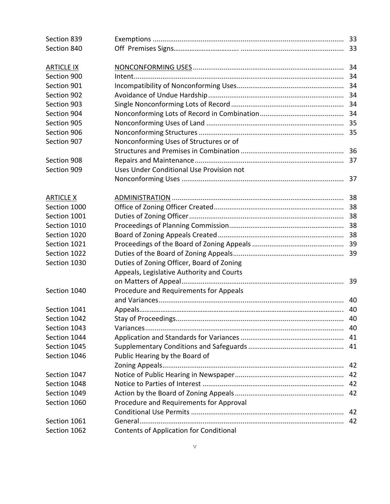| Section 839       |                                           |     |  |  |  |  |
|-------------------|-------------------------------------------|-----|--|--|--|--|
| Section 840       |                                           |     |  |  |  |  |
|                   |                                           |     |  |  |  |  |
| <b>ARTICLE IX</b> |                                           |     |  |  |  |  |
| Section 900       |                                           |     |  |  |  |  |
| Section 901       |                                           |     |  |  |  |  |
| Section 902       |                                           |     |  |  |  |  |
| Section 903       |                                           |     |  |  |  |  |
| Section 904       |                                           |     |  |  |  |  |
| Section 905       |                                           |     |  |  |  |  |
| Section 906       |                                           |     |  |  |  |  |
| Section 907       | Nonconforming Uses of Structures or of    |     |  |  |  |  |
|                   |                                           | 36  |  |  |  |  |
| Section 908       |                                           |     |  |  |  |  |
| Section 909       | Uses Under Conditional Use Provision not  |     |  |  |  |  |
|                   |                                           |     |  |  |  |  |
| <b>ARTICLE X</b>  |                                           |     |  |  |  |  |
| Section 1000      |                                           |     |  |  |  |  |
| Section 1001      |                                           |     |  |  |  |  |
| Section 1010      |                                           |     |  |  |  |  |
| Section 1020      |                                           |     |  |  |  |  |
| Section 1021      |                                           |     |  |  |  |  |
| Section 1022      |                                           |     |  |  |  |  |
| Section 1030      | Duties of Zoning Officer, Board of Zoning |     |  |  |  |  |
|                   | Appeals, Legislative Authority and Courts |     |  |  |  |  |
|                   |                                           |     |  |  |  |  |
| Section 1040      | Procedure and Requirements for Appeals    |     |  |  |  |  |
|                   |                                           |     |  |  |  |  |
| Section 1041      |                                           | 40  |  |  |  |  |
| Section 1042      |                                           | 40  |  |  |  |  |
| Section 1043      |                                           | -40 |  |  |  |  |
| Section 1044      |                                           |     |  |  |  |  |
| Section 1045      |                                           |     |  |  |  |  |
| Section 1046      | Public Hearing by the Board of            |     |  |  |  |  |
|                   |                                           | 42  |  |  |  |  |
| Section 1047      |                                           | 42  |  |  |  |  |
| Section 1048      |                                           | 42  |  |  |  |  |
| Section 1049      |                                           | 42  |  |  |  |  |
| Section 1060      | Procedure and Requirements for Approval   |     |  |  |  |  |
|                   |                                           | 42  |  |  |  |  |
| Section 1061      |                                           | 42  |  |  |  |  |
| Section 1062      | Contents of Application for Conditional   |     |  |  |  |  |
|                   |                                           |     |  |  |  |  |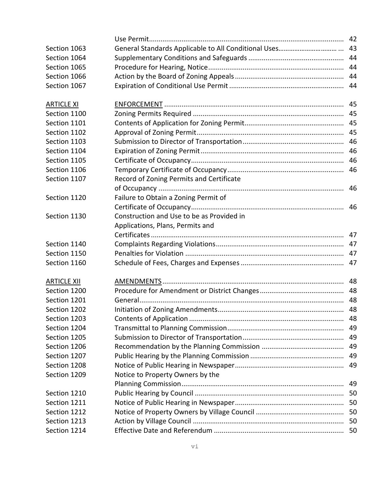|                    |                                           | 42 |
|--------------------|-------------------------------------------|----|
| Section 1063       |                                           |    |
| Section 1064       |                                           |    |
| Section 1065       |                                           | 44 |
| Section 1066       |                                           | 44 |
| Section 1067       |                                           | 44 |
| <b>ARTICLE XI</b>  |                                           |    |
| Section 1100       |                                           |    |
| Section 1101       |                                           | 45 |
| Section 1102       |                                           |    |
| Section 1103       |                                           | 46 |
| Section 1104       |                                           | 46 |
| Section 1105       |                                           |    |
| Section 1106       |                                           |    |
| Section 1107       | Record of Zoning Permits and Certificate  |    |
|                    |                                           |    |
| Section 1120       | Failure to Obtain a Zoning Permit of      |    |
|                    |                                           |    |
| Section 1130       | Construction and Use to be as Provided in |    |
|                    | Applications, Plans, Permits and          |    |
|                    |                                           |    |
| Section 1140       |                                           |    |
| Section 1150       |                                           |    |
| Section 1160       |                                           |    |
| <b>ARTICLE XII</b> |                                           | 48 |
| Section 1200       |                                           | 48 |
| Section 1201       |                                           | 48 |
| Section 1202       |                                           |    |
| Section 1203       |                                           | 48 |
| Section 1204       |                                           |    |
| Section 1205       |                                           |    |
| Section 1206       |                                           | 49 |
| Section 1207       |                                           | 49 |
| Section 1208       |                                           | 49 |
| Section 1209       | Notice to Property Owners by the          |    |
|                    |                                           | 49 |
| Section 1210       |                                           | 50 |
| Section 1211       |                                           |    |
| Section 1212       |                                           |    |
| Section 1213       |                                           |    |
| Section 1214       |                                           |    |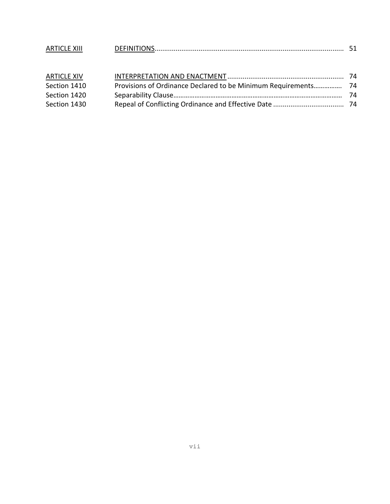| <b>ARTICLE XIII</b> |                                                                |     |
|---------------------|----------------------------------------------------------------|-----|
| <b>ARTICLE XIV</b>  |                                                                |     |
| Section 1410        | Provisions of Ordinance Declared to be Minimum Requirements 74 |     |
| Section 1420        |                                                                | -74 |
| Section 1430        |                                                                |     |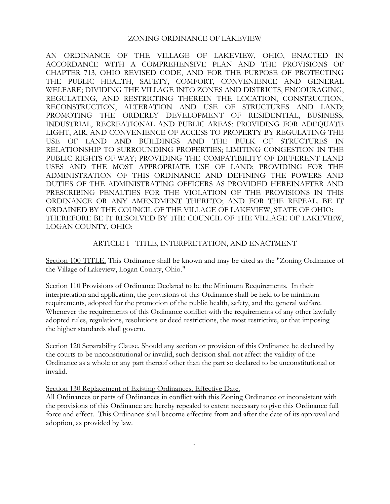AN ORDINANCE OF THE VILLAGE OF LAKEVIEW, OHIO, ENACTED IN ACCORDANCE WITH A COMPREHENSIVE PLAN AND THE PROVISIONS OF CHAPTER 713, OHIO REVISED CODE, AND FOR THE PURPOSE OF PROTECTING THE PUBLIC HEALTH, SAFETY, COMFORT, CONVENIENCE AND GENERAL WELFARE; DIVIDING THE VILLAGE INTO ZONES AND DISTRICTS, ENCOURAGING, REGULATING, AND RESTRICTING THEREIN THE LOCATION, CONSTRUCTION, RECONSTRUCTION, ALTERATION AND USE OF STRUCTURES AND LAND; PROMOTING THE ORDERLY DEVELOPMENT OF RESIDENTIAL, BUSINESS, INDUSTRIAL, RECREATIONAL AND PUBLIC AREAS; PROVIDING FOR ADEQUATE LIGHT, AIR, AND CONVENIENCE OF ACCESS TO PROPERTY BY REGULATING THE USE OF LAND AND BUILDINGS AND THE BULK OF STRUCTURES IN RELATIONSHIP TO SURROUNDING PROPERTIES; LIMITING CONGESTION IN THE PUBLIC RIGHTS-OF-WAY; PROVIDING THE COMPATIBILITY OF DIFFERENT LAND USES AND THE MOST APPROPRIATE USE OF LAND; PROVIDING FOR THE ADMINISTRATION OF THIS ORDINANCE AND DEFINING THE POWERS AND DUTIES OF THE ADMINISTRATING OFFICERS AS PROVIDED HEREINAFTER AND PRESCRIBING PENALTIES FOR THE VIOLATION OF THE PROVISIONS IN THIS ORDINANCE OR ANY AMENDMENT THERETO; AND FOR THE REPEAL. BE IT ORDAINED BY THE COUNCIL OF THE VILLAGE OF LAKEVIEW, STATE OF OHIO: THEREFORE BE IT RESOLVED BY THE COUNCIL OF THE VILLAGE OF LAKEVIEW, LOGAN COUNTY, OHIO:

### ARTICLE I - TITLE, INTERPRETATION, AND ENACTMENT

Section 100 TITLE. This Ordinance shall be known and may be cited as the "Zoning Ordinance of the Village of Lakeview, Logan County, Ohio."

Section 110 Provisions of Ordinance Declared to be the Minimum Requirements. In their interpretation and application, the provisions of this Ordinance shall be held to be minimum requirements, adopted for the promotion of the public health, safety, and the general welfare. Whenever the requirements of this Ordinance conflict with the requirements of any other lawfully adopted rules, regulations, resolutions or deed restrictions, the most restrictive, or that imposing the higher standards shall govern.

Section 120 Separability Clause. Should any section or provision of this Ordinance be declared by the courts to be unconstitutional or invalid, such decision shall not affect the validity of the Ordinance as a whole or any part thereof other than the part so declared to be unconstitutional or invalid.

Section 130 Replacement of Existing Ordinances, Effective Date.

All Ordinances or parts of Ordinances in conflict with this Zoning Ordinance or inconsistent with the provisions of this Ordinance are hereby repealed to extent necessary to give this Ordinance full force and effect. This Ordinance shall become effective from and after the date of its approval and adoption, as provided by law.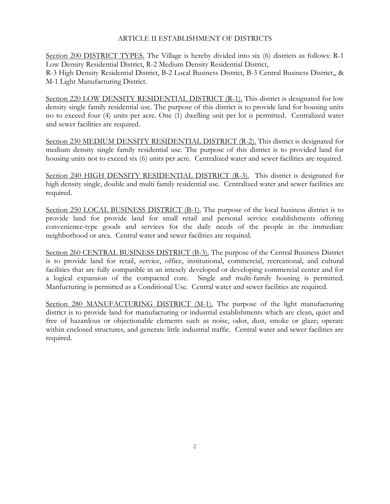### ARTICLE II ESTABLISHMENT OF DISTRICTS

Section 200 DISTRICT TYPES. The Village is hereby divided into six (6) districts as follows: R-1 Low Density Residential District, R-2 Medium Density Residential District, R-3 High Density Residential District, B-2 Local Business District, B-3 Central Business District,, & M-1 Light Manufacturing District.

Section 220 LOW DENSITY RESIDENTIAL DISTRICT (R-1). This district is designated for low density single family residential use. The purpose of this district is to provide land for housing units no to exceed four (4) units per acre. One (1) dwelling unit per lot is permitted. Centralized water and sewer facilities are required.

Section 230 MEDIUM DENSITY RESIDENTIAL DISTRICT (R-2). This district is designated for medium density single family residential use. The purpose of this district is to provided land for housing units not to exceed six (6) units per acre. Centralized water and sewer facilities are required.

Section 240 HIGH DENSITY RESIDENTIAL DISTRICT (R-3). This district is designated for high density single, double and multi family residential use. Centralized water and sewer facilities are required.

Section 250 LOCAL BUSINESS DISTRICT (B-1). The purpose of the local business district is to provide land for provide land for small retail and personal service establishments offering convenience-type goods and services for the daily needs of the people in the immediate neighborhood or area. Central water and sewer facilities are required.

Section 260 CENTRAL BUSINESS DISTRICT (B-3). The purpose of the Central Business District is to provide land for retail, service, office, institutional, commercial, recreational, and cultural facilities that are fully compatible in an intesely developed or developing commercial center and for a logical expansion of the compacted core. Single and multi-family housing is permitted. Manfucturing is permitted as a Conditional Use. Central water and sewer facilities are required.

Section 280 MANUFACTURING DISTRICT (M-1). The purpose of the light manufacturing district is to provide land for manufacturing or industrial establishments which are clean, quiet and free of hazardous or objectionable elements such as noise, odor, dust, smoke or glaze; operate within enclosed structures, and generate little industrial traffic. Central water and sewer facilities are required.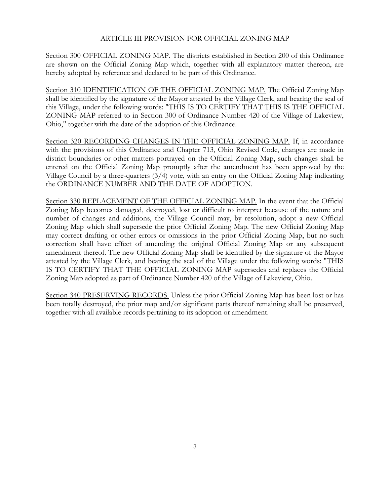### ARTICLE III PROVISION FOR OFFICIAL ZONING MAP

Section 300 OFFICIAL ZONING MAP. The districts established in Section 200 of this Ordinance are shown on the Official Zoning Map which, together with all explanatory matter thereon, are hereby adopted by reference and declared to be part of this Ordinance.

Section 310 IDENTIFICATION OF THE OFFICIAL ZONING MAP. The Official Zoning Map shall be identified by the signature of the Mayor attested by the Village Clerk, and bearing the seal of this Village, under the following words: "THIS IS TO CERTIFY THAT THIS IS THE OFFICIAL ZONING MAP referred to in Section 300 of Ordinance Number 420 of the Village of Lakeview, Ohio," together with the date of the adoption of this Ordinance.

Section 320 RECORDING CHANGES IN THE OFFICIAL ZONING MAP. If, in accordance with the provisions of this Ordinance and Chapter 713, Ohio Revised Code, changes are made in district boundaries or other matters portrayed on the Official Zoning Map, such changes shall be entered on the Official Zoning Map promptly after the amendment has been approved by the Village Council by a three-quarters (3/4) vote, with an entry on the Official Zoning Map indicating the ORDINANCE NUMBER AND THE DATE OF ADOPTION.

Section 330 REPLACEMENT OF THE OFFICIAL ZONING MAP. In the event that the Official Zoning Map becomes damaged, destroyed, lost or difficult to interpret because of the nature and number of changes and additions, the Village Council may, by resolution, adopt a new Official Zoning Map which shall supersede the prior Official Zoning Map. The new Official Zoning Map may correct drafting or other errors or omissions in the prior Official Zoning Map, but no such correction shall have effect of amending the original Official Zoning Map or any subsequent amendment thereof. The new Official Zoning Map shall be identified by the signature of the Mayor attested by the Village Clerk, and bearing the seal of the Village under the following words: "THIS IS TO CERTIFY THAT THE OFFICIAL ZONING MAP supersedes and replaces the Official Zoning Map adopted as part of Ordinance Number 420 of the Village of Lakeview, Ohio.

Section 340 PRESERVING RECORDS. Unless the prior Official Zoning Map has been lost or has been totally destroyed, the prior map and/or significant parts thereof remaining shall be preserved, together with all available records pertaining to its adoption or amendment.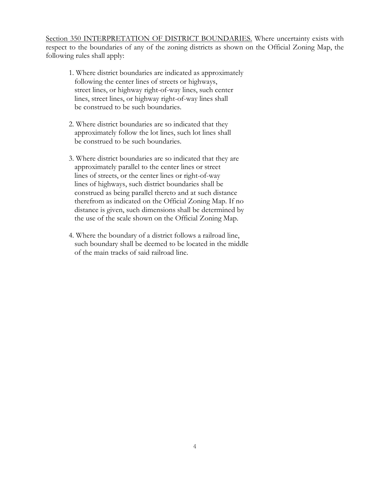Section 350 INTERPRETATION OF DISTRICT BOUNDARIES. Where uncertainty exists with respect to the boundaries of any of the zoning districts as shown on the Official Zoning Map, the following rules shall apply:

- 1. Where district boundaries are indicated as approximately following the center lines of streets or highways, street lines, or highway right-of-way lines, such center lines, street lines, or highway right-of-way lines shall be construed to be such boundaries.
- 2. Where district boundaries are so indicated that they approximately follow the lot lines, such lot lines shall be construed to be such boundaries.
- 3. Where district boundaries are so indicated that they are approximately parallel to the center lines or street lines of streets, or the center lines or right-of-way lines of highways, such district boundaries shall be construed as being parallel thereto and at such distance therefrom as indicated on the Official Zoning Map. If no distance is given, such dimensions shall be determined by the use of the scale shown on the Official Zoning Map.
- 4. Where the boundary of a district follows a railroad line, such boundary shall be deemed to be located in the middle of the main tracks of said railroad line.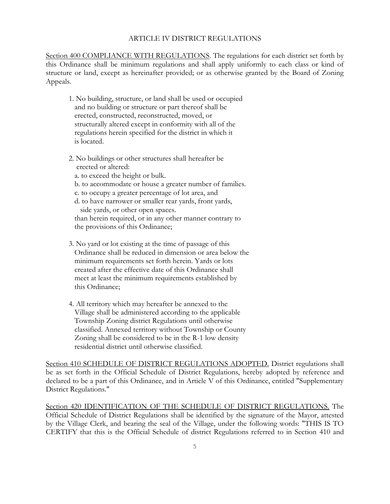### ARTICLE IV DISTRICT REGULATIONS

Section 400 COMPLIANCE WITH REGULATIONS. The regulations for each district set forth by this Ordinance shall be minimum regulations and shall apply uniformly to each class or kind of structure or land, except as hereinafter provided; or as otherwise granted by the Board of Zoning Appeals.

- 1. No building, structure, or land shall be used or occupied and no building or structure or part thereof shall be erected, constructed, reconstructed, moved, or structurally altered except in conformity with all of the regulations herein specified for the district in which it is located.
- 2. No buildings or other structures shall hereafter be erected or altered:
	- a. to exceed the height or bulk.
	- b. to accommodate or house a greater number of families.
	- c. to occupy a greater percentage of lot area, and
	- d. to have narrower or smaller rear yards, front yards, side yards, or other open spaces. than herein required, or in any other manner contrary to
	- the provisions of this Ordinance;
- 3. No yard or lot existing at the time of passage of this Ordinance shall be reduced in dimension or area below the minimum requirements set forth herein. Yards or lots created after the effective date of this Ordinance shall meet at least the minimum requirements established by this Ordinance;
- 4. All territory which may hereafter be annexed to the Village shall be administered according to the applicable Township Zoning district Regulations until otherwise classified. Annexed territory without Township or County Zoning shall be considered to be in the R-1 low density residential district until otherwise classified.

Section 410 SCHEDULE OF DISTRICT REGULATIONS ADOPTED. District regulations shall be as set forth in the Official Schedule of District Regulations, hereby adopted by reference and declared to be a part of this Ordinance, and in Article V of this Ordinance, entitled "Supplementary District Regulations."

Section 420 IDENTIFICATION OF THE SCHEDULE OF DISTRICT REGULATIONS. The Official Schedule of District Regulations shall be identified by the signature of the Mayor, attested by the Village Clerk, and bearing the seal of the Village, under the following words: "THIS IS TO CERTIFY that this is the Official Schedule of district Regulations referred to in Section 410 and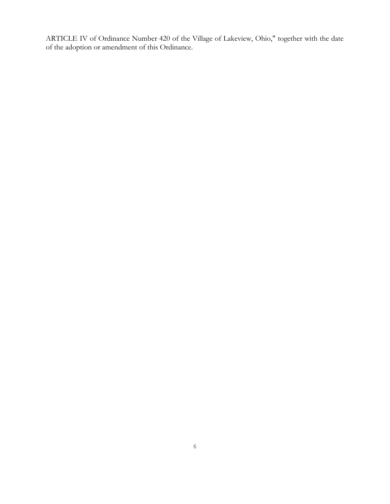ARTICLE IV of Ordinance Number 420 of the Village of Lakeview, Ohio," together with the date of the adoption or amendment of this Ordinance.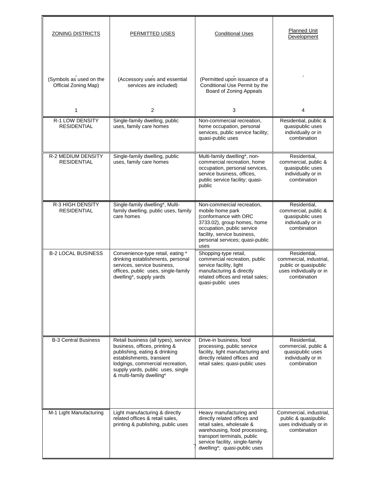| <b>ZONING DISTRICTS</b>                         | PERMITTED USES                                                                                                                                                                                                                           | <b>Conditional Uses</b>                                                                                                                                                                                                 | <b>Planned Unit</b><br>Development                                                                         |  |  |
|-------------------------------------------------|------------------------------------------------------------------------------------------------------------------------------------------------------------------------------------------------------------------------------------------|-------------------------------------------------------------------------------------------------------------------------------------------------------------------------------------------------------------------------|------------------------------------------------------------------------------------------------------------|--|--|
| (Symbols as used on the<br>Official Zoning Map) | (Accessory uses and essential<br>services are included)                                                                                                                                                                                  | (Permitted upon issuance of a<br>Conditional Use Permit by the<br>Board of Zoning Appeals                                                                                                                               |                                                                                                            |  |  |
| $\mathbf{1}$                                    | 2                                                                                                                                                                                                                                        | 3                                                                                                                                                                                                                       | 4                                                                                                          |  |  |
| <b>R-1 LOW DENSITY</b><br><b>RESIDENTIAL</b>    | Single-family dwelling, public<br>uses, family care homes                                                                                                                                                                                | Non-commercial recreation,<br>home occupation, personal<br>services, public service facility;<br>quasi-public uses                                                                                                      | Residential, public &<br>quasipublic uses<br>individually or in<br>combination                             |  |  |
| R-2 MEDIUM DENSITY<br><b>RESIDENTIAL</b>        | Single-family dwelling, public<br>uses, family care homes                                                                                                                                                                                | Multi-family dwelling*, non-<br>commercial recreation, home<br>occupation, personal services,<br>service business, offices,<br>public service facility; quasi-<br>public                                                | Residential,<br>commercial, public &<br>quasipublic uses<br>individually or in<br>combination              |  |  |
| <b>R-3 HIGH DENSITY</b><br><b>RESIDENTIAL</b>   | Single-family dwelling*, Multi-<br>family dwelling, public uses, family<br>care homes                                                                                                                                                    | Non-commercial recreation,<br>mobile home park<br>(conformance with ORC<br>3733.02), group homes, home<br>occupation, public service<br>facility, service business,<br>personal services; quasi-public<br>uses          | Residential,<br>commercial, public &<br>quasipublic uses<br>individually or in<br>combination              |  |  |
| <b>B-2 LOCAL BUSINESS</b>                       | Convenience-type retail, eating *<br>drinking establishments, personal<br>services, service business,<br>offices, public uses, single-family<br>dwelling*, supply yards                                                                  | Shopping-type retail,<br>commercial recreation, public<br>service facility, light<br>manufacturing & directly<br>related offices and retail sales;<br>quasi-public uses                                                 | Residential.<br>commercial, industrial,<br>public or quasipublic<br>uses individually or in<br>combination |  |  |
| <b>B-3 Central Business</b>                     | Retail business (all types), service<br>business, offices, printing &<br>publishing, eating & drinking<br>establishments, transient<br>lodgings, commercial recreation,<br>supply yards, public uses, single<br>& multi-family dwelling* | Drive-in business, food<br>processing, public service<br>facility, light manufacturing and<br>directly related offices and<br>retail sales; quasi-public uses                                                           | Residential,<br>commercial, public &<br>quasipublic uses<br>individually or in<br>combination              |  |  |
| M-1 Light Manufacturing                         | Light manufacturing & directly<br>related offices & retail sales,<br>printing & publishing, public uses                                                                                                                                  | Heavy manufacturing and<br>directly related offices and<br>retail sales, wholesale &<br>warehousing, food processing,<br>transport terminals, public<br>service facility, single-family<br>dwelling*; quasi-public uses | Commercial, industrial,<br>public & quasipublic<br>uses individually or in<br>combination                  |  |  |

n.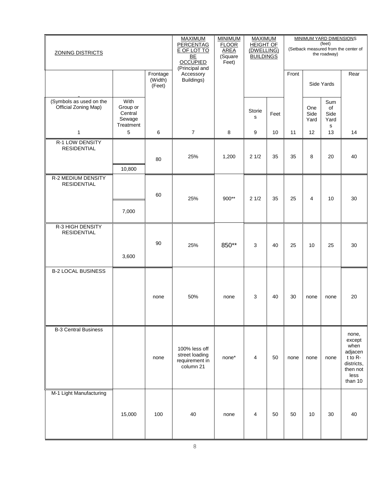| <b>ZONING DISTRICTS</b>                         |                                                    | <b>MAXIMUM</b><br><b>PERCENTAG</b><br>E OF LOT TO<br>BE<br><b>OCCUPIED</b><br>(Principal and | <b>MINIMUM</b><br><b>FLOOR</b><br><b>AREA</b><br>(Square<br>Feet) | <b>MAXIMUM</b><br><b>HEIGHT OF</b><br>(DWELLING)<br><b>BUILDINGS</b> |             | MINIMUM YARD DIMENSIONS<br>(feet)<br>(Setback measured from the center of<br>the roadway) |       |                     |                                |                                                                                              |
|-------------------------------------------------|----------------------------------------------------|----------------------------------------------------------------------------------------------|-------------------------------------------------------------------|----------------------------------------------------------------------|-------------|-------------------------------------------------------------------------------------------|-------|---------------------|--------------------------------|----------------------------------------------------------------------------------------------|
|                                                 |                                                    | Frontage<br>(Width)<br>(Feet)                                                                | Accessory<br>Buildings)                                           |                                                                      |             |                                                                                           | Front |                     | Side Yards                     | Rear                                                                                         |
| (Symbols as used on the<br>Official Zoning Map) | With<br>Group or<br>Central<br>Sewage<br>Treatment |                                                                                              |                                                                   |                                                                      | Storie<br>s | Feet                                                                                      |       | One<br>Side<br>Yard | Sum<br>of<br>Side<br>Yard<br>s |                                                                                              |
| 1                                               | 5                                                  | 6                                                                                            | $\overline{7}$                                                    | 8                                                                    | 9           | 10                                                                                        | 11    | 12                  | 13                             | 14                                                                                           |
| <b>R-1 LOW DENSITY</b><br><b>RESIDENTIAL</b>    | 10,800                                             | 80                                                                                           | 25%                                                               | 1,200                                                                | 21/2        | 35                                                                                        | 35    | 8                   | 20                             | 40                                                                                           |
| <b>R-2 MEDIUM DENSITY</b><br><b>RESIDENTIAL</b> |                                                    | 60                                                                                           | 25%                                                               | 900**                                                                | 21/2        | 35                                                                                        | 25    | $\overline{4}$      | 10                             | 30                                                                                           |
|                                                 | 7,000                                              |                                                                                              |                                                                   |                                                                      |             |                                                                                           |       |                     |                                |                                                                                              |
| R-3 HIGH DENSITY<br><b>RESIDENTIAL</b>          | 3,600                                              | 90                                                                                           | 25%                                                               | 850**                                                                | 3           | 40                                                                                        | 25    | 10                  | 25                             | 30                                                                                           |
| <b>B-2 LOCAL BUSINESS</b>                       |                                                    | none                                                                                         | 50%                                                               | none                                                                 | 3           | 40                                                                                        | 30    | none                | none                           | 20                                                                                           |
| <b>B-3 Central Business</b>                     |                                                    | none                                                                                         | 100% less off<br>street loading<br>requirement in<br>column 21    | none*                                                                | 4           | 50                                                                                        | none  | none                | none                           | none,<br>except<br>when<br>adjacen<br>$t$ to R-<br>districts,<br>then not<br>less<br>than 10 |
| M-1 Light Manufacturing                         | 15,000                                             | 100                                                                                          | 40                                                                | none                                                                 | 4           | 50                                                                                        | 50    | 10                  | 30                             | 40                                                                                           |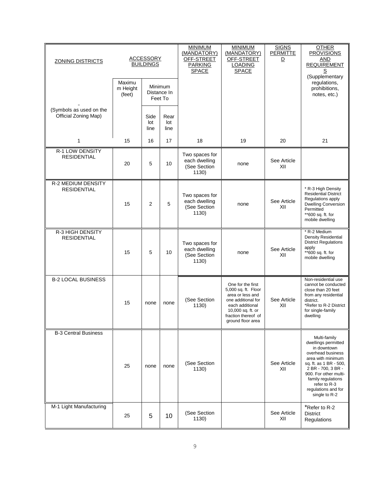| <b>ZONING DISTRICTS</b>                         |                              | <b>ACCESSORY</b><br><b>BUILDINGS</b> |                                   | <b>MINIMUM</b><br>(MANDATORY)<br>OFF-STREET<br><b>PARKING</b><br><b>SPACE</b> | <b>MINIMUM</b><br>(MANDATORY)<br>OFF-STREET<br><b>LOADING</b><br><b>SPACE</b>                                                                                          | <b>SIGNS</b><br><b>PERMITTE</b><br>$\overline{\mathsf{D}}$ | OTHER<br><b>PROVISIONS</b><br>AND<br><b>REQUIREMENT</b><br>(Supplementary                                                                                                                                                                           |
|-------------------------------------------------|------------------------------|--------------------------------------|-----------------------------------|-------------------------------------------------------------------------------|------------------------------------------------------------------------------------------------------------------------------------------------------------------------|------------------------------------------------------------|-----------------------------------------------------------------------------------------------------------------------------------------------------------------------------------------------------------------------------------------------------|
|                                                 | Maximu<br>m Height<br>(feet) |                                      | Minimum<br>Distance In<br>Feet To |                                                                               |                                                                                                                                                                        |                                                            | regulations,<br>prohibitions,<br>notes, etc.)                                                                                                                                                                                                       |
| (Symbols as used on the<br>Official Zoning Map) |                              | Side<br>lot<br>line                  | Rear<br>lot<br>line               |                                                                               |                                                                                                                                                                        |                                                            |                                                                                                                                                                                                                                                     |
| $\mathbf{1}$                                    | 15                           | 16                                   | 17                                | 18                                                                            | 19                                                                                                                                                                     | 20                                                         | 21                                                                                                                                                                                                                                                  |
| <b>R-1 LOW DENSITY</b><br><b>RESIDENTIAL</b>    | 20                           | 5                                    | 10                                | Two spaces for<br>each dwelling<br>(See Section<br>1130)                      | none                                                                                                                                                                   | See Article<br>XII                                         |                                                                                                                                                                                                                                                     |
| R-2 MEDIUM DENSITY<br><b>RESIDENTIAL</b>        | 15                           | $\overline{2}$                       | 5                                 | Two spaces for<br>each dwelling<br>(See Section<br>1130                       | none                                                                                                                                                                   | See Article<br>XII                                         | * R-3 High Density<br><b>Residential District</b><br>Regulations apply<br><b>Dwelling Conversion</b><br>Permitted<br>**600 sq. ft. for<br>mobile dwelling                                                                                           |
| R-3 HIGH DENSITY<br><b>RESIDENTIAL</b>          | 15                           | 5                                    | 10                                | Two spaces for<br>each dwelling<br>(See Section<br>1130)                      | none                                                                                                                                                                   | See Article<br>XII                                         | * R-2 Medium<br><b>Density Residential</b><br><b>District Regulations</b><br>apply<br>**600 sq. ft. for<br>mobile dwelling                                                                                                                          |
| <b>B-2 LOCAL BUSINESS</b>                       | 15                           | none                                 | none                              | (See Section<br>1130)                                                         | One for the first<br>5,000 sq. ft. Floor<br>area or less and<br>one additional for<br>each additional<br>10,000 sq. ft. or<br>fraction thereof of<br>ground floor area | See Article<br>XII                                         | Non-residential use<br>cannot be conducted<br>close than 20 feet<br>from any residential<br>district.<br>*Refer to R-2 District<br>for single-family<br>dwelling                                                                                    |
| <b>B-3 Central Business</b>                     | 25                           | none                                 | none                              | (See Section<br>1130)                                                         |                                                                                                                                                                        | See Article<br>XII                                         | Multi-family<br>dwellings permitted<br>in downtown<br>overhead business<br>area with minimum<br>sq. ft. as 1 BR - 500,<br>2 BR - 700, 3 BR -<br>900. For other multi-<br>family regulations<br>refer to R-3<br>regulations and for<br>single to R-2 |
| M-1 Light Manufacturing                         | 25                           | 5                                    | 10                                | (See Section<br>1130)                                                         |                                                                                                                                                                        | See Article<br>XII                                         | *Refer to R-2<br><b>District</b><br>Regulations                                                                                                                                                                                                     |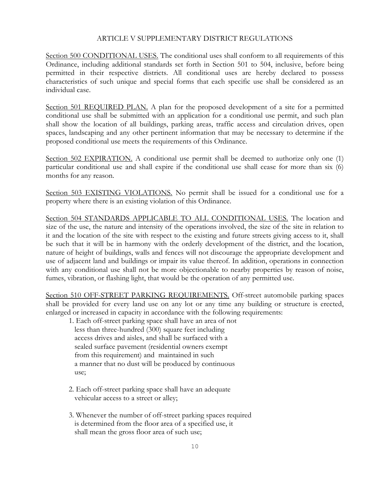### ARTICLE V SUPPLEMENTARY DISTRICT REGULATIONS

Section 500 CONDITIONAL USES. The conditional uses shall conform to all requirements of this Ordinance, including additional standards set forth in Section 501 to 504, inclusive, before being permitted in their respective districts. All conditional uses are hereby declared to possess characteristics of such unique and special forms that each specific use shall be considered as an individual case.

Section 501 REQUIRED PLAN. A plan for the proposed development of a site for a permitted conditional use shall be submitted with an application for a conditional use permit, and such plan shall show the location of all buildings, parking areas, traffic access and circulation drives, open spaces, landscaping and any other pertinent information that may be necessary to determine if the proposed conditional use meets the requirements of this Ordinance.

Section 502 EXPIRATION. A conditional use permit shall be deemed to authorize only one (1) particular conditional use and shall expire if the conditional use shall cease for more than six (6) months for any reason.

Section 503 EXISTING VIOLATIONS. No permit shall be issued for a conditional use for a property where there is an existing violation of this Ordinance.

Section 504 STANDARDS APPLICABLE TO ALL CONDITIONAL USES. The location and size of the use, the nature and intensity of the operations involved, the size of the site in relation to it and the location of the site with respect to the existing and future streets giving access to it, shall be such that it will be in harmony with the orderly development of the district, and the location, nature of height of buildings, walls and fences will not discourage the appropriate development and use of adjacent land and buildings or impair its value thereof. In addition, operations in connection with any conditional use shall not be more objectionable to nearby properties by reason of noise, fumes, vibration, or flashing light, that would be the operation of any permitted use.

Section 510 OFF-STREET PARKING REQUIREMENTS. Off-street automobile parking spaces shall be provided for every land use on any lot or any time any building or structure is erected, enlarged or increased in capacity in accordance with the following requirements:

- 1. Each off-street parking space shall have an area of not less than three-hundred (300) square feet including access drives and aisles, and shall be surfaced with a sealed surface pavement (residential owners exempt from this requirement) and maintained in such a manner that no dust will be produced by continuous use;
- 2. Each off-street parking space shall have an adequate vehicular access to a street or alley;
- 3. Whenever the number of off-street parking spaces required is determined from the floor area of a specified use, it shall mean the gross floor area of such use;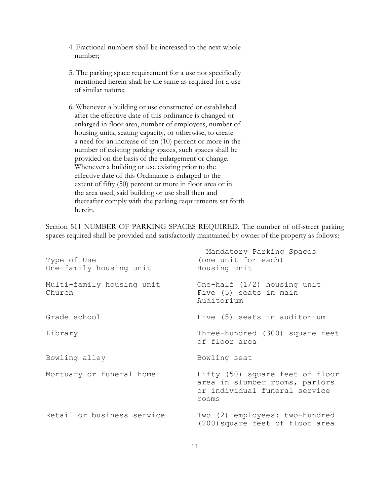- 4. Fractional numbers shall be increased to the next whole number;
- 5. The parking space requirement for a use not specifically mentioned herein shall be the same as required for a use of similar nature;
- 6. Whenever a building or use constructed or established after the effective date of this ordinance is changed or enlarged in floor area, number of employees, number of housing units, seating capacity, or otherwise, to create a need for an increase of ten (10) percent or more in the number of existing parking spaces, such spaces shall be provided on the basis of the enlargement or change. Whenever a building or use existing prior to the effective date of this Ordinance is enlarged to the extent of fifty (50) percent or more in floor area or in the area used, said building or use shall then and thereafter comply with the parking requirements set forth herein.

Section 511 NUMBER OF PARKING SPACES REQUIRED. The number of off-street parking spaces required shall be provided and satisfactorily maintained by owner of the property as follows:

| Type of Use<br>One-family housing unit | Mandatory Parking Spaces<br>(one unit for each)<br>Housing unit                                             |
|----------------------------------------|-------------------------------------------------------------------------------------------------------------|
| Multi-family housing unit<br>Church    | One-half $(1/2)$ housing unit<br>Five (5) seats in main<br>Auditorium                                       |
| Grade school                           | Five (5) seats in auditorium                                                                                |
| Library                                | Three-hundred (300) square feet<br>of floor area                                                            |
| Bowling alley                          | Bowling seat                                                                                                |
| Mortuary or funeral home               | Fifty (50) square feet of floor<br>area in slumber rooms, parlors<br>or individual funeral service<br>rooms |
| Retail or business service             | Two (2) employees: two-hundred<br>(200) square feet of floor area                                           |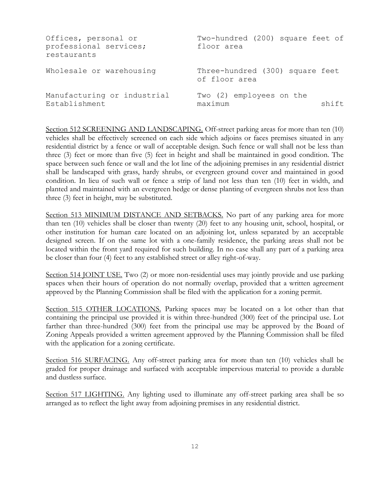| Offices, personal or<br>professional services;<br>restaurants | Two-hundred (200) square feet of<br>floor area   |       |
|---------------------------------------------------------------|--------------------------------------------------|-------|
| Wholesale or warehousing                                      | Three-hundred (300) square feet<br>of floor area |       |
| Manufacturing or industrial<br>Establishment                  | Two (2) employees on the<br>maximum              | shift |

Section 512 SCREENING AND LANDSCAPING. Off-street parking areas for more than ten (10) vehicles shall be effectively screened on each side which adjoins or faces premises situated in any residential district by a fence or wall of acceptable design. Such fence or wall shall not be less than three (3) feet or more than five (5) feet in height and shall be maintained in good condition. The space between such fence or wall and the lot line of the adjoining premises in any residential district shall be landscaped with grass, hardy shrubs, or evergreen ground cover and maintained in good condition. In lieu of such wall or fence a strip of land not less than ten (10) feet in width, and planted and maintained with an evergreen hedge or dense planting of evergreen shrubs not less than three (3) feet in height, may be substituted.

Section 513 MINIMUM DISTANCE AND SETBACKS. No part of any parking area for more than ten (10) vehicles shall be closer than twenty (20) feet to any housing unit, school, hospital, or other institution for human care located on an adjoining lot, unless separated by an acceptable designed screen. If on the same lot with a one-family residence, the parking areas shall not be located within the front yard required for such building. In no case shall any part of a parking area be closer than four (4) feet to any established street or alley right-of-way.

Section 514 JOINT USE. Two (2) or more non-residential uses may jointly provide and use parking spaces when their hours of operation do not normally overlap, provided that a written agreement approved by the Planning Commission shall be filed with the application for a zoning permit.

Section 515 OTHER LOCATIONS. Parking spaces may be located on a lot other than that containing the principal use provided it is within three-hundred (300) feet of the principal use. Lot farther than three-hundred (300) feet from the principal use may be approved by the Board of Zoning Appeals provided a written agreement approved by the Planning Commission shall be filed with the application for a zoning certificate.

Section 516 SURFACING. Any off-street parking area for more than ten (10) vehicles shall be graded for proper drainage and surfaced with acceptable impervious material to provide a durable and dustless surface.

Section 517 LIGHTING. Any lighting used to illuminate any off-street parking area shall be so arranged as to reflect the light away from adjoining premises in any residential district.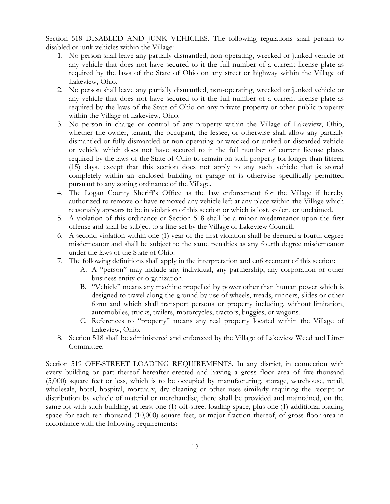Section 518 DISABLED AND JUNK VEHICLES. The following regulations shall pertain to disabled or junk vehicles within the Village:

- 1. No person shall leave any partially dismantled, non-operating, wrecked or junked vehicle or any vehicle that does not have secured to it the full number of a current license plate as required by the laws of the State of Ohio on any street or highway within the Village of Lakeview, Ohio.
- 2. No person shall leave any partially dismantled, non-operating, wrecked or junked vehicle or any vehicle that does not have secured to it the full number of a current license plate as required by the laws of the State of Ohio on any private property or other public property within the Village of Lakeview, Ohio.
- 3. No person in charge or control of any property within the Village of Lakeview, Ohio, whether the owner, tenant, the occupant, the lessee, or otherwise shall allow any partially dismantled or fully dismantled or non-operating or wrecked or junked or discarded vehicle or vehicle which does not have secured to it the full number of current license plates required by the laws of the State of Ohio to remain on such property for longer than fifteen (15) days, except that this section does not apply to any such vehicle that is stored completely within an enclosed building or garage or is otherwise specifically permitted pursuant to any zoning ordinance of the Village.
- 4. The Logan County Sheriff's Office as the law enforcement for the Village if hereby authorized to remove or have removed any vehicle left at any place within the Village which reasonably appears to be in violation of this section or which is lost, stolen, or unclaimed.
- 5. A violation of this ordinance or Section 518 shall be a minor misdemeanor upon the first offense and shall be subject to a fine set by the Village of Lakeview Council.
- 6. A second violation within one (1) year of the first violation shall be deemed a fourth degree misdemeanor and shall be subject to the same penalties as any fourth degree misdemeanor under the laws of the State of Ohio.
- 7. The following definitions shall apply in the interpretation and enforcement of this section:
	- A. A "person" may include any individual, any partnership, any corporation or other business entity or organization.
	- B. "Vehicle" means any machine propelled by power other than human power which is designed to travel along the ground by use of wheels, treads, runners, slides or other form and which shall transport persons or property including, without limitation, automobiles, trucks, trailers, motorcycles, tractors, buggies, or wagons.
	- C. References to "property" means any real property located within the Village of Lakeview, Ohio.
- 8. Section 518 shall be administered and enforeced by the Village of Lakeview Weed and Litter Committee.

Section 519 OFF-STREET LOADING REQUIREMENTS. In any district, in connection with every building or part thereof hereafter erected and having a gross floor area of five-thousand (5,000) square feet or less, which is to be occupied by manufacturing, storage, warehouse, retail, wholesale, hotel, hospital, mortuary, dry cleaning or other uses similarly requiring the receipt or distribution by vehicle of material or merchandise, there shall be provided and maintained, on the same lot with such building, at least one (1) off-street loading space, plus one (1) additional loading space for each ten-thousand (10,000) square feet, or major fraction thereof, of gross floor area in accordance with the following requirements: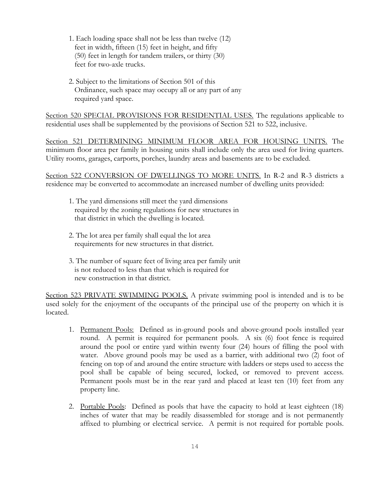- 1. Each loading space shall not be less than twelve (12) feet in width, fifteen (15) feet in height, and fifty (50) feet in length for tandem trailers, or thirty (30) feet for two-axle trucks.
- 2. Subject to the limitations of Section 501 of this Ordinance, such space may occupy all or any part of any required yard space.

Section 520 SPECIAL PROVISIONS FOR RESIDENTIAL USES. The regulations applicable to residential uses shall be supplemented by the provisions of Section 521 to 522, inclusive.

Section 521 DETERMINING MINIMUM FLOOR AREA FOR HOUSING UNITS. The minimum floor area per family in housing units shall include only the area used for living quarters. Utility rooms, garages, carports, porches, laundry areas and basements are to be excluded.

Section 522 CONVERSION OF DWELLINGS TO MORE UNITS. In R-2 and R-3 districts a residence may be converted to accommodate an increased number of dwelling units provided:

- 1. The yard dimensions still meet the yard dimensions required by the zoning regulations for new structures in that district in which the dwelling is located.
- 2. The lot area per family shall equal the lot area requirements for new structures in that district.
- 3. The number of square feet of living area per family unit is not reduced to less than that which is required for new construction in that district.

Section 523 PRIVATE SWIMMING POOLS. A private swimming pool is intended and is to be used solely for the enjoyment of the occupants of the principal use of the property on which it is located.

- 1. Permanent Pools: Defined as in-ground pools and above-ground pools installed year round. A permit is required for permanent pools. A six (6) foot fence is required around the pool or entire yard within twenty four (24) hours of filling the pool with water. Above ground pools may be used as a barrier, with additional two (2) foot of fencing on top of and around the entire structure with ladders or steps used to access the pool shall be capable of being secured, locked, or removed to prevent access. Permanent pools must be in the rear yard and placed at least ten (10) feet from any property line.
- 2. Portable Pools: Defined as pools that have the capacity to hold at least eighteen (18) inches of water that may be readily disassembled for storage and is not permanently affixed to plumbing or electrical service. A permit is not required for portable pools.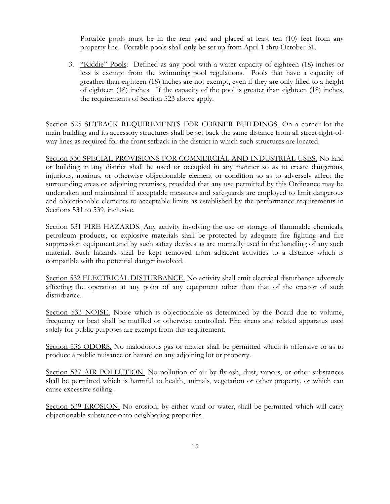Portable pools must be in the rear yard and placed at least ten (10) feet from any property line. Portable pools shall only be set up from April 1 thru October 31.

3. "Kiddie" Pools: Defined as any pool with a water capacity of eighteen (18) inches or less is exempt from the swimming pool regulations. Pools that have a capacity of greather than eighteen (18) inches are not exempt, even if they are only filled to a height of eighteen (18) inches. If the capacity of the pool is greater than eighteen (18) inches, the requirements of Section 523 above apply.

Section 525 SETBACK REQUIREMENTS FOR CORNER BUILDINGS. On a corner lot the main building and its accessory structures shall be set back the same distance from all street right-ofway lines as required for the front setback in the district in which such structures are located.

Section 530 SPECIAL PROVISIONS FOR COMMERCIAL AND INDUSTRIAL USES. No land or building in any district shall be used or occupied in any manner so as to create dangerous, injurious, noxious, or otherwise objectionable element or condition so as to adversely affect the surrounding areas or adjoining premises, provided that any use permitted by this Ordinance may be undertaken and maintained if acceptable measures and safeguards are employed to limit dangerous and objectionable elements to acceptable limits as established by the performance requirements in Sections 531 to 539, inclusive.

Section 531 FIRE HAZARDS. Any activity involving the use or storage of flammable chemicals, petroleum products, or explosive materials shall be protected by adequate fire fighting and fire suppression equipment and by such safety devices as are normally used in the handling of any such material. Such hazards shall be kept removed from adjacent activities to a distance which is compatible with the potential danger involved.

Section 532 ELECTRICAL DISTURBANCE. No activity shall emit electrical disturbance adversely affecting the operation at any point of any equipment other than that of the creator of such disturbance.

Section 533 NOISE. Noise which is objectionable as determined by the Board due to volume, frequency or beat shall be muffled or otherwise controlled. Fire sirens and related apparatus used solely for public purposes are exempt from this requirement.

Section 536 ODORS. No malodorous gas or matter shall be permitted which is offensive or as to produce a public nuisance or hazard on any adjoining lot or property.

Section 537 AIR POLLUTION. No pollution of air by fly-ash, dust, vapors, or other substances shall be permitted which is harmful to health, animals, vegetation or other property, or which can cause excessive soiling.

Section 539 EROSION. No erosion, by either wind or water, shall be permitted which will carry objectionable substance onto neighboring properties.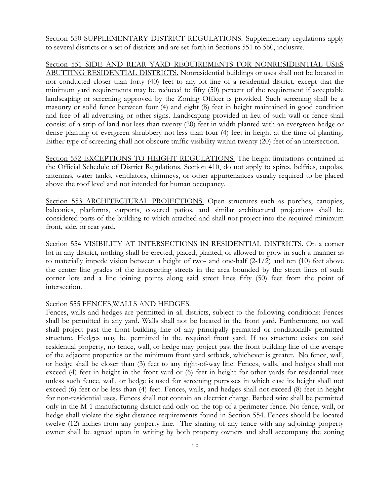Section 550 SUPPLEMENTARY DISTRICT REGULATIONS. Supplementary regulations apply to several districts or a set of districts and are set forth in Sections 551 to 560, inclusive.

Section 551 SIDE AND REAR YARD REQUIREMENTS FOR NONRESIDENTIAL USES ABUTTING RESIDENTIAL DISTRICTS. Nonresidential buildings or uses shall not be located in nor conducted closer than forty (40) feet to any lot line of a residential district, except that the minimum yard requirements may be reduced to fifty (50) percent of the requirement if acceptable landscaping or screening approved by the Zoning Officer is provided. Such screening shall be a masonry or solid fence between four (4) and eight (8) feet in height maintained in good condition and free of all advertising or other signs. Landscaping provided in lieu of such wall or fence shall consist of a strip of land not less than twenty (20) feet in width planted with an evergreen hedge or dense planting of evergreen shrubbery not less than four (4) feet in height at the time of planting. Either type of screening shall not obscure traffic visibility within twenty (20) feet of an intersection.

Section 552 EXCEPTIONS TO HEIGHT REGULATIONS. The height limitations contained in the Official Schedule of District Regulations, Section 410, do not apply to spires, belfries, cupolas, antennas, water tanks, ventilators, chimneys, or other appurtenances usually required to be placed above the roof level and not intended for human occupancy.

Section 553 ARCHITECTURAL PROJECTIONS. Open structures such as porches, canopies, balconies, platforms, carports, covered patios, and similar architectural projections shall be considered parts of the building to which attached and shall not project into the required minimum front, side, or rear yard.

Section 554 VISIBILITY AT INTERSECTIONS IN RESIDENTIAL DISTRICTS. On a corner lot in any district, nothing shall be erected, placed, planted, or allowed to grow in such a manner as to materially impede vision between a height of two- and one-half (2-1/2) and ten (10) feet above the center line grades of the intersecting streets in the area bounded by the street lines of such corner lots and a line joining points along said street lines fifty (50) feet from the point of intersection.

### Section 555 FENCES,WALLS AND HEDGES.

Fences, walls and hedges are permitted in all districts, subject to the following conditions: Fences shall be permitted in any yard. Walls shall not be located in the front yard. Furthermore, no wall shall project past the front building line of any principally permitted or conditionally permitted structure. Hedges may be permitted in the required front yard. If no structure exists on said residential property, no fence, wall, or hedge may project past the front building line of the average of the adjacent properties or the minimum front yard setback, whichever is greater. No fence, wall, or hedge shall be closer than (3) feet to any right-of-way line. Fences, walls, and hedges shall not exceed (4) feet in height in the front yard or (6) feet in height for other yards for residential uses unless such fence, wall, or hedge is used for screening purposes in which case its height shall not exceed (6) feet or be less than (4) feet. Fences, walls, and hedges shall not exceed (8) feet in height for non-residential uses. Fences shall not contain an electrict charge. Barbed wire shall be permitted only in the M-1 manufacturing district and only on the top of a perimeter fence. No fence, wall, or hedge shall violate the sight distance requirements found in Section 554. Fences should be located twelve (12) inches from any property line. The sharing of any fence with any adjoining property owner shall be agreed upon in writing by both property owners and shall accompany the zoning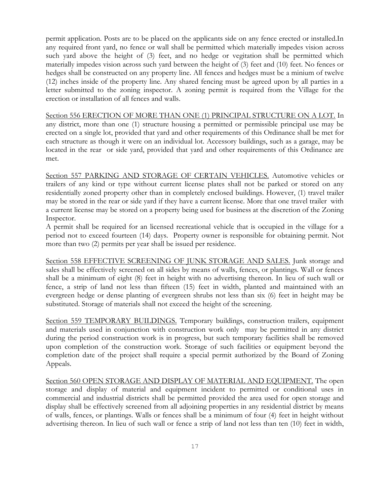permit application. Posts are to be placed on the applicants side on any fence erected or installed.In any required front yard, no fence or wall shall be permitted which materially impedes vision across such yard above the height of (3) feet, and no hedge or vegitation shall be permitted which materially impedes vision across such yard between the height of (3) feet and (10) feet. No fences or hedges shall be constructed on any property line. All fences and hedges must be a minium of twelve (12) inches inside of the property line. Any shared fencing must be agreed upon by all parties in a letter submitted to the zoning inspector. A zoning permit is required from the Village for the erection or installation of all fences and walls.

Section 556 ERECTION OF MORE THAN ONE (1) PRINCIPAL STRUCTURE ON A LOT. In any district, more than one (1) structure housing a permitted or permissible principal use may be erected on a single lot, provided that yard and other requirements of this Ordinance shall be met for each structure as though it were on an individual lot. Accessory buildings, such as a garage, may be located in the rear or side yard, provided that yard and other requirements of this Ordinance are met.

Section 557 PARKING AND STORAGE OF CERTAIN VEHICLES. Automotive vehicles or trailers of any kind or type without current license plates shall not be parked or stored on any residentially zoned property other than in completely enclosed buildings. However, (1) travel trailer may be stored in the rear or side yard if they have a current license. More that one travel trailer with a current license may be stored on a property being used for business at the discretion of the Zoning Inspector.

A permit shall be required for an licensed recreational vehicle that is occupied in the village for a period not to exceed fourteen (14) days. Property owner is responsible for obtaining permit. Not more than two (2) permits per year shall be issued per residence.

Section 558 EFFECTIVE SCREENING OF JUNK STORAGE AND SALES. Junk storage and sales shall be effectively screened on all sides by means of walls, fences, or plantings. Wall or fences shall be a minimum of eight (8) feet in height with no advertising thereon. In lieu of such wall or fence, a strip of land not less than fifteen (15) feet in width, planted and maintained with an evergreen hedge or dense planting of evergreen shrubs not less than six (6) feet in height may be substituted. Storage of materials shall not exceed the height of the screening.

Section 559 TEMPORARY BUILDINGS. Temporary buildings, construction trailers, equipment and materials used in conjunction with construction work only may be permitted in any district during the period construction work is in progress, but such temporary facilities shall be removed upon completion of the construction work. Storage of such facilities or equipment beyond the completion date of the project shall require a special permit authorized by the Board of Zoning Appeals.

Section 560 OPEN STORAGE AND DISPLAY OF MATERIAL AND EQUIPMENT. The open storage and display of material and equipment incident to permitted or conditional uses in commercial and industrial districts shall be permitted provided the area used for open storage and display shall be effectively screened from all adjoining properties in any residential district by means of walls, fences, or plantings. Walls or fences shall be a minimum of four (4) feet in height without advertising thereon. In lieu of such wall or fence a strip of land not less than ten (10) feet in width,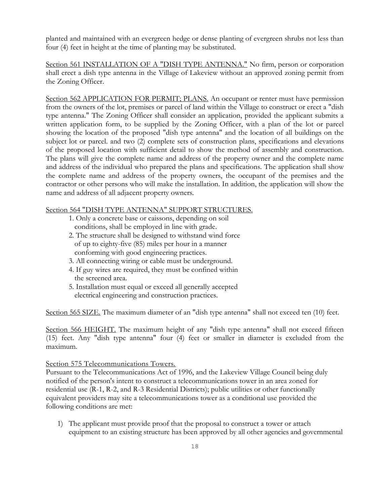planted and maintained with an evergreen hedge or dense planting of evergreen shrubs not less than four (4) feet in height at the time of planting may be substituted.

Section 561 INSTALLATION OF A "DISH TYPE ANTENNA." No firm, person or corporation shall erect a dish type antenna in the Village of Lakeview without an approved zoning permit from the Zoning Officer.

Section 562 APPLICATION FOR PERMIT; PLANS. An occupant or renter must have permission from the owners of the lot, premises or parcel of land within the Village to construct or erect a "dish type antenna." The Zoning Officer shall consider an application, provided the applicant submits a written application form, to be supplied by the Zoning Officer, with a plan of the lot or parcel showing the location of the proposed "dish type antenna" and the location of all buildings on the subject lot or parcel. and two (2) complete sets of construction plans, specifications and elevations of the proposed location with sufficient detail to show the method of assembly and construction. The plans will give the complete name and address of the property owner and the complete name and address of the individual who prepared the plans and specifications. The application shall show the complete name and address of the property owners, the occupant of the premises and the contractor or other persons who will make the installation. In addition, the application will show the name and address of all adjacent property owners.

### Section 564 "DISH TYPE ANTENNA" SUPPORT STRUCTURES.

- 1. Only a concrete base or caissons, depending on soil conditions, shall be employed in line with grade.
- 2. The structure shall be designed to withstand wind force of up to eighty-five (85) miles per hour in a manner conforming with good engineering practices.
- 3. All connecting wiring or cable must be underground.
- 4. If guy wires are required, they must be confined within the screened area.
- 5. Installation must equal or exceed all generally accepted electrical engineering and construction practices.

Section 565 SIZE. The maximum diameter of an "dish type antenna" shall not exceed ten (10) feet.

Section 566 HEIGHT. The maximum height of any "dish type antenna" shall not exceed fifteen (15) feet. Any "dish type antenna" four (4) feet or smaller in diameter is excluded from the maximum.

### Section 575 Telecommunications Towers.

Pursuant to the Telecommunications Act of 1996, and the Lakeview Village Council being duly notified of the person's intent to construct a telecommunications tower in an area zoned for residential use (R-1, R-2, and R-3 Residential Districts); public utilities or other functionally equivalent providers may site a telecommunications tower as a conditional use provided the following conditions are met:

1) The applicant must provide proof that the proposal to construct a tower or attach equipment to an existing structure has been approved by all other agencies and governmental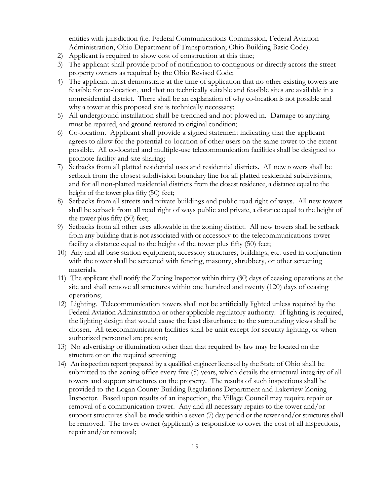entities with jurisdiction (i.e. Federal Communications Commission, Federal Aviation Administration, Ohio Department of Transportation; Ohio Building Basic Code).

- 2) Applicant is required to show cost of construction at this time;
- 3) The applicant shall provide proof of notification to contiguous or directly across the street property owners as required by the Ohio Revised Code;
- 4) The applicant must demonstrate at the time of application that no other existing towers are feasible for co-location, and that no technically suitable and feasible sites are available in a nonresidential district. There shall be an explanation of why co-location is not possible and why a tower at this proposed site is technically necessary;
- 5) All underground installation shall be trenched and not plowed in. Damage to anything must be repaired, and ground restored to original condition;
- 6) Co-location. Applicant shall provide a signed statement indicating that the applicant agrees to allow for the potential co-location of other users on the same tower to the extent possible. All co-located and multiple-use telecommunication facilities shall be designed to promote facility and site sharing;
- 7) Setbacks from all platted residential uses and residential districts. All new towers shall be setback from the closest subdivision boundary line for all platted residential subdivisions, and for all non-platted residential districts from the closest residence, a distance equal to the height of the tower plus fifty (50) feet;
- 8) Setbacks from all streets and private buildings and public road right of ways. All new towers shall be setback from all road right of ways public and private, a distance equal to the height of the tower plus fifty (50) feet;
- 9) Setbacks from all other uses allowable in the zoning district. All new towers shall be setback from any building that is not associated with or accessory to the telecommunications tower facility a distance equal to the height of the tower plus fifty (50) feet;
- 10) Any and all base station equipment, accessory structures, buildings, etc. used in conjunction with the tower shall be screened with fencing, masonry, shrubbery, or other screening materials.
- 11) The applicant shall notify the Zoning Inspector within thirty (30) days of ceasing operations at the site and shall remove all structures within one hundred and twenty (120) days of ceasing operations;
- 12) Lighting. Telecommunication towers shall not be artificially lighted unless required by the Federal Aviation Administration or other applicable regulatory authority. If lighting is required, the lighting design that would cause the least disturbance to the surrounding views shall be chosen. All telecommunication facilities shall be unlit except for security lighting, or when authorized personnel are present;
- 13) No advertising or illumination other than that required by law may be located on the structure or on the required screening;
- 14) An inspection report prepared by a qualified engineer licensed by the State of Ohio shall be submitted to the zoning office every five (5) years, which details the structural integrity of all towers and support structures on the property. The results of such inspections shall be provided to the Logan County Building Regulations Department and Lakeview Zoning Inspector. Based upon results of an inspection, the Village Council may require repair or removal of a communication tower. Any and all necessary repairs to the tower and/or support structures shall be made within a seven (7) day period or the tower and/or structures shall be removed. The tower owner (applicant) is responsible to cover the cost of all inspections, repair and/or removal;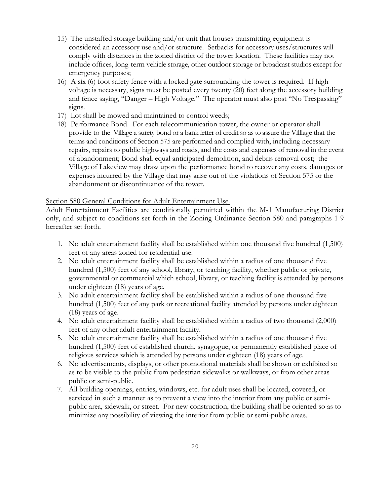- 15) The unstaffed storage building and/or unit that houses transmitting equipment is considered an accessory use and/or structure. Setbacks for accessory uses/structures will comply with distances in the zoned district of the tower location. These facilities may not include offices, long-term vehicle storage, other outdoor storage or broadcast studios except for emergency purposes;
- 16) A six (6) foot safety fence with a locked gate surrounding the tower is required. If high voltage is necessary, signs must be posted every twenty (20) feet along the accessory building and fence saying, "Danger – High Voltage." The operator must also post "No Trespassing" signs.
- 17) Lot shall be mowed and maintained to control weeds;
- 18) Performance Bond. For each telecommunication tower, the owner or operator shall provide to the Village a surety bond or a bank letter of credit so as to assure the Villlage that the terms and conditions of Section 575 are performed and complied with, including necessary repairs, repairs to public highways and roads, and the costs and expenses of removal in the event of abandonment; Bond shall equal anticipated demolition, and debris removal cost; the Village of Lakeview may draw upon the performance bond to recover any costs, damages or expenses incurred by the Village that may arise out of the violations of Section 575 or the abandonment or discontinuance of the tower.

### Section 580 General Conditions for Adult Entertainment Use.

Adult Entertainment Facilities are conditionally permitted within the M-1 Manufacturing District only, and subject to conditions set forth in the Zoning Ordinance Section 580 and paragraphs 1-9 hereafter set forth.

- 1. No adult entertainment facility shall be established within one thousand five hundred (1,500) feet of any areas zoned for residential use.
- 2. No adult entertainment facility shall be established within a radius of one thousand five hundred (1,500) feet of any school, library, or teaching facility, whether public or private, governmental or commercial which school, library, or teaching facility is attended by persons under eighteen (18) years of age.
- 3. No adult entertainment facility shall be established within a radius of one thousand five hundred (1,500) feet of any park or recreational facility attended by persons under eighteen (18) years of age.
- 4. No adult entertainment facility shall be established within a radius of two thousand (2,000) feet of any other adult entertainment facility.
- 5. No adult entertainment facility shall be established within a radius of one thousand five hundred (1,500) feet of established church, synagogue, or permanently established place of religious services which is attended by persons under eighteen (18) years of age.
- 6. No advertisements, displays, or other promotional materials shall be shown or exhibited so as to be visible to the public from pedestrian sidewalks or walkways, or from other areas public or semi-public.
- 7. All building openings, entries, windows, etc. for adult uses shall be located, covered, or serviced in such a manner as to prevent a view into the interior from any public or semipublic area, sidewalk, or street. For new construction, the building shall be oriented so as to minimize any possibility of viewing the interior from public or semi-public areas.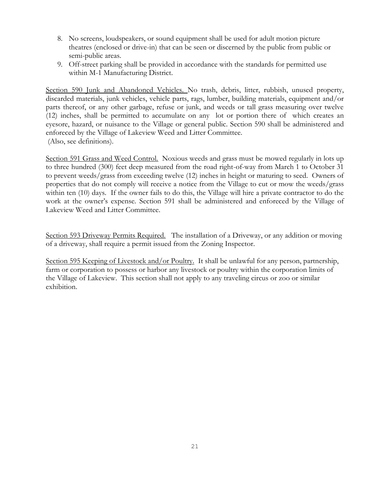- 8. No screens, loudspeakers, or sound equipment shall be used for adult motion picture theatres (enclosed or drive-in) that can be seen or discerned by the public from public or semi-public areas.
- 9. Off-street parking shall be provided in accordance with the standards for permitted use within M-1 Manufacturing District.

Section 590 Junk and Abandoned Vehicles. No trash, debris, litter, rubbish, unused property, discarded materials, junk vehicles, vehicle parts, rags, lumber, building materials, equipment and/or parts thereof, or any other garbage, refuse or junk, and weeds or tall grass measuring over twelve (12) inches, shall be permitted to accumulate on any lot or portion there of which creates an eyesore, hazard, or nuisance to the Village or general public. Section 590 shall be administered and enforeced by the Village of Lakeview Weed and Litter Committee. (Also, see definitions).

Section 591 Grass and Weed Control. Noxious weeds and grass must be mowed regularly in lots up to three hundred (300) feet deep measured from the road right-of-way from March 1 to October 31 to prevent weeds/grass from exceeding twelve (12) inches in height or maturing to seed. Owners of properties that do not comply will receive a notice from the Village to cut or mow the weeds/grass within ten (10) days. If the owner fails to do this, the Village will hire a private contractor to do the work at the owner's expense. Section 591 shall be administered and enforeced by the Village of Lakeview Weed and Litter Committee.

Section 593 Driveway Permits Required. The installation of a Driveway, or any addition or moving of a driveway, shall require a permit issued from the Zoning Inspector.

Section 595 Keeping of Livestock and/or Poultry. It shall be unlawful for any person, partnership, farm or corporation to possess or harbor any livestock or poultry within the corporation limits of the Village of Lakeview. This section shall not apply to any traveling circus or zoo or similar exhibition.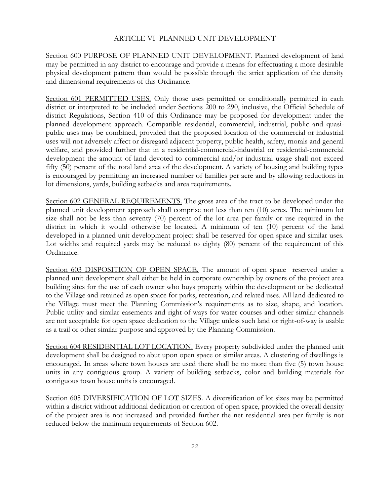### ARTICLE VI PLANNED UNIT DEVELOPMENT

Section 600 PURPOSE OF PLANNED UNIT DEVELOPMENT. Planned development of land may be permitted in any district to encourage and provide a means for effectuating a more desirable physical development pattern than would be possible through the strict application of the density and dimensional requirements of this Ordinance.

Section 601 PERMITTED USES. Only those uses permitted or conditionally permitted in each district or interpreted to be included under Sections 200 to 290, inclusive, the Official Schedule of district Regulations, Section 410 of this Ordinance may be proposed for development under the planned development approach. Compatible residential, commercial, industrial, public and quasipublic uses may be combined, provided that the proposed location of the commercial or industrial uses will not adversely affect or disregard adjacent property, public health, safety, morals and general welfare, and provided further that in a residential-commercial-industrial or residential-commercial development the amount of land devoted to commercial and/or industrial usage shall not exceed fifty (50) percent of the total land area of the development. A variety of housing and building types is encouraged by permitting an increased number of families per acre and by allowing reductions in lot dimensions, yards, building setbacks and area requirements.

Section 602 GENERAL REQUIREMENTS. The gross area of the tract to be developed under the planned unit development approach shall comprise not less than ten (10) acres. The minimum lot size shall not be less than seventy (70) percent of the lot area per family or use required in the district in which it would otherwise be located. A minimum of ten (10) percent of the land developed in a planned unit development project shall be reserved for open space and similar uses. Lot widths and required yards may be reduced to eighty (80) percent of the requirement of this Ordinance.

Section 603 DISPOSITION OF OPEN SPACE. The amount of open space reserved under a planned unit development shall either be held in corporate ownership by owners of the project area building sites for the use of each owner who buys property within the development or be dedicated to the Village and retained as open space for parks, recreation, and related uses. All land dedicated to the Village must meet the Planning Commission's requirements as to size, shape, and location. Public utility and similar easements and right-of-ways for water courses and other similar channels are not acceptable for open space dedication to the Village unless such land or right-of-way is usable as a trail or other similar purpose and approved by the Planning Commission.

Section 604 RESIDENTIAL LOT LOCATION. Every property subdivided under the planned unit development shall be designed to abut upon open space or similar areas. A clustering of dwellings is encouraged. In areas where town houses are used there shall be no more than five (5) town house units in any contiguous group. A variety of building setbacks, color and building materials for contiguous town house units is encouraged.

Section 605 DIVERSIFICATION OF LOT SIZES. A diversification of lot sizes may be permitted within a district without additional dedication or creation of open space, provided the overall density of the project area is not increased and provided further the net residential area per family is not reduced below the minimum requirements of Section 602.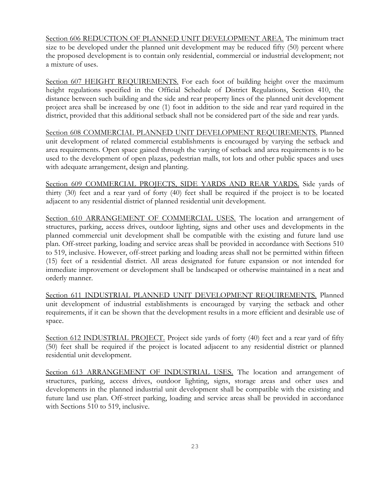Section 606 REDUCTION OF PLANNED UNIT DEVELOPMENT AREA. The minimum tract size to be developed under the planned unit development may be reduced fifty (50) percent where the proposed development is to contain only residential, commercial or industrial development; not a mixture of uses.

Section 607 HEIGHT REQUIREMENTS. For each foot of building height over the maximum height regulations specified in the Official Schedule of District Regulations, Section 410, the distance between such building and the side and rear property lines of the planned unit development project area shall be increased by one (1) foot in addition to the side and rear yard required in the district, provided that this additional setback shall not be considered part of the side and rear yards.

Section 608 COMMERCIAL PLANNED UNIT DEVELOPMENT REQUIREMENTS. Planned unit development of related commercial establishments is encouraged by varying the setback and area requirements. Open space gained through the varying of setback and area requirements is to be used to the development of open plazas, pedestrian malls, tot lots and other public spaces and uses with adequate arrangement, design and planting.

Section 609 COMMERCIAL PROJECTS, SIDE YARDS AND REAR YARDS. Side yards of thirty (30) feet and a rear yard of forty (40) feet shall be required if the project is to be located adjacent to any residential district of planned residential unit development.

Section 610 ARRANGEMENT OF COMMERCIAL USES. The location and arrangement of structures, parking, access drives, outdoor lighting, signs and other uses and developments in the planned commercial unit development shall be compatible with the existing and future land use plan. Off-street parking, loading and service areas shall be provided in accordance with Sections 510 to 519, inclusive. However, off-street parking and loading areas shall not be permitted within fifteen (15) feet of a residential district. All areas designated for future expansion or not intended for immediate improvement or development shall be landscaped or otherwise maintained in a neat and orderly manner.

Section 611 INDUSTRIAL PLANNED UNIT DEVELOPMENT REQUIREMENTS. Planned unit development of industrial establishments is encouraged by varying the setback and other requirements, if it can be shown that the development results in a more efficient and desirable use of space.

Section 612 INDUSTRIAL PROJECT. Project side yards of forty (40) feet and a rear yard of fifty (50) feet shall be required if the project is located adjacent to any residential district or planned residential unit development.

Section 613 ARRANGEMENT OF INDUSTRIAL USES. The location and arrangement of structures, parking, access drives, outdoor lighting, signs, storage areas and other uses and developments in the planned industrial unit development shall be compatible with the existing and future land use plan. Off-street parking, loading and service areas shall be provided in accordance with Sections 510 to 519, inclusive.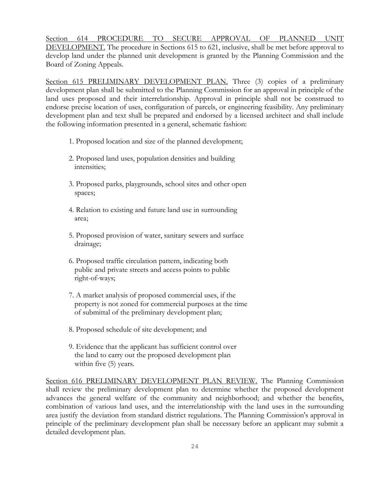Section 614 PROCEDURE TO SECURE APPROVAL OF PLANNED UNIT DEVELOPMENT. The procedure in Sections 615 to 621, inclusive, shall be met before approval to develop land under the planned unit development is granted by the Planning Commission and the Board of Zoning Appeals.

Section 615 PRELIMINARY DEVELOPMENT PLAN. Three (3) copies of a preliminary development plan shall be submitted to the Planning Commission for an approval in principle of the land uses proposed and their interrelationship. Approval in principle shall not be construed to endorse precise location of uses, configuration of parcels, or engineering feasibility. Any preliminary development plan and text shall be prepared and endorsed by a licensed architect and shall include the following information presented in a general, schematic fashion:

- 1. Proposed location and size of the planned development;
- 2. Proposed land uses, population densities and building intensities;
- 3. Proposed parks, playgrounds, school sites and other open spaces;
- 4. Relation to existing and future land use in surrounding area;
- 5. Proposed provision of water, sanitary sewers and surface drainage;
- 6. Proposed traffic circulation pattern, indicating both public and private streets and access points to public right-of-ways;
- 7. A market analysis of proposed commercial uses, if the property is not zoned for commercial purposes at the time of submittal of the preliminary development plan;
- 8. Proposed schedule of site development; and
- 9. Evidence that the applicant has sufficient control over the land to carry out the proposed development plan within five (5) years.

Section 616 PRELIMINARY DEVELOPMENT PLAN REVIEW. The Planning Commission shall review the preliminary development plan to determine whether the proposed development advances the general welfare of the community and neighborhood; and whether the benefits, combination of various land uses, and the interrelationship with the land uses in the surrounding area justify the deviation from standard district regulations. The Planning Commission's approval in principle of the preliminary development plan shall be necessary before an applicant may submit a detailed development plan.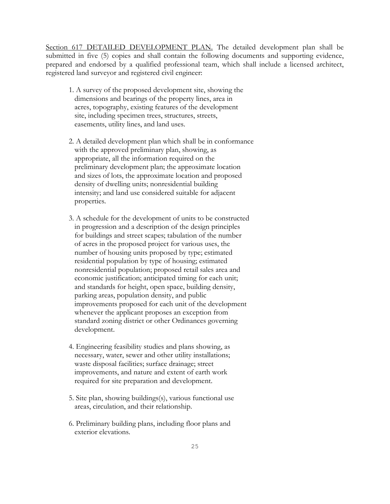Section 617 DETAILED DEVELOPMENT PLAN. The detailed development plan shall be submitted in five (5) copies and shall contain the following documents and supporting evidence, prepared and endorsed by a qualified professional team, which shall include a licensed architect, registered land surveyor and registered civil engineer:

- 1. A survey of the proposed development site, showing the dimensions and bearings of the property lines, area in acres, topography, existing features of the development site, including specimen trees, structures, streets, easements, utility lines, and land uses.
- 2. A detailed development plan which shall be in conformance with the approved preliminary plan, showing, as appropriate, all the information required on the preliminary development plan; the approximate location and sizes of lots, the approximate location and proposed density of dwelling units; nonresidential building intensity; and land use considered suitable for adjacent properties.
- 3. A schedule for the development of units to be constructed in progression and a description of the design principles for buildings and street scapes; tabulation of the number of acres in the proposed project for various uses, the number of housing units proposed by type; estimated residential population by type of housing; estimated nonresidential population; proposed retail sales area and economic justification; anticipated timing for each unit; and standards for height, open space, building density, parking areas, population density, and public improvements proposed for each unit of the development whenever the applicant proposes an exception from standard zoning district or other Ordinances governing development.
- 4. Engineering feasibility studies and plans showing, as necessary, water, sewer and other utility installations; waste disposal facilities; surface drainage; street improvements, and nature and extent of earth work required for site preparation and development.
- 5. Site plan, showing buildings(s), various functional use areas, circulation, and their relationship.
- 6. Preliminary building plans, including floor plans and exterior elevations.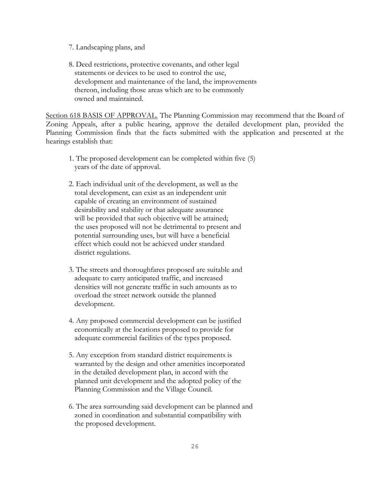- 7. Landscaping plans, and
- 8. Deed restrictions, protective covenants, and other legal statements or devices to be used to control the use, development and maintenance of the land, the improvements thereon, including those areas which are to be commonly owned and maintained.

Section 618 BASIS OF APPROVAL. The Planning Commission may recommend that the Board of Zoning Appeals, after a public hearing, approve the detailed development plan, provided the Planning Commission finds that the facts submitted with the application and presented at the hearings establish that:

- 1. The proposed development can be completed within five (5) years of the date of approval.
- 2. Each individual unit of the development, as well as the total development, can exist as an independent unit capable of creating an environment of sustained desirability and stability or that adequate assurance will be provided that such objective will be attained; the uses proposed will not be detrimental to present and potential surrounding uses, but will have a beneficial effect which could not be achieved under standard district regulations.
- 3. The streets and thoroughfares proposed are suitable and adequate to carry anticipated traffic, and increased densities will not generate traffic in such amounts as to overload the street network outside the planned development.
- 4. Any proposed commercial development can be justified economically at the locations proposed to provide for adequate commercial facilities of the types proposed.
- 5. Any exception from standard district requirements is warranted by the design and other amenities incorporated in the detailed development plan, in accord with the planned unit development and the adopted policy of the Planning Commission and the Village Council.
- 6. The area surrounding said development can be planned and zoned in coordination and substantial compatibility with the proposed development.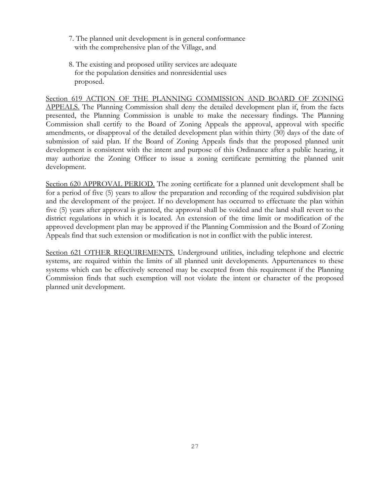- 7. The planned unit development is in general conformance with the comprehensive plan of the Village, and
- 8. The existing and proposed utility services are adequate for the population densities and nonresidential uses proposed.

Section 619 ACTION OF THE PLANNING COMMISSION AND BOARD OF ZONING APPEALS. The Planning Commission shall deny the detailed development plan if, from the facts presented, the Planning Commission is unable to make the necessary findings. The Planning Commission shall certify to the Board of Zoning Appeals the approval, approval with specific amendments, or disapproval of the detailed development plan within thirty (30) days of the date of submission of said plan. If the Board of Zoning Appeals finds that the proposed planned unit development is consistent with the intent and purpose of this Ordinance after a public hearing, it may authorize the Zoning Officer to issue a zoning certificate permitting the planned unit development.

Section 620 APPROVAL PERIOD. The zoning certificate for a planned unit development shall be for a period of five (5) years to allow the preparation and recording of the required subdivision plat and the development of the project. If no development has occurred to effectuate the plan within five (5) years after approval is granted, the approval shall be voided and the land shall revert to the district regulations in which it is located. An extension of the time limit or modification of the approved development plan may be approved if the Planning Commission and the Board of Zoning Appeals find that such extension or modification is not in conflict with the public interest.

Section 621 OTHER REQUIREMENTS. Underground utilities, including telephone and electric systems, are required within the limits of all planned unit developments. Appurtenances to these systems which can be effectively screened may be excepted from this requirement if the Planning Commission finds that such exemption will not violate the intent or character of the proposed planned unit development.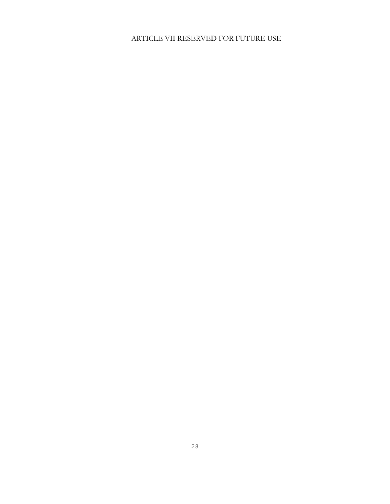# ARTICLE VII RESERVED FOR FUTURE USE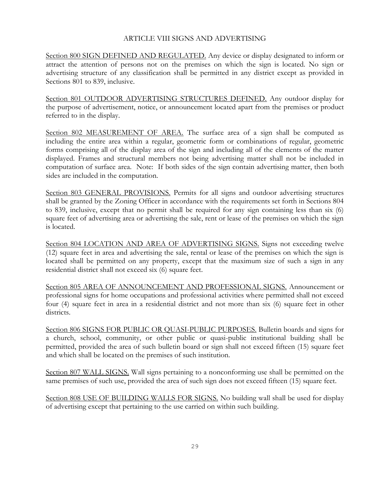### ARTICLE VIII SIGNS AND ADVERTISING

Section 800 SIGN DEFINED AND REGULATED. Any device or display designated to inform or attract the attention of persons not on the premises on which the sign is located. No sign or advertising structure of any classification shall be permitted in any district except as provided in Sections 801 to 839, inclusive.

Section 801 OUTDOOR ADVERTISING STRUCTURES DEFINED. Any outdoor display for the purpose of advertisement, notice, or announcement located apart from the premises or product referred to in the display.

Section 802 MEASUREMENT OF AREA. The surface area of a sign shall be computed as including the entire area within a regular, geometric form or combinations of regular, geometric forms comprising all of the display area of the sign and including all of the elements of the matter displayed. Frames and structural members not being advertising matter shall not be included in computation of surface area. Note: If both sides of the sign contain advertising matter, then both sides are included in the computation.

Section 803 GENERAL PROVISIONS. Permits for all signs and outdoor advertising structures shall be granted by the Zoning Officer in accordance with the requirements set forth in Sections 804 to 839, inclusive, except that no permit shall be required for any sign containing less than six (6) square feet of advertising area or advertising the sale, rent or lease of the premises on which the sign is located.

Section 804 LOCATION AND AREA OF ADVERTISING SIGNS. Signs not exceeding twelve (12) square feet in area and advertising the sale, rental or lease of the premises on which the sign is located shall be permitted on any property, except that the maximum size of such a sign in any residential district shall not exceed six (6) square feet.

Section 805 AREA OF ANNOUNCEMENT AND PROFESSIONAL SIGNS. Announcement or professional signs for home occupations and professional activities where permitted shall not exceed four (4) square feet in area in a residential district and not more than six (6) square feet in other districts.

Section 806 SIGNS FOR PUBLIC OR QUASI-PUBLIC PURPOSES. Bulletin boards and signs for a church, school, community, or other public or quasi-public institutional building shall be permitted, provided the area of such bulletin board or sign shall not exceed fifteen (15) square feet and which shall be located on the premises of such institution.

Section 807 WALL SIGNS. Wall signs pertaining to a nonconforming use shall be permitted on the same premises of such use, provided the area of such sign does not exceed fifteen (15) square feet.

Section 808 USE OF BUILDING WALLS FOR SIGNS. No building wall shall be used for display of advertising except that pertaining to the use carried on within such building.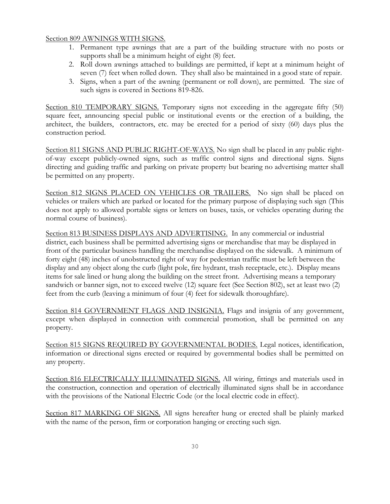### Section 809 AWNINGS WITH SIGNS.

- 1. Permanent type awnings that are a part of the building structure with no posts or supports shall be a minimum height of eight (8) feet.
- 2. Roll down awnings attached to buildings are permitted, if kept at a minimum height of seven (7) feet when rolled down. They shall also be maintained in a good state of repair.
- 3. Signs, when a part of the awning (permanent or roll down), are permitted. The size of such signs is covered in Sections 819-826.

Section 810 TEMPORARY SIGNS. Temporary signs not exceeding in the aggregate fifty (50) square feet, announcing special public or institutional events or the erection of a building, the architect, the builders, contractors, etc. may be erected for a period of sixty (60) days plus the construction period.

Section 811 SIGNS AND PUBLIC RIGHT-OF-WAYS. No sign shall be placed in any public rightof-way except publicly-owned signs, such as traffic control signs and directional signs. Signs directing and guiding traffic and parking on private property but bearing no advertising matter shall be permitted on any property.

Section 812 SIGNS PLACED ON VEHICLES OR TRAILERS. No sign shall be placed on vehicles or trailers which are parked or located for the primary purpose of displaying such sign (This does not apply to allowed portable signs or letters on buses, taxis, or vehicles operating during the normal course of business).

Section 813 BUSINESS DISPLAYS AND ADVERTISING. In any commercial or industrial district, each business shall be permitted advertising signs or merchandise that may be displayed in front of the particular business handling the merchandise displayed on the sidewalk. A minimum of forty eight (48) inches of unobstructed right of way for pedestrian traffic must be left between the display and any object along the curb (light pole, fire hydrant, trash receptacle, etc.). Display means items for sale lined or hung along the building on the street front. Advertising means a temporary sandwich or banner sign, not to exceed twelve (12) square feet (See Section 802), set at least two (2) feet from the curb (leaving a minimum of four (4) feet for sidewalk thoroughfare).

Section 814 GOVERNMENT FLAGS AND INSIGNIA. Flags and insignia of any government, except when displayed in connection with commercial promotion, shall be permitted on any property.

Section 815 SIGNS REQUIRED BY GOVERNMENTAL BODIES. Legal notices, identification, information or directional signs erected or required by governmental bodies shall be permitted on any property.

Section 816 ELECTRICALLY ILLUMINATED SIGNS. All wiring, fittings and materials used in the construction, connection and operation of electrically illuminated signs shall be in accordance with the provisions of the National Electric Code (or the local electric code in effect).

Section 817 MARKING OF SIGNS. All signs hereafter hung or erected shall be plainly marked with the name of the person, firm or corporation hanging or erecting such sign.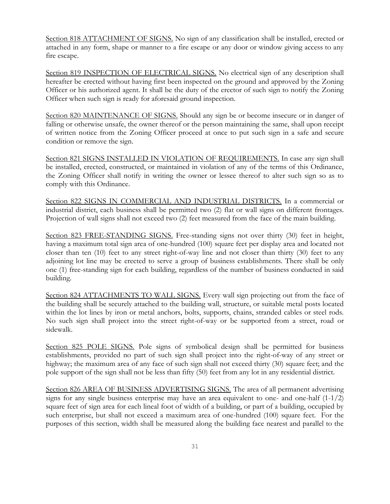Section 818 ATTACHMENT OF SIGNS. No sign of any classification shall be installed, erected or attached in any form, shape or manner to a fire escape or any door or window giving access to any fire escape.

Section 819 INSPECTION OF ELECTRICAL SIGNS. No electrical sign of any description shall hereafter be erected without having first been inspected on the ground and approved by the Zoning Officer or his authorized agent. It shall be the duty of the erector of such sign to notify the Zoning Officer when such sign is ready for aforesaid ground inspection.

Section 820 MAINTENANCE OF SIGNS. Should any sign be or become insecure or in danger of falling or otherwise unsafe, the owner thereof or the person maintaining the same, shall upon receipt of written notice from the Zoning Officer proceed at once to put such sign in a safe and secure condition or remove the sign.

Section 821 SIGNS INSTALLED IN VIOLATION OF REQUIREMENTS. In case any sign shall be installed, erected, constructed, or maintained in violation of any of the terms of this Ordinance, the Zoning Officer shall notify in writing the owner or lessee thereof to alter such sign so as to comply with this Ordinance.

Section 822 SIGNS IN COMMERCIAL AND INDUSTRIAL DISTRICTS. In a commercial or industrial district, each business shall be permitted two (2) flat or wall signs on different frontages. Projection of wall signs shall not exceed two (2) feet measured from the face of the main building.

Section 823 FREE-STANDING SIGNS. Free-standing signs not over thirty (30) feet in height, having a maximum total sign area of one-hundred (100) square feet per display area and located not closer than ten (10) feet to any street right-of-way line and not closer than thirty (30) feet to any adjoining lot line may be erected to serve a group of business establishments. There shall be only one (1) free-standing sign for each building, regardless of the number of business conducted in said building.

Section 824 ATTACHMENTS TO WALL SIGNS. Every wall sign projecting out from the face of the building shall be securely attached to the building wall, structure, or suitable metal posts located within the lot lines by iron or metal anchors, bolts, supports, chains, stranded cables or steel rods. No such sign shall project into the street right-of-way or be supported from a street, road or sidewalk.

Section 825 POLE SIGNS. Pole signs of symbolical design shall be permitted for business establishments, provided no part of such sign shall project into the right-of-way of any street or highway; the maximum area of any face of such sign shall not exceed thirty (30) square feet; and the pole support of the sign shall not be less than fifty (50) feet from any lot in any residential district.

Section 826 AREA OF BUSINESS ADVERTISING SIGNS. The area of all permanent advertising signs for any single business enterprise may have an area equivalent to one- and one-half  $(1-1/2)$ square feet of sign area for each lineal foot of width of a building, or part of a building, occupied by such enterprise, but shall not exceed a maximum area of one-hundred (100) square feet. For the purposes of this section, width shall be measured along the building face nearest and parallel to the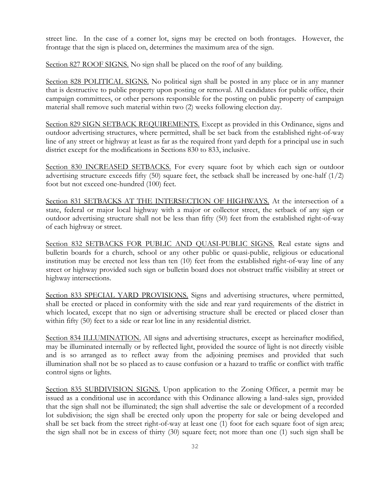street line. In the case of a corner lot, signs may be erected on both frontages. However, the frontage that the sign is placed on, determines the maximum area of the sign.

Section 827 ROOF SIGNS. No sign shall be placed on the roof of any building.

Section 828 POLITICAL SIGNS. No political sign shall be posted in any place or in any manner that is destructive to public property upon posting or removal. All candidates for public office, their campaign committees, or other persons responsible for the posting on public property of campaign material shall remove such material within two (2) weeks following election day.

Section 829 SIGN SETBACK REQUIREMENTS. Except as provided in this Ordinance, signs and outdoor advertising structures, where permitted, shall be set back from the established right-of-way line of any street or highway at least as far as the required front yard depth for a principal use in such district except for the modifications in Sections 830 to 833, inclusive.

Section 830 INCREASED SETBACKS. For every square foot by which each sign or outdoor advertising structure exceeds fifty  $(50)$  square feet, the setback shall be increased by one-half  $(1/2)$ foot but not exceed one-hundred (100) feet.

Section 831 SETBACKS AT THE INTERSECTION OF HIGHWAYS. At the intersection of a state, federal or major local highway with a major or collector street, the setback of any sign or outdoor advertising structure shall not be less than fifty (50) feet from the established right-of-way of each highway or street.

Section 832 SETBACKS FOR PUBLIC AND QUASI-PUBLIC SIGNS. Real estate signs and bulletin boards for a church, school or any other public or quasi-public, religious or educational institution may be erected not less than ten (10) feet from the established right-of-way line of any street or highway provided such sign or bulletin board does not obstruct traffic visibility at street or highway intersections.

Section 833 SPECIAL YARD PROVISIONS. Signs and advertising structures, where permitted, shall be erected or placed in conformity with the side and rear yard requirements of the district in which located, except that no sign or advertising structure shall be erected or placed closer than within fifty (50) feet to a side or rear lot line in any residential district.

Section 834 ILLUMINATION. All signs and advertising structures, except as hereinafter modified, may be illuminated internally or by reflected light, provided the source of light is not directly visible and is so arranged as to reflect away from the adjoining premises and provided that such illumination shall not be so placed as to cause confusion or a hazard to traffic or conflict with traffic control signs or lights.

Section 835 SUBDIVISION SIGNS. Upon application to the Zoning Officer, a permit may be issued as a conditional use in accordance with this Ordinance allowing a land-sales sign, provided that the sign shall not be illuminated; the sign shall advertise the sale or development of a recorded lot subdivision; the sign shall be erected only upon the property for sale or being developed and shall be set back from the street right-of-way at least one (1) foot for each square foot of sign area; the sign shall not be in excess of thirty (30) square feet; not more than one (1) such sign shall be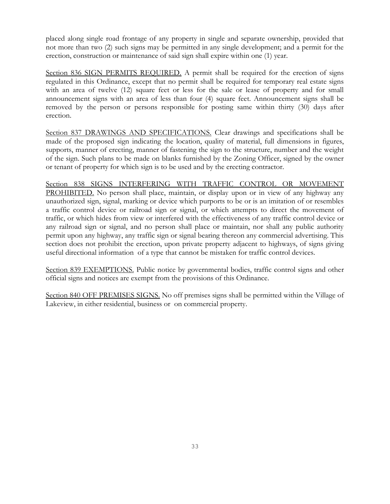placed along single road frontage of any property in single and separate ownership, provided that not more than two (2) such signs may be permitted in any single development; and a permit for the erection, construction or maintenance of said sign shall expire within one (1) year.

Section 836 SIGN PERMITS REQUIRED. A permit shall be required for the erection of signs regulated in this Ordinance, except that no permit shall be required for temporary real estate signs with an area of twelve (12) square feet or less for the sale or lease of property and for small announcement signs with an area of less than four (4) square feet. Announcement signs shall be removed by the person or persons responsible for posting same within thirty (30) days after erection.

Section 837 DRAWINGS AND SPECIFICATIONS. Clear drawings and specifications shall be made of the proposed sign indicating the location, quality of material, full dimensions in figures, supports, manner of erecting, manner of fastening the sign to the structure, number and the weight of the sign. Such plans to be made on blanks furnished by the Zoning Officer, signed by the owner or tenant of property for which sign is to be used and by the erecting contractor.

Section 838 SIGNS INTERFERING WITH TRAFFIC CONTROL OR MOVEMENT PROHIBITED. No person shall place, maintain, or display upon or in view of any highway any unauthorized sign, signal, marking or device which purports to be or is an imitation of or resembles a traffic control device or railroad sign or signal, or which attempts to direct the movement of traffic, or which hides from view or interfered with the effectiveness of any traffic control device or any railroad sign or signal, and no person shall place or maintain, nor shall any public authority permit upon any highway, any traffic sign or signal bearing thereon any commercial advertising. This section does not prohibit the erection, upon private property adjacent to highways, of signs giving useful directional information of a type that cannot be mistaken for traffic control devices.

Section 839 EXEMPTIONS. Public notice by governmental bodies, traffic control signs and other official signs and notices are exempt from the provisions of this Ordinance.

Section 840 OFF PREMISES SIGNS. No off premises signs shall be permitted within the Village of Lakeview, in either residential, business or on commercial property.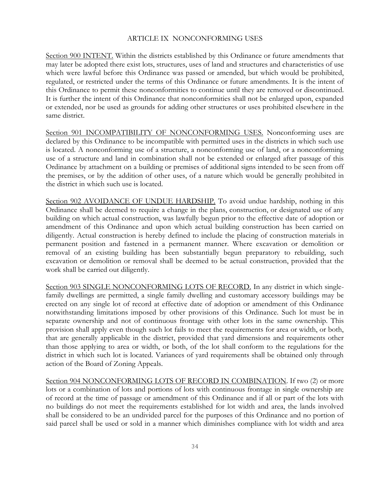#### ARTICLE IX NONCONFORMING USES

Section 900 INTENT. Within the districts established by this Ordinance or future amendments that may later be adopted there exist lots, structures, uses of land and structures and characteristics of use which were lawful before this Ordinance was passed or amended, but which would be prohibited, regulated, or restricted under the terms of this Ordinance or future amendments. It is the intent of this Ordinance to permit these nonconformities to continue until they are removed or discontinued. It is further the intent of this Ordinance that nonconformities shall not be enlarged upon, expanded or extended, nor be used as grounds for adding other structures or uses prohibited elsewhere in the same district.

Section 901 INCOMPATIBILITY OF NONCONFORMING USES. Nonconforming uses are declared by this Ordinance to be incompatible with permitted uses in the districts in which such use is located. A nonconforming use of a structure, a nonconforming use of land, or a nonconforming use of a structure and land in combination shall not be extended or enlarged after passage of this Ordinance by attachment on a building or premises of additional signs intended to be seen from off the premises, or by the addition of other uses, of a nature which would be generally prohibited in the district in which such use is located.

Section 902 AVOIDANCE OF UNDUE HARDSHIP. To avoid undue hardship, nothing in this Ordinance shall be deemed to require a change in the plans, construction, or designated use of any building on which actual construction, was lawfully begun prior to the effective date of adoption or amendment of this Ordinance and upon which actual building construction has been carried on diligently. Actual construction is hereby defined to include the placing of construction materials in permanent position and fastened in a permanent manner. Where excavation or demolition or removal of an existing building has been substantially begun preparatory to rebuilding, such excavation or demolition or removal shall be deemed to be actual construction, provided that the work shall be carried out diligently.

Section 903 SINGLE NONCONFORMING LOTS OF RECORD. In any district in which singlefamily dwellings are permitted, a single family dwelling and customary accessory buildings may be erected on any single lot of record at effective date of adoption or amendment of this Ordinance notwithstanding limitations imposed by other provisions of this Ordinance. Such lot must be in separate ownership and not of continuous frontage with other lots in the same ownership. This provision shall apply even though such lot fails to meet the requirements for area or width, or both, that are generally applicable in the district, provided that yard dimensions and requirements other than those applying to area or width, or both, of the lot shall conform to the regulations for the district in which such lot is located. Variances of yard requirements shall be obtained only through action of the Board of Zoning Appeals.

Section 904 NONCONFORMING LOTS OF RECORD IN COMBINATION. If two (2) or more lots or a combination of lots and portions of lots with continuous frontage in single ownership are of record at the time of passage or amendment of this Ordinance and if all or part of the lots with no buildings do not meet the requirements established for lot width and area, the lands involved shall be considered to be an undivided parcel for the purposes of this Ordinance and no portion of said parcel shall be used or sold in a manner which diminishes compliance with lot width and area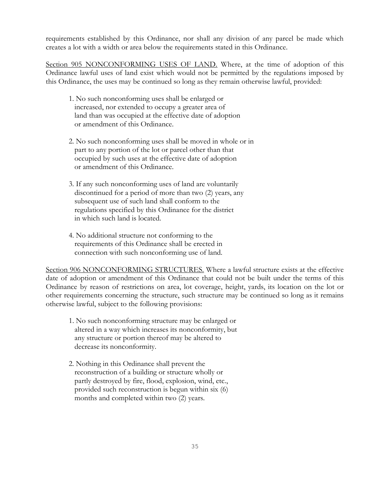requirements established by this Ordinance, nor shall any division of any parcel be made which creates a lot with a width or area below the requirements stated in this Ordinance.

Section 905 NONCONFORMING USES OF LAND. Where, at the time of adoption of this Ordinance lawful uses of land exist which would not be permitted by the regulations imposed by this Ordinance, the uses may be continued so long as they remain otherwise lawful, provided:

- 1. No such nonconforming uses shall be enlarged or increased, nor extended to occupy a greater area of land than was occupied at the effective date of adoption or amendment of this Ordinance.
- 2. No such nonconforming uses shall be moved in whole or in part to any portion of the lot or parcel other than that occupied by such uses at the effective date of adoption or amendment of this Ordinance.
- 3. If any such nonconforming uses of land are voluntarily discontinued for a period of more than two (2) years, any subsequent use of such land shall conform to the regulations specified by this Ordinance for the district in which such land is located.
- 4. No additional structure not conforming to the requirements of this Ordinance shall be erected in connection with such nonconforming use of land.

Section 906 NONCONFORMING STRUCTURES. Where a lawful structure exists at the effective date of adoption or amendment of this Ordinance that could not be built under the terms of this Ordinance by reason of restrictions on area, lot coverage, height, yards, its location on the lot or other requirements concerning the structure, such structure may be continued so long as it remains otherwise lawful, subject to the following provisions:

- 1. No such nonconforming structure may be enlarged or altered in a way which increases its nonconformity, but any structure or portion thereof may be altered to decrease its nonconformity.
- 2. Nothing in this Ordinance shall prevent the reconstruction of a building or structure wholly or partly destroyed by fire, flood, explosion, wind, etc., provided such reconstruction is begun within six (6) months and completed within two (2) years.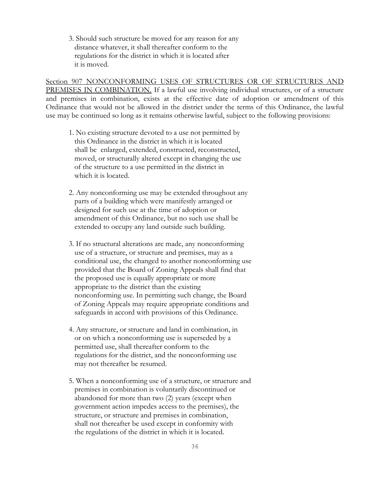3. Should such structure be moved for any reason for any distance whatever, it shall thereafter conform to the regulations for the district in which it is located after it is moved.

Section 907 NONCONFORMING USES OF STRUCTURES OR OF STRUCTURES AND PREMISES IN COMBINATION. If a lawful use involving individual structures, or of a structure and premises in combination, exists at the effective date of adoption or amendment of this Ordinance that would not be allowed in the district under the terms of this Ordinance, the lawful use may be continued so long as it remains otherwise lawful, subject to the following provisions:

- 1. No existing structure devoted to a use not permitted by this Ordinance in the district in which it is located shall be enlarged, extended, constructed, reconstructed, moved, or structurally altered except in changing the use of the structure to a use permitted in the district in which it is located.
- 2. Any nonconforming use may be extended throughout any parts of a building which were manifestly arranged or designed for such use at the time of adoption or amendment of this Ordinance, but no such use shall be extended to occupy any land outside such building.
- 3. If no structural alterations are made, any nonconforming use of a structure, or structure and premises, may as a conditional use, the changed to another nonconforming use provided that the Board of Zoning Appeals shall find that the proposed use is equally appropriate or more appropriate to the district than the existing nonconforming use. In permitting such change, the Board of Zoning Appeals may require appropriate conditions and safeguards in accord with provisions of this Ordinance.
- 4. Any structure, or structure and land in combination, in or on which a nonconforming use is superseded by a permitted use, shall thereafter conform to the regulations for the district, and the nonconforming use may not thereafter be resumed.
- 5. When a nonconforming use of a structure, or structure and premises in combination is voluntarily discontinued or abandoned for more than two (2) years (except when government action impedes access to the premises), the structure, or structure and premises in combination, shall not thereafter be used except in conformity with the regulations of the district in which it is located.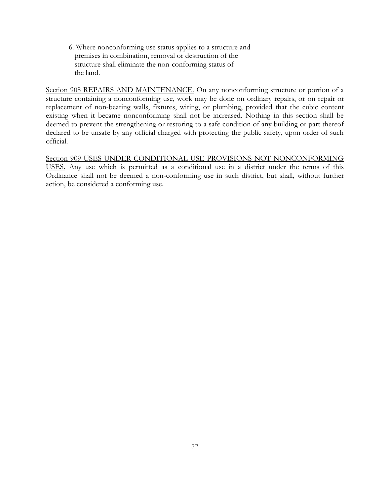6. Where nonconforming use status applies to a structure and premises in combination, removal or destruction of the structure shall eliminate the non-conforming status of the land.

Section 908 REPAIRS AND MAINTENANCE. On any nonconforming structure or portion of a structure containing a nonconforming use, work may be done on ordinary repairs, or on repair or replacement of non-bearing walls, fixtures, wiring, or plumbing, provided that the cubic content existing when it became nonconforming shall not be increased. Nothing in this section shall be deemed to prevent the strengthening or restoring to a safe condition of any building or part thereof declared to be unsafe by any official charged with protecting the public safety, upon order of such official.

Section 909 USES UNDER CONDITIONAL USE PROVISIONS NOT NONCONFORMING USES. Any use which is permitted as a conditional use in a district under the terms of this Ordinance shall not be deemed a non-conforming use in such district, but shall, without further action, be considered a conforming use.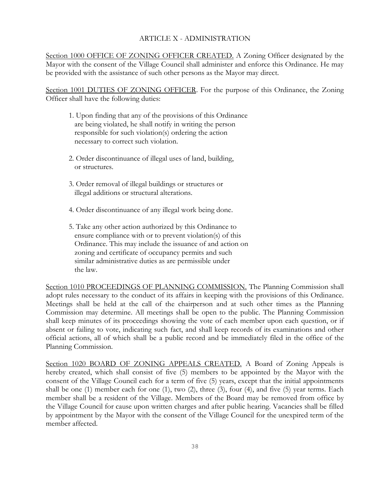#### ARTICLE X - ADMINISTRATION

Section 1000 OFFICE OF ZONING OFFICER CREATED. A Zoning Officer designated by the Mayor with the consent of the Village Council shall administer and enforce this Ordinance. He may be provided with the assistance of such other persons as the Mayor may direct.

Section 1001 DUTIES OF ZONING OFFICER. For the purpose of this Ordinance, the Zoning Officer shall have the following duties:

- 1. Upon finding that any of the provisions of this Ordinance are being violated, he shall notify in writing the person responsible for such violation(s) ordering the action necessary to correct such violation.
- 2. Order discontinuance of illegal uses of land, building, or structures.
- 3. Order removal of illegal buildings or structures or illegal additions or structural alterations.
- 4. Order discontinuance of any illegal work being done.
- 5. Take any other action authorized by this Ordinance to ensure compliance with or to prevent violation(s) of this Ordinance. This may include the issuance of and action on zoning and certificate of occupancy permits and such similar administrative duties as are permissible under the law.

Section 1010 PROCEEDINGS OF PLANNING COMMISSION. The Planning Commission shall adopt rules necessary to the conduct of its affairs in keeping with the provisions of this Ordinance. Meetings shall be held at the call of the chairperson and at such other times as the Planning Commission may determine. All meetings shall be open to the public. The Planning Commission shall keep minutes of its proceedings showing the vote of each member upon each question, or if absent or failing to vote, indicating such fact, and shall keep records of its examinations and other official actions, all of which shall be a public record and be immediately filed in the office of the Planning Commission.

Section 1020 BOARD OF ZONING APPEALS CREATED. A Board of Zoning Appeals is hereby created, which shall consist of five (5) members to be appointed by the Mayor with the consent of the Village Council each for a term of five (5) years, except that the initial appointments shall be one (1) member each for one (1), two (2), three (3), four (4), and five (5) year terms. Each member shall be a resident of the Village. Members of the Board may be removed from office by the Village Council for cause upon written charges and after public hearing. Vacancies shall be filled by appointment by the Mayor with the consent of the Village Council for the unexpired term of the member affected.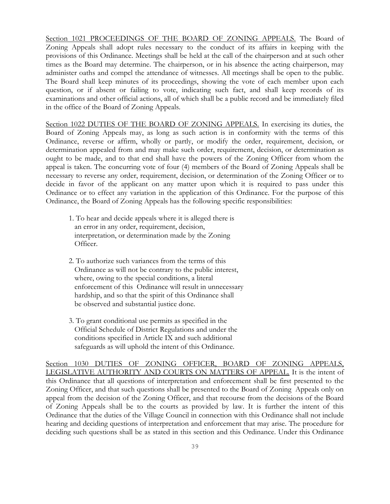Section 1021 PROCEEDINGS OF THE BOARD OF ZONING APPEALS. The Board of Zoning Appeals shall adopt rules necessary to the conduct of its affairs in keeping with the provisions of this Ordinance. Meetings shall be held at the call of the chairperson and at such other times as the Board may determine. The chairperson, or in his absence the acting chairperson, may administer oaths and compel the attendance of witnesses. All meetings shall be open to the public. The Board shall keep minutes of its proceedings, showing the vote of each member upon each question, or if absent or failing to vote, indicating such fact, and shall keep records of its examinations and other official actions, all of which shall be a public record and be immediately filed in the office of the Board of Zoning Appeals.

Section 1022 DUTIES OF THE BOARD OF ZONING APPEALS. In exercising its duties, the Board of Zoning Appeals may, as long as such action is in conformity with the terms of this Ordinance, reverse or affirm, wholly or partly, or modify the order, requirement, decision, or determination appealed from and may make such order, requirement, decision, or determination as ought to be made, and to that end shall have the powers of the Zoning Officer from whom the appeal is taken. The concurring vote of four (4) members of the Board of Zoning Appeals shall be necessary to reverse any order, requirement, decision, or determination of the Zoning Officer or to decide in favor of the applicant on any matter upon which it is required to pass under this Ordinance or to effect any variation in the application of this Ordinance. For the purpose of this Ordinance, the Board of Zoning Appeals has the following specific responsibilities:

- 1. To hear and decide appeals where it is alleged there is an error in any order, requirement, decision, interpretation, or determination made by the Zoning Officer.
- 2. To authorize such variances from the terms of this Ordinance as will not be contrary to the public interest, where, owing to the special conditions, a literal enforcement of this Ordinance will result in unnecessary hardship, and so that the spirit of this Ordinance shall be observed and substantial justice done.
- 3. To grant conditional use permits as specified in the Official Schedule of District Regulations and under the conditions specified in Article IX and such additional safeguards as will uphold the intent of this Ordinance.

Section 1030 DUTIES OF ZONING OFFICER, BOARD OF ZONING APPEALS, LEGISLATIVE AUTHORITY AND COURTS ON MATTERS OF APPEAL. It is the intent of this Ordinance that all questions of interpretation and enforcement shall be first presented to the Zoning Officer, and that such questions shall be presented to the Board of Zoning Appeals only on appeal from the decision of the Zoning Officer, and that recourse from the decisions of the Board of Zoning Appeals shall be to the courts as provided by law. It is further the intent of this Ordinance that the duties of the Village Council in connection with this Ordinance shall not include hearing and deciding questions of interpretation and enforcement that may arise. The procedure for deciding such questions shall be as stated in this section and this Ordinance. Under this Ordinance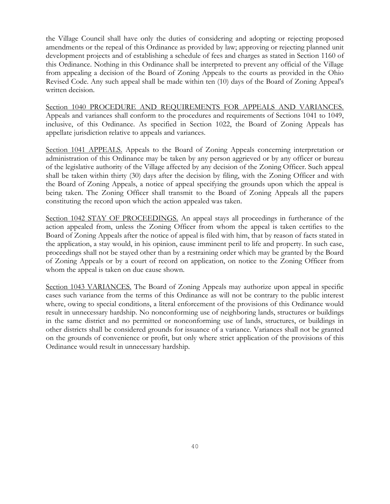the Village Council shall have only the duties of considering and adopting or rejecting proposed amendments or the repeal of this Ordinance as provided by law; approving or rejecting planned unit development projects and of establishing a schedule of fees and charges as stated in Section 1160 of this Ordinance. Nothing in this Ordinance shall be interpreted to prevent any official of the Village from appealing a decision of the Board of Zoning Appeals to the courts as provided in the Ohio Revised Code. Any such appeal shall be made within ten (10) days of the Board of Zoning Appeal's written decision.

Section 1040 PROCEDURE AND REQUIREMENTS FOR APPEALS AND VARIANCES. Appeals and variances shall conform to the procedures and requirements of Sections 1041 to 1049, inclusive, of this Ordinance. As specified in Section 1022, the Board of Zoning Appeals has appellate jurisdiction relative to appeals and variances.

Section 1041 APPEALS. Appeals to the Board of Zoning Appeals concerning interpretation or administration of this Ordinance may be taken by any person aggrieved or by any officer or bureau of the legislative authority of the Village affected by any decision of the Zoning Officer. Such appeal shall be taken within thirty (30) days after the decision by filing, with the Zoning Officer and with the Board of Zoning Appeals, a notice of appeal specifying the grounds upon which the appeal is being taken. The Zoning Officer shall transmit to the Board of Zoning Appeals all the papers constituting the record upon which the action appealed was taken.

Section 1042 STAY OF PROCEEDINGS. An appeal stays all proceedings in furtherance of the action appealed from, unless the Zoning Officer from whom the appeal is taken certifies to the Board of Zoning Appeals after the notice of appeal is filed with him, that by reason of facts stated in the application, a stay would, in his opinion, cause imminent peril to life and property. In such case, proceedings shall not be stayed other than by a restraining order which may be granted by the Board of Zoning Appeals or by a court of record on application, on notice to the Zoning Officer from whom the appeal is taken on due cause shown.

Section 1043 VARIANCES. The Board of Zoning Appeals may authorize upon appeal in specific cases such variance from the terms of this Ordinance as will not be contrary to the public interest where, owing to special conditions, a literal enforcement of the provisions of this Ordinance would result in unnecessary hardship. No nonconforming use of neighboring lands, structures or buildings in the same district and no permitted or nonconforming use of lands, structures, or buildings in other districts shall be considered grounds for issuance of a variance. Variances shall not be granted on the grounds of convenience or profit, but only where strict application of the provisions of this Ordinance would result in unnecessary hardship.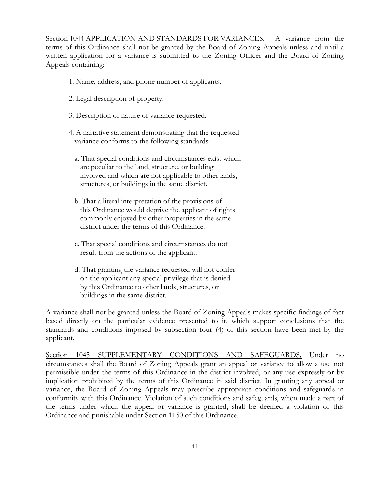Section 1044 APPLICATION AND STANDARDS FOR VARIANCES. A variance from the terms of this Ordinance shall not be granted by the Board of Zoning Appeals unless and until a written application for a variance is submitted to the Zoning Officer and the Board of Zoning Appeals containing:

- 1. Name, address, and phone number of applicants.
- 2. Legal description of property.
- 3. Description of nature of variance requested.
- 4. A narrative statement demonstrating that the requested variance conforms to the following standards:
	- a. That special conditions and circumstances exist which are peculiar to the land, structure, or building involved and which are not applicable to other lands, structures, or buildings in the same district.
	- b. That a literal interpretation of the provisions of this Ordinance would deprive the applicant of rights commonly enjoyed by other properties in the same district under the terms of this Ordinance.
	- c. That special conditions and circumstances do not result from the actions of the applicant.
	- d. That granting the variance requested will not confer on the applicant any special privilege that is denied by this Ordinance to other lands, structures, or buildings in the same district.

A variance shall not be granted unless the Board of Zoning Appeals makes specific findings of fact based directly on the particular evidence presented to it, which support conclusions that the standards and conditions imposed by subsection four (4) of this section have been met by the applicant.

Section 1045 SUPPLEMENTARY CONDITIONS AND SAFEGUARDS. Under no circumstances shall the Board of Zoning Appeals grant an appeal or variance to allow a use not permissible under the terms of this Ordinance in the district involved, or any use expressly or by implication prohibited by the terms of this Ordinance in said district. In granting any appeal or variance, the Board of Zoning Appeals may prescribe appropriate conditions and safeguards in conformity with this Ordinance. Violation of such conditions and safeguards, when made a part of the terms under which the appeal or variance is granted, shall be deemed a violation of this Ordinance and punishable under Section 1150 of this Ordinance.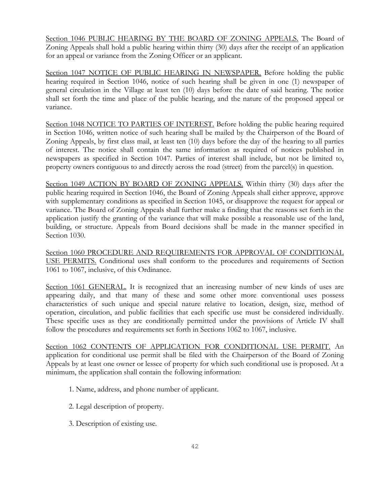Section 1046 PUBLIC HEARING BY THE BOARD OF ZONING APPEALS. The Board of Zoning Appeals shall hold a public hearing within thirty (30) days after the receipt of an application for an appeal or variance from the Zoning Officer or an applicant.

Section 1047 NOTICE OF PUBLIC HEARING IN NEWSPAPER. Before holding the public hearing required in Section 1046, notice of such hearing shall be given in one (1) newspaper of general circulation in the Village at least ten (10) days before the date of said hearing. The notice shall set forth the time and place of the public hearing, and the nature of the proposed appeal or variance.

Section 1048 NOTICE TO PARTIES OF INTEREST. Before holding the public hearing required in Section 1046, written notice of such hearing shall be mailed by the Chairperson of the Board of Zoning Appeals, by first class mail, at least ten (10) days before the day of the hearing to all parties of interest. The notice shall contain the same information as required of notices published in newspapers as specified in Section 1047. Parties of interest shall include, but not be limited to, property owners contiguous to and directly across the road (street) from the parcel(s) in question.

Section 1049 ACTION BY BOARD OF ZONING APPEALS. Within thirty (30) days after the public hearing required in Section 1046, the Board of Zoning Appeals shall either approve, approve with supplementary conditions as specified in Section 1045, or disapprove the request for appeal or variance. The Board of Zoning Appeals shall further make a finding that the reasons set forth in the application justify the granting of the variance that will make possible a reasonable use of the land, building, or structure. Appeals from Board decisions shall be made in the manner specified in Section 1030.

Section 1060 PROCEDURE AND REQUIREMENTS FOR APPROVAL OF CONDITIONAL USE PERMITS. Conditional uses shall conform to the procedures and requirements of Section 1061 to 1067, inclusive, of this Ordinance.

Section 1061 GENERAL. It is recognized that an increasing number of new kinds of uses are appearing daily, and that many of these and some other more conventional uses possess characteristics of such unique and special nature relative to location, design, size, method of operation, circulation, and public facilities that each specific use must be considered individually. These specific uses as they are conditionally permitted under the provisions of Article IV shall follow the procedures and requirements set forth in Sections 1062 to 1067, inclusive.

Section 1062 CONTENTS OF APPLICATION FOR CONDITIONAL USE PERMIT. An application for conditional use permit shall be filed with the Chairperson of the Board of Zoning Appeals by at least one owner or lessee of property for which such conditional use is proposed. At a minimum, the application shall contain the following information:

- 1. Name, address, and phone number of applicant.
- 2. Legal description of property.
- 3. Description of existing use.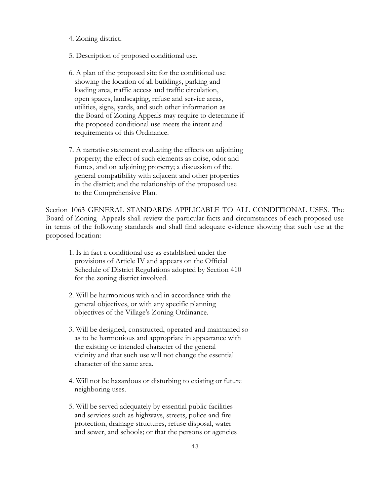- 4. Zoning district.
- 5. Description of proposed conditional use.
- 6. A plan of the proposed site for the conditional use showing the location of all buildings, parking and loading area, traffic access and traffic circulation, open spaces, landscaping, refuse and service areas, utilities, signs, yards, and such other information as the Board of Zoning Appeals may require to determine if the proposed conditional use meets the intent and requirements of this Ordinance.
- 7. A narrative statement evaluating the effects on adjoining property; the effect of such elements as noise, odor and fumes, and on adjoining property; a discussion of the general compatibility with adjacent and other properties in the district; and the relationship of the proposed use to the Comprehensive Plan.

Section 1063 GENERAL STANDARDS APPLICABLE TO ALL CONDITIONAL USES. The Board of Zoning Appeals shall review the particular facts and circumstances of each proposed use in terms of the following standards and shall find adequate evidence showing that such use at the proposed location:

- 1. Is in fact a conditional use as established under the provisions of Article IV and appears on the Official Schedule of District Regulations adopted by Section 410 for the zoning district involved.
- 2. Will be harmonious with and in accordance with the general objectives, or with any specific planning objectives of the Village's Zoning Ordinance.
- 3. Will be designed, constructed, operated and maintained so as to be harmonious and appropriate in appearance with the existing or intended character of the general vicinity and that such use will not change the essential character of the same area.
- 4. Will not be hazardous or disturbing to existing or future neighboring uses.
- 5. Will be served adequately by essential public facilities and services such as highways, streets, police and fire protection, drainage structures, refuse disposal, water and sewer, and schools; or that the persons or agencies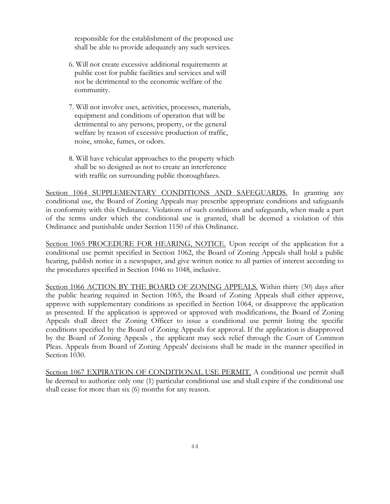responsible for the establishment of the proposed use shall be able to provide adequately any such services.

- 6. Will not create excessive additional requirements at public cost for public facilities and services and will not be detrimental to the economic welfare of the community.
- 7. Will not involve uses, activities, processes, materials, equipment and conditions of operation that will be detrimental to any persons, property, or the general welfare by reason of excessive production of traffic, noise, smoke, fumes, or odors.
- 8. Will have vehicular approaches to the property which shall be so designed as not to create an interference with traffic on surrounding public thoroughfares.

Section 1064 SUPPLEMENTARY CONDITIONS AND SAFEGUARDS. In granting any conditional use, the Board of Zoning Appeals may prescribe appropriate conditions and safeguards in conformity with this Ordinance. Violations of such conditions and safeguards, when made a part of the terms under which the conditional use is granted, shall be deemed a violation of this Ordinance and punishable under Section 1150 of this Ordinance.

Section 1065 PROCEDURE FOR HEARING, NOTICE. Upon receipt of the application for a conditional use permit specified in Section 1062, the Board of Zoning Appeals shall hold a public hearing, publish notice in a newspaper, and give written notice to all parties of interest according to the procedures specified in Section 1046 to 1048, inclusive.

Section 1066 ACTION BY THE BOARD OF ZONING APPEALS. Within thirty (30) days after the public hearing required in Section 1065, the Board of Zoning Appeals shall either approve, approve with supplementary conditions as specified in Section 1064, or disapprove the application as presented. If the application is approved or approved with modifications, the Board of Zoning Appeals shall direct the Zoning Officer to issue a conditional use permit listing the specific conditions specified by the Board of Zoning Appeals for approval. If the application is disapproved by the Board of Zoning Appeals , the applicant may seek relief through the Court of Common Pleas. Appeals from Board of Zoning Appeals' decisions shall be made in the manner specified in Section 1030.

Section 1067 EXPIRATION OF CONDITIONAL USE PERMIT. A conditional use permit shall be deemed to authorize only one (1) particular conditional use and shall expire if the conditional use shall cease for more than six (6) months for any reason.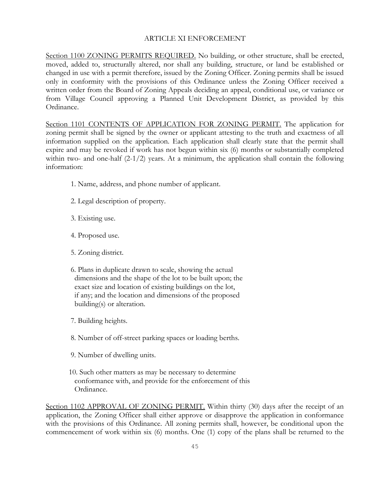#### ARTICLE XI ENFORCEMENT

Section 1100 ZONING PERMITS REQUIRED. No building, or other structure, shall be erected, moved, added to, structurally altered, nor shall any building, structure, or land be established or changed in use with a permit therefore, issued by the Zoning Officer. Zoning permits shall be issued only in conformity with the provisions of this Ordinance unless the Zoning Officer received a written order from the Board of Zoning Appeals deciding an appeal, conditional use, or variance or from Village Council approving a Planned Unit Development District, as provided by this Ordinance.

Section 1101 CONTENTS OF APPLICATION FOR ZONING PERMIT. The application for zoning permit shall be signed by the owner or applicant attesting to the truth and exactness of all information supplied on the application. Each application shall clearly state that the permit shall expire and may be revoked if work has not begun within six (6) months or substantially completed within two- and one-half (2-1/2) years. At a minimum, the application shall contain the following information:

- 1. Name, address, and phone number of applicant.
- 2. Legal description of property.
- 3. Existing use.
- 4. Proposed use.
- 5. Zoning district.
- 6. Plans in duplicate drawn to scale, showing the actual dimensions and the shape of the lot to be built upon; the exact size and location of existing buildings on the lot, if any; and the location and dimensions of the proposed building(s) or alteration.
- 7. Building heights.
- 8. Number of off-street parking spaces or loading berths.
- 9. Number of dwelling units.
- 10. Such other matters as may be necessary to determine conformance with, and provide for the enforcement of this Ordinance.

Section 1102 APPROVAL OF ZONING PERMIT. Within thirty (30) days after the receipt of an application, the Zoning Officer shall either approve or disapprove the application in conformance with the provisions of this Ordinance. All zoning permits shall, however, be conditional upon the commencement of work within six (6) months. One (1) copy of the plans shall be returned to the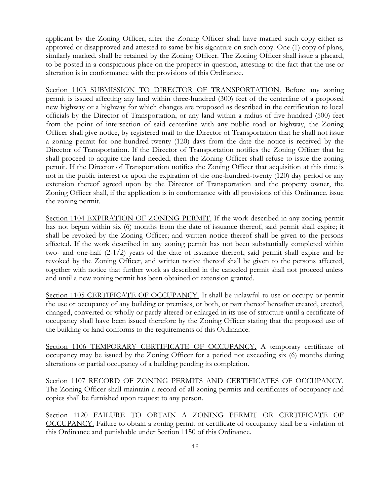applicant by the Zoning Officer, after the Zoning Officer shall have marked such copy either as approved or disapproved and attested to same by his signature on such copy. One (1) copy of plans, similarly marked, shall be retained by the Zoning Officer. The Zoning Officer shall issue a placard, to be posted in a conspicuous place on the property in question, attesting to the fact that the use or alteration is in conformance with the provisions of this Ordinance.

Section 1103 SUBMISSION TO DIRECTOR OF TRANSPORTATION. Before any zoning permit is issued affecting any land within three-hundred (300) feet of the centerline of a proposed new highway or a highway for which changes are proposed as described in the certification to local officials by the Director of Transportation, or any land within a radius of five-hundred (500) feet from the point of intersection of said centerline with any public road or highway, the Zoning Officer shall give notice, by registered mail to the Director of Transportation that he shall not issue a zoning permit for one-hundred-twenty (120) days from the date the notice is received by the Director of Transportation. If the Director of Transportation notifies the Zoning Officer that he shall proceed to acquire the land needed, then the Zoning Officer shall refuse to issue the zoning permit. If the Director of Transportation notifies the Zoning Officer that acquisition at this time is not in the public interest or upon the expiration of the one-hundred-twenty (120) day period or any extension thereof agreed upon by the Director of Transportation and the property owner, the Zoning Officer shall, if the application is in conformance with all provisions of this Ordinance, issue the zoning permit.

Section 1104 EXPIRATION OF ZONING PERMIT. If the work described in any zoning permit has not begun within six (6) months from the date of issuance thereof, said permit shall expire; it shall be revoked by the Zoning Officer; and written notice thereof shall be given to the persons affected. If the work described in any zoning permit has not been substantially completed within two- and one-half (2-1/2) years of the date of issuance thereof, said permit shall expire and be revoked by the Zoning Officer, and written notice thereof shall be given to the persons affected, together with notice that further work as described in the canceled permit shall not proceed unless and until a new zoning permit has been obtained or extension granted.

Section 1105 CERTIFICATE OF OCCUPANCY. It shall be unlawful to use or occupy or permit the use or occupancy of any building or premises, or both, or part thereof hereafter created, erected, changed, converted or wholly or partly altered or enlarged in its use of structure until a certificate of occupancy shall have been issued therefore by the Zoning Officer stating that the proposed use of the building or land conforms to the requirements of this Ordinance.

Section 1106 TEMPORARY CERTIFICATE OF OCCUPANCY. A temporary certificate of occupancy may be issued by the Zoning Officer for a period not exceeding six (6) months during alterations or partial occupancy of a building pending its completion.

Section 1107 RECORD OF ZONING PERMITS AND CERTIFICATES OF OCCUPANCY. The Zoning Officer shall maintain a record of all zoning permits and certificates of occupancy and copies shall be furnished upon request to any person.

Section 1120 FAILURE TO OBTAIN A ZONING PERMIT OR CERTIFICATE OF OCCUPANCY. Failure to obtain a zoning permit or certificate of occupancy shall be a violation of this Ordinance and punishable under Section 1150 of this Ordinance.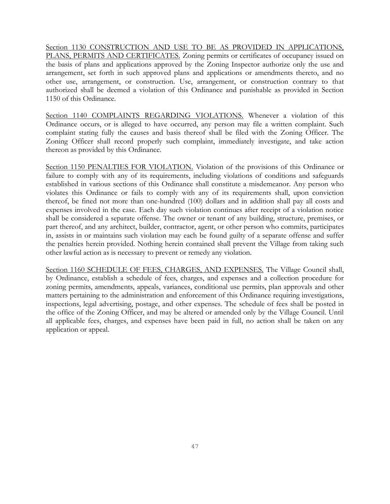Section 1130 CONSTRUCTION AND USE TO BE AS PROVIDED IN APPLICATIONS, PLANS, PERMITS AND CERTIFICATES. Zoning permits or certificates of occupancy issued on the basis of plans and applications approved by the Zoning Inspector authorize only the use and arrangement, set forth in such approved plans and applications or amendments thereto, and no other use, arrangement, or construction. Use, arrangement, or construction contrary to that authorized shall be deemed a violation of this Ordinance and punishable as provided in Section 1150 of this Ordinance.

Section 1140 COMPLAINTS REGARDING VIOLATIONS. Whenever a violation of this Ordinance occurs, or is alleged to have occurred, any person may file a written complaint. Such complaint stating fully the causes and basis thereof shall be filed with the Zoning Officer. The Zoning Officer shall record properly such complaint, immediately investigate, and take action thereon as provided by this Ordinance.

Section 1150 PENALTIES FOR VIOLATION. Violation of the provisions of this Ordinance or failure to comply with any of its requirements, including violations of conditions and safeguards established in various sections of this Ordinance shall constitute a misdemeanor. Any person who violates this Ordinance or fails to comply with any of its requirements shall, upon conviction thereof, be fined not more than one-hundred (100) dollars and in addition shall pay all costs and expenses involved in the case. Each day such violation continues after receipt of a violation notice shall be considered a separate offense. The owner or tenant of any building, structure, premises, or part thereof, and any architect, builder, contractor, agent, or other person who commits, participates in, assists in or maintains such violation may each be found guilty of a separate offense and suffer the penalties herein provided. Nothing herein contained shall prevent the Village from taking such other lawful action as is necessary to prevent or remedy any violation.

Section 1160 SCHEDULE OF FEES, CHARGES, AND EXPENSES. The Village Council shall, by Ordinance, establish a schedule of fees, charges, and expenses and a collection procedure for zoning permits, amendments, appeals, variances, conditional use permits, plan approvals and other matters pertaining to the administration and enforcement of this Ordinance requiring investigations, inspections, legal advertising, postage, and other expenses. The schedule of fees shall be posted in the office of the Zoning Officer, and may be altered or amended only by the Village Council. Until all applicable fees, charges, and expenses have been paid in full, no action shall be taken on any application or appeal.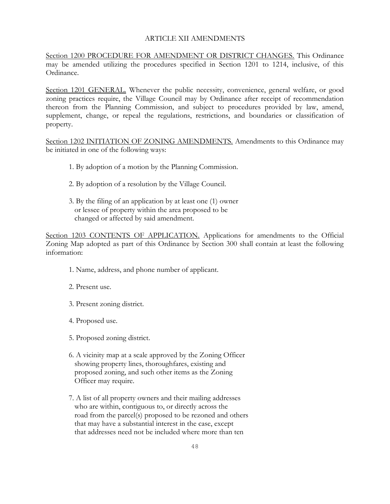### ARTICLE XII AMENDMENTS

Section 1200 PROCEDURE FOR AMENDMENT OR DISTRICT CHANGES. This Ordinance may be amended utilizing the procedures specified in Section 1201 to 1214, inclusive, of this Ordinance.

Section 1201 GENERAL. Whenever the public necessity, convenience, general welfare, or good zoning practices require, the Village Council may by Ordinance after receipt of recommendation thereon from the Planning Commission, and subject to procedures provided by law, amend, supplement, change, or repeal the regulations, restrictions, and boundaries or classification of property.

Section 1202 INITIATION OF ZONING AMENDMENTS. Amendments to this Ordinance may be initiated in one of the following ways:

- 1. By adoption of a motion by the Planning Commission.
- 2. By adoption of a resolution by the Village Council.
- 3. By the filing of an application by at least one (1) owner or lessee of property within the area proposed to be changed or affected by said amendment.

Section 1203 CONTENTS OF APPLICATION. Applications for amendments to the Official Zoning Map adopted as part of this Ordinance by Section 300 shall contain at least the following information:

- 1. Name, address, and phone number of applicant.
- 2. Present use.
- 3. Present zoning district.
- 4. Proposed use.
- 5. Proposed zoning district.
- 6. A vicinity map at a scale approved by the Zoning Officer showing property lines, thoroughfares, existing and proposed zoning, and such other items as the Zoning Officer may require.
- 7. A list of all property owners and their mailing addresses who are within, contiguous to, or directly across the road from the parcel(s) proposed to be rezoned and others that may have a substantial interest in the case, except that addresses need not be included where more than ten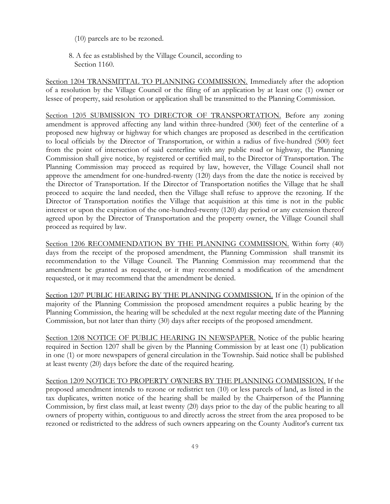- (10) parcels are to be rezoned.
- 8. A fee as established by the Village Council, according to Section 1160.

Section 1204 TRANSMITTAL TO PLANNING COMMISSION. Immediately after the adoption of a resolution by the Village Council or the filing of an application by at least one (1) owner or lessee of property, said resolution or application shall be transmitted to the Planning Commission.

Section 1205 SUBMISSION TO DIRECTOR OF TRANSPORTATION. Before any zoning amendment is approved affecting any land within three-hundred (300) feet of the centerline of a proposed new highway or highway for which changes are proposed as described in the certification to local officials by the Director of Transportation, or within a radius of five-hundred (500) feet from the point of intersection of said centerline with any public road or highway, the Planning Commission shall give notice, by registered or certified mail, to the Director of Transportation. The Planning Commission may proceed as required by law, however, the Village Council shall not approve the amendment for one-hundred-twenty (120) days from the date the notice is received by the Director of Transportation. If the Director of Transportation notifies the Village that he shall proceed to acquire the land needed, then the Village shall refuse to approve the rezoning. If the Director of Transportation notifies the Village that acquisition at this time is not in the public interest or upon the expiration of the one-hundred-twenty (120) day period or any extension thereof agreed upon by the Director of Transportation and the property owner, the Village Council shall proceed as required by law.

Section 1206 RECOMMENDATION BY THE PLANNING COMMISSION. Within forty (40) days from the receipt of the proposed amendment, the Planning Commission shall transmit its recommendation to the Village Council. The Planning Commission may recommend that the amendment be granted as requested, or it may recommend a modification of the amendment requested, or it may recommend that the amendment be denied.

Section 1207 PUBLIC HEARING BY THE PLANNING COMMISSION. If in the opinion of the majority of the Planning Commission the proposed amendment requires a public hearing by the Planning Commission, the hearing will be scheduled at the next regular meeting date of the Planning Commission, but not later than thirty (30) days after receipts of the proposed amendment.

Section 1208 NOTICE OF PUBLIC HEARING IN NEWSPAPER. Notice of the public hearing required in Section 1207 shall be given by the Planning Commission by at least one (1) publication in one (1) or more newspapers of general circulation in the Township. Said notice shall be published at least twenty (20) days before the date of the required hearing.

Section 1209 NOTICE TO PROPERTY OWNERS BY THE PLANNING COMMISSION. If the proposed amendment intends to rezone or redistrict ten (10) or less parcels of land, as listed in the tax duplicates, written notice of the hearing shall be mailed by the Chairperson of the Planning Commission, by first class mail, at least twenty (20) days prior to the day of the public hearing to all owners of property within, contiguous to and directly across the street from the area proposed to be rezoned or redistricted to the address of such owners appearing on the County Auditor's current tax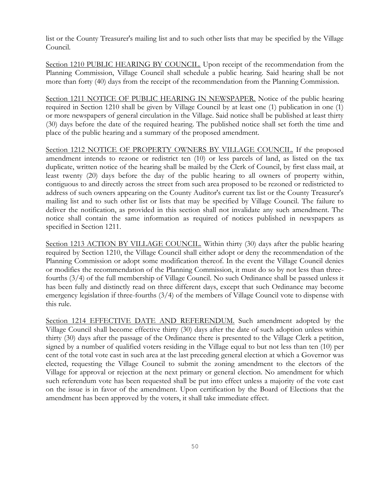list or the County Treasurer's mailing list and to such other lists that may be specified by the Village Council.

Section 1210 PUBLIC HEARING BY COUNCIL. Upon receipt of the recommendation from the Planning Commission, Village Council shall schedule a public hearing. Said hearing shall be not more than forty (40) days from the receipt of the recommendation from the Planning Commission.

Section 1211 NOTICE OF PUBLIC HEARING IN NEWSPAPER. Notice of the public hearing required in Section 1210 shall be given by Village Council by at least one (1) publication in one (1) or more newspapers of general circulation in the Village. Said notice shall be published at least thirty (30) days before the date of the required hearing. The published notice shall set forth the time and place of the public hearing and a summary of the proposed amendment.

Section 1212 NOTICE OF PROPERTY OWNERS BY VILLAGE COUNCIL. If the proposed amendment intends to rezone or redistrict ten (10) or less parcels of land, as listed on the tax duplicate, written notice of the hearing shall be mailed by the Clerk of Council, by first class mail, at least twenty (20) days before the day of the public hearing to all owners of property within, contiguous to and directly across the street from such area proposed to be rezoned or redistricted to address of such owners appearing on the County Auditor's current tax list or the County Treasurer's mailing list and to such other list or lists that may be specified by Village Council. The failure to deliver the notification, as provided in this section shall not invalidate any such amendment. The notice shall contain the same information as required of notices published in newspapers as specified in Section 1211.

Section 1213 ACTION BY VILLAGE COUNCIL. Within thirty (30) days after the public hearing required by Section 1210, the Village Council shall either adopt or deny the recommendation of the Planning Commission or adopt some modification thereof. In the event the Village Council denies or modifies the recommendation of the Planning Commission, it must do so by not less than threefourths (3/4) of the full membership of Village Council. No such Ordinance shall be passed unless it has been fully and distinctly read on three different days, except that such Ordinance may become emergency legislation if three-fourths (3/4) of the members of Village Council vote to dispense with this rule.

Section 1214 EFFECTIVE DATE AND REFERENDUM. Such amendment adopted by the Village Council shall become effective thirty (30) days after the date of such adoption unless within thirty (30) days after the passage of the Ordinance there is presented to the Village Clerk a petition, signed by a number of qualified voters residing in the Village equal to but not less than ten (10) per cent of the total vote cast in such area at the last preceding general election at which a Governor was elected, requesting the Village Council to submit the zoning amendment to the electors of the Village for approval or rejection at the next primary or general election. No amendment for which such referendum vote has been requested shall be put into effect unless a majority of the vote cast on the issue is in favor of the amendment. Upon certification by the Board of Elections that the amendment has been approved by the voters, it shall take immediate effect.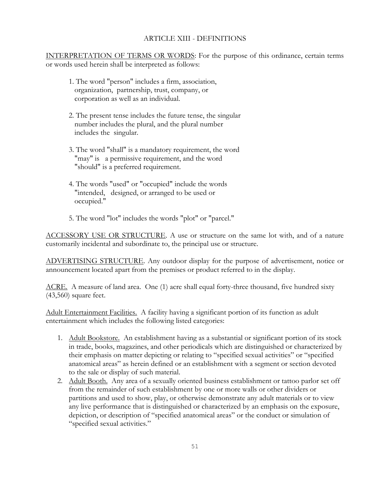## ARTICLE XIII - DEFINITIONS

INTERPRETATION OF TERMS OR WORDS: For the purpose of this ordinance, certain terms or words used herein shall be interpreted as follows:

- 1. The word "person" includes a firm, association, organization, partnership, trust, company, or corporation as well as an individual.
- 2. The present tense includes the future tense, the singular number includes the plural, and the plural number includes the singular.
- 3. The word "shall" is a mandatory requirement, the word "may" is a permissive requirement, and the word "should" is a preferred requirement.
- 4. The words "used" or "occupied" include the words "intended, designed, or arranged to be used or occupied."
- 5. The word "lot" includes the words "plot" or "parcel."

ACCESSORY USE OR STRUCTURE. A use or structure on the same lot with, and of a nature customarily incidental and subordinate to, the principal use or structure.

ADVERTISING STRUCTURE. Any outdoor display for the purpose of advertisement, notice or announcement located apart from the premises or product referred to in the display.

ACRE. A measure of land area. One (1) acre shall equal forty-three thousand, five hundred sixty (43,560) square feet.

Adult Entertainment Facilities. A facility having a significant portion of its function as adult entertainment which includes the following listed categories:

- 1. Adult Bookstore. An establishment having as a substantial or significant portion of its stock in trade, books, magazines, and other periodicals which are distinguished or characterized by their emphasis on matter depicting or relating to "specified sexual activities" or "specified anatomical areas" as herein defined or an establishment with a segment or section devoted to the sale or display of such material.
- 2. Adult Booth. Any area of a sexually oriented business establishment or tattoo parlor set off from the remainder of such establishment by one or more walls or other dividers or partitions and used to show, play, or otherwise demonstrate any adult materials or to view any live performance that is distinguished or characterized by an emphasis on the exposure, depiction, or description of "specified anatomical areas" or the conduct or simulation of "specified sexual activities."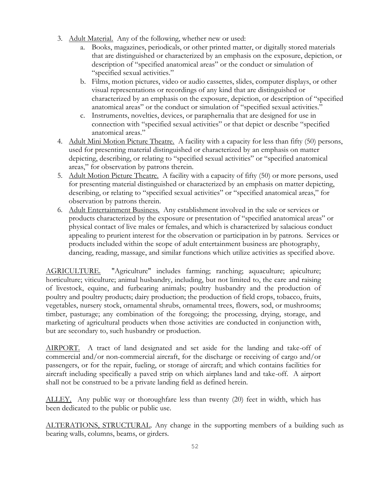- 3. Adult Material. Any of the following, whether new or used:
	- a. Books, magazines, periodicals, or other printed matter, or digitally stored materials that are distinguished or characterized by an emphasis on the exposure, depiction, or description of "specified anatomical areas" or the conduct or simulation of "specified sexual activities."
	- b. Films, motion pictures, video or audio cassettes, slides, computer displays, or other visual representations or recordings of any kind that are distinguished or characterized by an emphasis on the exposure, depiction, or description of "specified anatomical areas" or the conduct or simulation of "specified sexual activities."
	- c. Instruments, novelties, devices, or paraphernalia that are designed for use in connection with "specified sexual activities" or that depict or describe "specified anatomical areas."
- 4. Adult Mini Motion Picture Theatre. A facility with a capacity for less than fifty (50) persons, used for presenting material distinguished or characterized by an emphasis on matter depicting, describing, or relating to "specified sexual activities" or "specified anatomical areas," for observation by patrons therein.
- 5. Adult Motion Picture Theatre. A facility with a capacity of fifty (50) or more persons, used for presenting material distinguished or characterized by an emphasis on matter depicting, describing, or relating to "specified sexual activities" or "specified anatomical areas," for observation by patrons therein.
- 6. Adult Entertainment Business. Any establishment involved in the sale or services or products characterized by the exposure or presentation of "specified anatomical areas" or physical contact of live males or females, and which is characterized by salacious conduct appealing to prurient interest for the observation or participation in by patrons. Services or products included within the scope of adult entertainment business are photography, dancing, reading, massage, and similar functions which utilize activities as specified above.

AGRICULTURE. "Agriculture" includes farming; ranching; aquaculture; apiculture; horticulture; viticulture; animal husbandry, including, but not limited to, the care and raising of livestock, equine, and furbearing animals; poultry husbandry and the production of poultry and poultry products; dairy production; the production of field crops, tobacco, fruits, vegetables, nursery stock, ornamental shrubs, ornamental trees, flowers, sod, or mushrooms; timber, pasturage; any combination of the foregoing; the processing, drying, storage, and marketing of agricultural products when those activities are conducted in conjunction with, but are secondary to, such husbandry or production.

AIRPORT. A tract of land designated and set aside for the landing and take-off of commercial and/or non-commercial aircraft, for the discharge or receiving of cargo and/or passengers, or for the repair, fueling, or storage of aircraft; and which contains facilities for aircraft including specifically a paved strip on which airplanes land and take-off. A airport shall not be construed to be a private landing field as defined herein.

ALLEY. Any public way or thoroughfare less than twenty (20) feet in width, which has been dedicated to the public or public use.

ALTERATIONS, STRUCTURAL. Any change in the supporting members of a building such as bearing walls, columns, beams, or girders.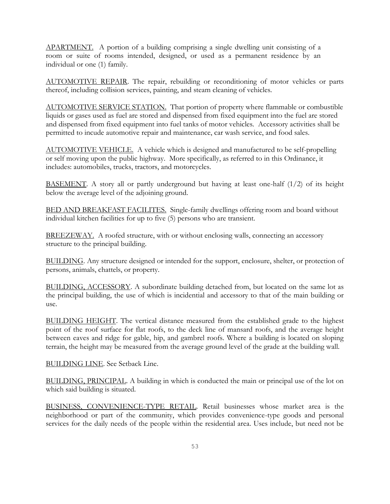APARTMENT. A portion of a building comprising a single dwelling unit consisting of a room or suite of rooms intended, designed, or used as a permanent residence by an individual or one (1) family.

AUTOMOTIVE REPAIR. The repair, rebuilding or reconditioning of motor vehicles or parts thereof, including collision services, painting, and steam cleaning of vehicles.

AUTOMOTIVE SERVICE STATION. That portion of property where flammable or combustible liquids or gases used as fuel are stored and dispensed from fixed equipment into the fuel are stored and dispensed from fixed equipment into fuel tanks of motor vehicles. Accessory activities shall be permitted to incude automotive repair and maintenance, car wash service, and food sales.

AUTOMOTIVE VEHICLE. A vehicle which is designed and manufactured to be self-propelling or self moving upon the public highway. More specifically, as referred to in this Ordinance, it includes: automobiles, trucks, tractors, and motorcycles.

BASEMENT. A story all or partly underground but having at least one-half (1/2) of its height below the average level of the adjoining ground.

BED AND BREAKFAST FACILITES. Single-family dwellings offering room and board without individual kitchen facilities for up to five (5) persons who are transient.

BREEZEWAY. A roofed structure, with or without enclosing walls, connecting an accessory structure to the principal building.

BUILDING. Any structure designed or intended for the support, enclosure, shelter, or protection of persons, animals, chattels, or property.

BUILDING, ACCESSORY. A subordinate building detached from, but located on the same lot as the principal building, the use of which is incidential and accessory to that of the main building or use.

BUILDING HEIGHT. The vertical distance measured from the established grade to the highest point of the roof surface for flat roofs, to the deck line of mansard roofs, and the average height between eaves and ridge for gable, hip, and gambrel roofs. Where a building is located on sloping terrain, the height may be measured from the average ground level of the grade at the building wall.

BUILDING LINE. See Setback Line.

BUILDING, PRINCIPAL. A building in which is conducted the main or principal use of the lot on which said building is situated.

BUSINESS, CONVENIENCE-TYPE RETAIL. Retail businesses whose market area is the neighborhood or part of the community, which provides convenience-type goods and personal services for the daily needs of the people within the residential area. Uses include, but need not be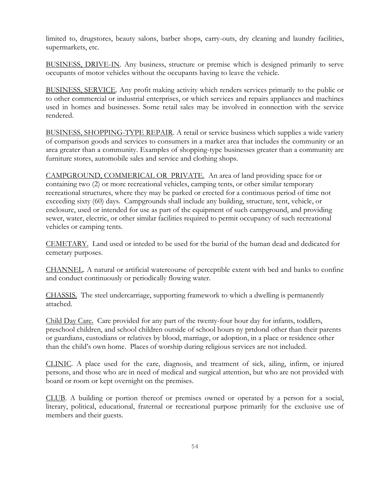limited to, drugstores, beauty salons, barber shops, carry-outs, dry cleaning and laundry facilities, supermarkets, etc.

BUSINESS, DRIVE-IN. Any business, structure or premise which is designed primarily to serve occupants of motor vehicles without the occupants having to leave the vehicle.

BUSINESS, SERVICE. Any profit making activity which renders services primarily to the public or to other commercial or industrial enterprises, or which services and repairs appliances and machines used in homes and businesses. Some retail sales may be involved in connection with the service rendered.

BUSINESS, SHOPPING-TYPE REPAIR. A retail or service business which supplies a wide variety of comparison goods and services to consumers in a market area that includes the community or an area greater than a community. Examples of shopping-type businesses greater than a community are furniture stores, automobile sales and service and clothing shops.

CAMPGROUND, COMMERICAL OR PRIVATE. An area of land providing space for or containing two (2) or more recreational vehicles, camping tents, or other similar temporary recreational structures, where they may be parked or erected for a continuous period of time not exceeding sixty (60) days. Campgrounds shall include any building, structure, tent, vehicle, or enclosure, used or intended for use as part of the equipment of such campground, and providing sewer, water, electric, or other similar facilities required to permit occupancy of such recreational vehicles or camping tents.

CEMETARY. Land used or inteded to be used for the burial of the human dead and dedicated for cemetary purposes.

CHANNEL. A natural or artificial watercourse of perceptible extent with bed and banks to confine and conduct continuously or periodically flowing water.

CHASSIS. The steel undercarriage, supporting framework to which a dwelling is permanently attached.

Child Day Care. Care provided for any part of the twenty-four hour day for infants, toddlers, preschool children, and school children outside of school hours ny prtdond other than their parents or guardians, custodians or relatives by blood, marriage, or adoption, in a place or residence other than the child's own home. Places of worship during religious services are not included.

CLINIC. A place used for the care, diagnosis, and treatment of sick, ailing, infirm, or injured persons, and those who are in need of medical and surgical attention, but who are not provided with board or room or kept overnight on the premises.

CLUB. A building or portion thereof or premises owned or operated by a person for a social, literary, political, educational, fraternal or recreational purpose primarily for the exclusive use of members and their guests.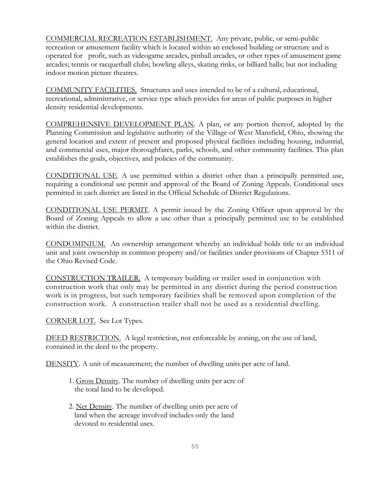COMMERCIAL RECREATION ESTABLISHMENT. Any private, public, or semi-public recreation or amusement facility which is located within an enclosed building or structure and is operated for profit, such as videogame arcades, pinball arcades, or other types of amusement game arcades; tennis or racquetball clubs; bowling alleys, skating rinks, or billiard halls; but not including indoor motion picture theatres.

COMMUNITY FACILITIES. Structures and uses intended to be of a cultural, educational, recreational, administrative, or service type which provides for areas of public purposes in higher density residential developments.

COMPREHENSIVE DEVELOPMENT PLAN. A plan, or any portion thereof, adopted by the Planning Commission and legislative authority of the Village of West Mansfield, Ohio, showing the general location and extent of present and proposed physical facilities including housing, industrial, and commercial uses, major thoroughfares, parks, schools, and other community facilities. This plan establishes the goals, objectives, and policies of the community.

CONDITIONAL USE. A use permitted within a district other than a principally permitted use, requiring a conditional use permit and approval of the Board of Zoning Appeals. Conditional uses permitted in each district are listed in the Official Schedule of District Regulations.

CONDITIONAL USE PERMIT. A permit issued by the Zoning Officer upon approval by the Board of Zoning Appeals to allow a use other than a principally permitted use to be established within the district.

CONDOMINIUM. An ownership arrangement whereby an individual holds title to an individual unit and joint ownership in common property and/or facilities under provisions of Chapter 5311 of the Ohio Revised Code.

CONSTRUCTION TRAILER. A temporary building or trailer used in conjunction with construction work that only may be permitted in any district during the period construc tion work is in progress, but such temporary facilities shall be removed upon completion of the construction work. A construction trailer shall not be used as a residential dwelling.

CORNER LOT. See Lot Types.

DEED RESTRICTION. A legal restriction, not enforceable by zoning, on the use of land, contained in the deed to the property.

DENSITY. A unit of measurement; the number of dwelling units per acre of land.

- 1. Gross Density. The number of dwelling units per acre of the total land to be developed.
- 2. Net Density. The number of dwelling units per acre of land when the acreage involved includes only the land devoted to residential uses.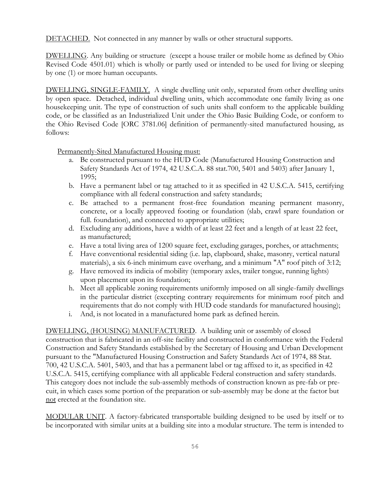DETACHED. Not connected in any manner by walls or other structural supports.

DWELLING. Any building or structure (except a house trailer or mobile home as defined by Ohio Revised Code 4501.01) which is wholly or partly used or intended to be used for living or sleeping by one (1) or more human occupants.

DWELLING, SINGLE-FAMILY. A single dwelling unit only, separated from other dwelling units by open space. Detached, individual dwelling units, which accommodate one family living as one housekeeping unit. The type of construction of such units shall conform to the applicable building code, or be classified as an Industrialized Unit under the Ohio Basic Building Code, or conform to the Ohio Revised Code [ORC 3781.06] definition of permanently-sited manufactured housing, as follows:

Permanently-Sited Manufactured Housing must:

- a. Be constructed pursuant to the HUD Code (Manufactured Housing Construction and Safety Standards Act of 1974, 42 U.S.C.A. 88 stat.700, 5401 and 5403) after January 1, 1995;
- b. Have a permanent label or tag attached to it as specified in 42 U.S.C.A. 5415, certifying compliance with all federal construction and safety standards;
- c. Be attached to a permanent frost-free foundation meaning permanent masonry, concrete, or a locally approved footing or foundation (slab, crawl spare foundation or full. foundation), and connected to appropriate utilities;
- d. Excluding any additions, have a width of at least 22 feet and a length of at least 22 feet, as manufactured;
- e. Have a total living area of 1200 square feet, excluding garages, porches, or attachments;
- f. Have conventional residential siding (i.e. lap, clapboard, shake, masonry, vertical natural materials), a six 6-inch minimum eave overhang, and a minimum "A" roof pitch of 3:12;
- g. Have removed its indicia of mobility (temporary axles, trailer tongue, running lights) upon placement upon its foundation;
- h. Meet all applicable zoning requirements uniformly imposed on all single-family dwellings in the particular district (excepting contrary requirements for minimum roof pitch and requirements that do not comply with HUD code standards for manufactured housing);
- i. And, is not located in a manufactured home park as defined herein.

DWELLING, (HOUSING) MANUFACTURED. A building unit or assembly of closed construction that is fabricated in an off-site facility and constructed in conformance with the Federal Construction and Safety Standards established by the Secretary of Housing and Urban Development pursuant to the "Manufactured Housing Construction and Safety Standards Act of 1974, 88 Stat. 700, 42 U.S.C.A. 5401, 5403, and that has a permanent label or tag affixed to it, as specified in 42 U.S.C.A. 5415, certifying compliance with all applicable Federal construction and safety standards. This category does not include the sub-assembly methods of construction known as pre-fab or precuit, in which cases some portion of the preparation or sub-assembly may be done at the factor but not erected at the foundation site.

MODULAR UNIT. A factory-fabricated transportable building designed to be used by itself or to be incorporated with similar units at a building site into a modular structure. The term is intended to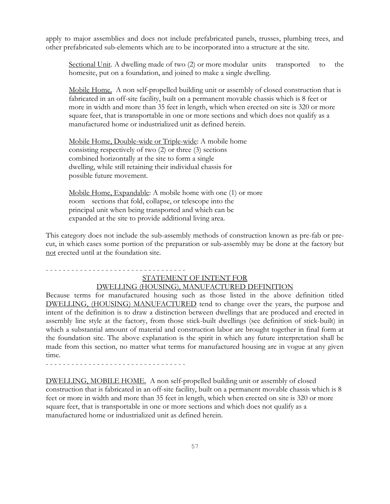apply to major assemblies and does not include prefabricated panels, trusses, plumbing trees, and other prefabricated sub-elements which are to be incorporated into a structure at the site.

Sectional Unit. A dwelling made of two (2) or more modular units transported to the homesite, put on a foundation, and joined to make a single dwelling.

Mobile Home. A non self-propelled building unit or assembly of closed construction that is fabricated in an off-site facility, built on a permanent movable chassis which is 8 feet or more in width and more than 35 feet in length, which when erected on site is 320 or more square feet, that is transportable in one or more sections and which does not qualify as a manufactured home or industrialized unit as defined herein.

Mobile Home, Double-wide or Triple-wide: A mobile home consisting respectively of two (2) or three (3) sections combined horizontally at the site to form a single dwelling, while still retaining their individual chassis for possible future movement.

Mobile Home, Expandable: A mobile home with one (1) or more room sections that fold, collapse, or telescope into the principal unit when being transported and which can be expanded at the site to provide additional living area.

This category does not include the sub-assembly methods of construction known as pre-fab or precut, in which cases some portion of the preparation or sub-assembly may be done at the factory but not erected until at the foundation site.

#### - - - - - - - - - - - - - - - - - - - - - - - - - - - - - - - - -

# STATEMENT OF INTENT FOR

## DWELLING (HOUSING), MANUFACTURED DEFINITION

Because terms for manufactured housing such as those listed in the above definition titled DWELLING, (HOUSING) MANUFACTURED tend to change over the years, the purpose and intent of the definition is to draw a distinction between dwellings that are produced and erected in assembly line style at the factory, from those stick-built dwellings (see definition of stick-built) in which a substantial amount of material and construction labor are brought together in final form at the foundation site. The above explanation is the spirit in which any future interpretation shall be made from this section, no matter what terms for manufactured housing are in vogue at any given time.

- - - - - - - - - - - - - - - - - - - - - - - - - - - - - - - - -

DWELLING, MOBILE HOME. A non self-propelled building unit or assembly of closed construction that is fabricated in an off-site facility, built on a permanent movable chassis which is 8 feet or more in width and more than 35 feet in length, which when erected on site is 320 or more square feet, that is transportable in one or more sections and which does not qualify as a manufactured home or industrialized unit as defined herein.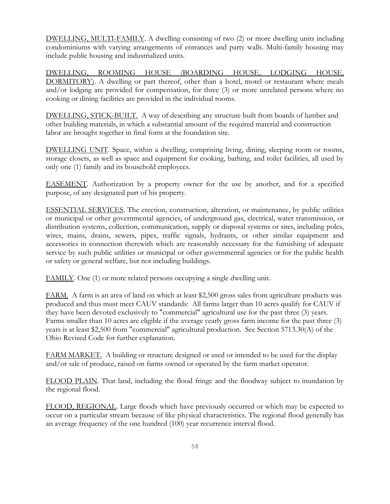DWELLING, MULTI-FAMILY. A dwelling consisting of two (2) or more dwelling units including condominiums with varying arrangements of entrances and party walls. Multi-family housing may include public housing and industrialized units.

DWELLING, ROOMING HOUSE (BOARDING HOUSE, LODGING HOUSE, DORMITORY). A dwelling or part thereof, other than a hotel, motel or restaurant where meals and/or lodging are provided for compensation, for three (3) or more unrelated persons where no cooking or dining facilities are provided in the individual rooms.

DWELLING, STICK-BUILT. A way of describing any structure built from boards of lumber and other building materials, in which a substantial amount of the required material and construction labor are brought together in final form at the foundation site.

DWELLING UNIT. Space, within a dwelling, comprising living, dining, sleeping room or rooms, storage closets, as well as space and equipment for cooking, bathing, and toilet facilities, all used by only one (1) family and its household employees.

EASEMENT. Authorization by a property owner for the use by another, and for a specified purpose, of any designated part of his property.

ESSENTIAL SERVICES. The erection, construction, alteration, or maintenance, by public utilities or municipal or other governmental agencies, of underground gas, electrical, water transmission, or distribution systems, collection, communication, supply or disposal systems or sites, including poles, wires, mains, drains, sewers, pipes, traffic signals, hydrants, or other similar equipment and accessories in connection therewith which are reasonably necessary for the furnishing of adequate service by such public utilities or municipal or other governmental agencies or for the public health or safety or general welfare, but not including buildings.

FAMILY. One (1) or more related persons occupying a single dwelling unit.

FARM. A farm is an area of land on which at least \$2,500 gross sales from agriculture products was produced and thus must meet CAUV standards: All farms larger than 10 acres qualify for CAUV if they have been devoted exclusively to "commercial" agricultural use for the past three (3) years. Farms smaller than 10 acres are eligible if the average yearly gross farm income for the past three (3) years is at least \$2,500 from "commercial" agricultural production. See Section 5713.30(A) of the Ohio Revised Code for further explanation.

FARM MARKET. A building or structure designed or used or intended to be used for the display and/or sale of produce, raised on farms owned or operated by the farm market operator.

FLOOD PLAIN. That land, including the flood fringe and the floodway subject to inundation by the regional flood.

FLOOD, REGIONAL. Large floods which have previously occurred or which may be expected to occur on a particular stream because of like physical characteristics. The regional flood generally has an average frequency of the one hundred (100) year recurrence interval flood.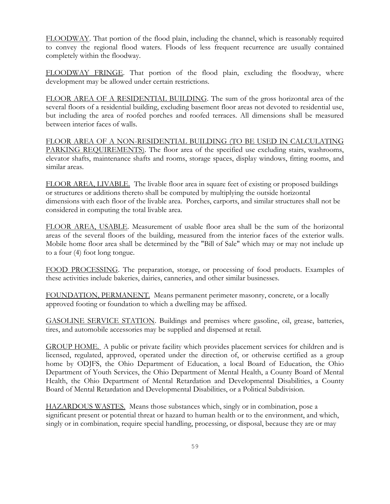FLOODWAY. That portion of the flood plain, including the channel, which is reasonably required to convey the regional flood waters. Floods of less frequent recurrence are usually contained completely within the floodway.

FLOODWAY FRINGE. That portion of the flood plain, excluding the floodway, where development may be allowed under certain restrictions.

FLOOR AREA OF A RESIDENTIAL BUILDING. The sum of the gross horizontal area of the several floors of a residential building, excluding basement floor areas not devoted to residential use, but including the area of roofed porches and roofed terraces. All dimensions shall be measured between interior faces of walls.

FLOOR AREA OF A NON-RESIDENTIAL BUILDING (TO BE USED IN CALCULATING PARKING REQUIREMENTS). The floor area of the specified use excluding stairs, washrooms, elevator shafts, maintenance shafts and rooms, storage spaces, display windows, fitting rooms, and similar areas.

FLOOR AREA, LIVABLE. The livable floor area in square feet of existing or proposed buildings or structures or additions thereto shall be computed by multiplying the outside horizontal dimensions with each floor of the livable area. Porches, carports, and similar structures shall not be considered in computing the total livable area.

FLOOR AREA, USABLE. Measurement of usable floor area shall be the sum of the horizontal areas of the several floors of the building, measured from the interior faces of the exterior walls. Mobile home floor area shall be determined by the "Bill of Sale" which may or may not include up to a four (4) foot long tongue.

FOOD PROCESSING. The preparation, storage, or processing of food products. Examples of these activities include bakeries, dairies, canneries, and other similar businesses.

FOUNDATION, PERMANENT. Means permanent perimeter masonry, concrete, or a locally approved footing or foundation to which a dwelling may be affixed.

GASOLINE SERVICE STATION. Buildings and premises where gasoline, oil, grease, batteries, tires, and automobile accessories may be supplied and dispensed at retail.

GROUP HOME. A public or private facility which provides placement services for children and is licensed, regulated, approved, operated under the direction of, or otherwise certified as a group home by ODJFS, the Ohio Department of Education, a local Board of Education, the Ohio Department of Youth Services, the Ohio Department of Mental Health, a County Board of Mental Health, the Ohio Department of Mental Retardation and Developmental Disabilities, a County Board of Mental Retardation and Developmental Disabilities, or a Political Subdivision.

HAZARDOUS WASTES. Means those substances which, singly or in combination, pose a significant present or potential threat or hazard to human health or to the environment, and which, singly or in combination, require special handling, processing, or disposal, because they are or may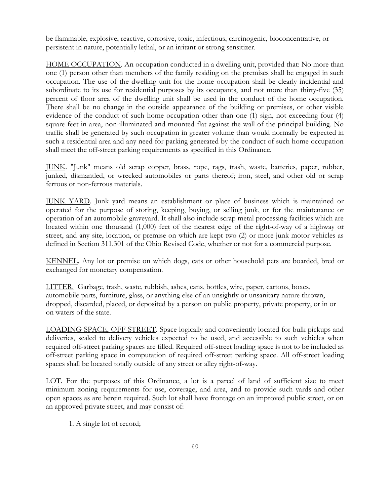be flammable, explosive, reactive, corrosive, toxic, infectious, carcinogenic, bioconcentrative, or persistent in nature, potentially lethal, or an irritant or strong sensitizer.

HOME OCCUPATION. An occupation conducted in a dwelling unit, provided that: No more than one (1) person other than members of the family residing on the premises shall be engaged in such occupation. The use of the dwelling unit for the home occupation shall be clearly incidential and subordinate to its use for residential purposes by its occupants, and not more than thirty-five (35) percent of floor area of the dwelling unit shall be used in the conduct of the home occupation. There shall be no change in the outside appearance of the building or premises, or other visible evidence of the conduct of such home occupation other than one (1) sign, not exceeding four (4) square feet in area, non-illuminated and mounted flat against the wall of the principal building. No traffic shall be generated by such occupation in greater volume than would normally be expected in such a residential area and any need for parking generated by the conduct of such home occupation shall meet the off-street parking requirements as specified in this Ordinance.

JUNK. "Junk" means old scrap copper, brass, rope, rags, trash, waste, batteries, paper, rubber, junked, dismantled, or wrecked automobiles or parts thereof; iron, steel, and other old or scrap ferrous or non-ferrous materials.

JUNK YARD. Junk yard means an establishment or place of business which is maintained or operated for the purpose of storing, keeping, buying, or selling junk, or for the maintenance or operation of an automobile graveyard. It shall also include scrap metal processing facilities which are located within one thousand (1,000) feet of the nearest edge of the right-of-way of a highway or street, and any site, location, or premise on which are kept two (2) or more junk motor vehicles as defined in Section 311.301 of the Ohio Revised Code, whether or not for a commercial purpose.

KENNEL. Any lot or premise on which dogs, cats or other household pets are boarded, bred or exchanged for monetary compensation.

LITTER. Garbage, trash, waste, rubbish, ashes, cans, bottles, wire, paper, cartons, boxes, automobile parts, furniture, glass, or anything else of an unsightly or unsanitary nature thrown, dropped, discarded, placed, or deposited by a person on public property, private property, or in or on waters of the state.

LOADING SPACE, OFF-STREET. Space logically and conveniently located for bulk pickups and deliveries, scaled to delivery vehicles expected to be used, and accessible to such vehicles when required off-street parking spaces are filled. Required off-street loading space is not to be included as off-street parking space in computation of required off-street parking space. All off-street loading spaces shall be located totally outside of any street or alley right-of-way.

LOT. For the purposes of this Ordinance, a lot is a parcel of land of sufficient size to meet minimum zoning requirements for use, coverage, and area, and to provide such yards and other open spaces as are herein required. Such lot shall have frontage on an improved public street, or on an approved private street, and may consist of:

1. A single lot of record;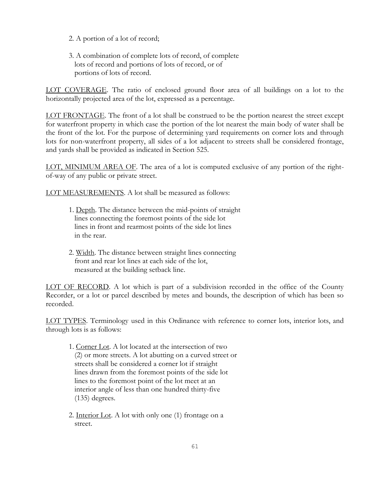- 2. A portion of a lot of record;
- 3. A combination of complete lots of record, of complete lots of record and portions of lots of record, or of portions of lots of record.

LOT COVERAGE. The ratio of enclosed ground floor area of all buildings on a lot to the horizontally projected area of the lot, expressed as a percentage.

LOT FRONTAGE. The front of a lot shall be construed to be the portion nearest the street except for waterfront property in which case the portion of the lot nearest the main body of water shall be the front of the lot. For the purpose of determining yard requirements on corner lots and through lots for non-waterfront property, all sides of a lot adjacent to streets shall be considered frontage, and yards shall be provided as indicated in Section 525.

LOT, MINIMUM AREA OF. The area of a lot is computed exclusive of any portion of the rightof-way of any public or private street.

LOT MEASUREMENTS. A lot shall be measured as follows:

- 1. Depth. The distance between the mid-points of straight lines connecting the foremost points of the side lot lines in front and rearmost points of the side lot lines in the rear.
- 2. Width. The distance between straight lines connecting front and rear lot lines at each side of the lot, measured at the building setback line.

LOT OF RECORD. A lot which is part of a subdivision recorded in the office of the County Recorder, or a lot or parcel described by metes and bounds, the description of which has been so recorded.

LOT TYPES. Terminology used in this Ordinance with reference to corner lots, interior lots, and through lots is as follows:

- 1. Corner Lot. A lot located at the intersection of two (2) or more streets. A lot abutting on a curved street or streets shall be considered a corner lot if straight lines drawn from the foremost points of the side lot lines to the foremost point of the lot meet at an interior angle of less than one hundred thirty-five (135) degrees.
- 2. Interior Lot. A lot with only one (1) frontage on a street.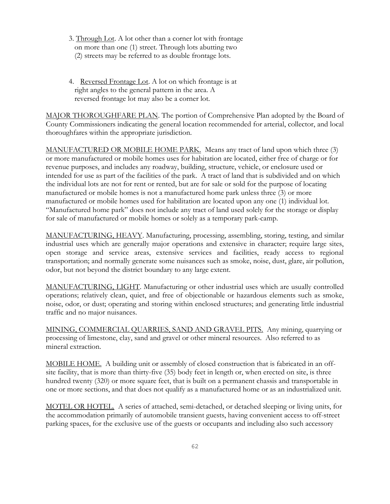- 3. Through Lot. A lot other than a corner lot with frontage on more than one (1) street. Through lots abutting two (2) streets may be referred to as double frontage lots.
- 4. Reversed Frontage Lot. A lot on which frontage is at right angles to the general pattern in the area. A reversed frontage lot may also be a corner lot.

MAJOR THOROUGHFARE PLAN. The portion of Comprehensive Plan adopted by the Board of County Commissioners indicating the general location recommended for arterial, collector, and local thoroughfares within the appropriate jurisdiction.

MANUFACTURED OR MOBILE HOME PARK. Means any tract of land upon which three (3) or more manufactured or mobile homes uses for habitation are located, either free of charge or for revenue purposes, and includes any roadway, building, structure, vehicle, or enclosure used or intended for use as part of the facilities of the park. A tract of land that is subdivided and on which the individual lots are not for rent or rented, but are for sale or sold for the purpose of locating manufactured or mobile homes is not a manufactured home park unless three (3) or more manufactured or mobile homes used for habilitation are located upon any one (1) individual lot. "Manufactured home park" does not include any tract of land used solely for the storage or display for sale of manufactured or mobile homes or solely as a temporary park-camp.

MANUFACTURING, HEAVY. Manufacturing, processing, assembling, storing, testing, and similar industrial uses which are generally major operations and extensive in character; require large sites, open storage and service areas, extensive services and facilities, ready access to regional transportation; and normally generate some nuisances such as smoke, noise, dust, glare, air pollution, odor, but not beyond the district boundary to any large extent.

MANUFACTURING, LIGHT. Manufacturing or other industrial uses which are usually controlled operations; relatively clean, quiet, and free of objectionable or hazardous elements such as smoke, noise, odor, or dust; operating and storing within enclosed structures; and generating little industrial traffic and no major nuisances.

MINING, COMMERCIAL QUARRIES, SAND AND GRAVEL PITS. Any mining, quarrying or processing of limestone, clay, sand and gravel or other mineral resources. Also referred to as mineral extraction.

MOBILE HOME. A building unit or assembly of closed construction that is fabricated in an offsite facility, that is more than thirty-five (35) body feet in length or, when erected on site, is three hundred twenty (320) or more square feet, that is built on a permanent chassis and transportable in one or more sections, and that does not qualify as a manufactured home or as an industrialized unit.

MOTEL OR HOTEL. A series of attached, semi-detached, or detached sleeping or living units, for the accommodation primarily of automobile transient guests, having convenient access to off-street parking spaces, for the exclusive use of the guests or occupants and including also such accessory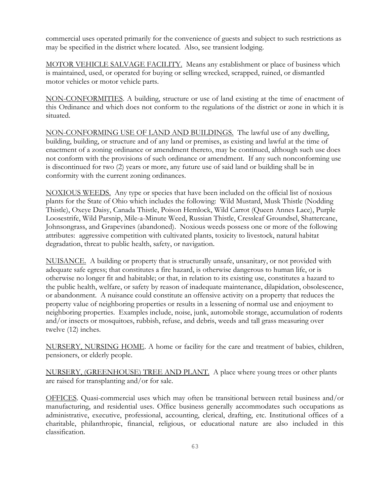commercial uses operated primarily for the convenience of guests and subject to such restrictions as may be specified in the district where located. Also, see transient lodging.

MOTOR VEHICLE SALVAGE FACILITY. Means any establishment or place of business which is maintained, used, or operated for buying or selling wrecked, scrapped, ruined, or dismantled motor vehicles or motor vehicle parts.

NON-CONFORMITIES. A building, structure or use of land existing at the time of enactment of this Ordinance and which does not conform to the regulations of the district or zone in which it is situated.

NON-CONFORMING USE OF LAND AND BUILDINGS. The lawful use of any dwelling, building, building, or structure and of any land or premises, as existing and lawful at the time of enactment of a zoning ordinance or amendment thereto, may be continued, although such use does not conform with the provisions of such ordinance or amendment. If any such nonconforming use is discontinued for two (2) years or more, any future use of said land or building shall be in conformity with the current zoning ordinances.

NOXIOUS WEEDS. Any type or species that have been included on the official list of noxious plants for the State of Ohio which includes the following: Wild Mustard, Musk Thistle (Nodding Thistle), Oxeye Daisy, Canada Thistle, Poison Hemlock, Wild Carrot (Queen Annes Lace), Purple Loosestrife, Wild Parsnip, Mile-a-Minute Weed, Russian Thistle, Cressleaf Groundsel, Shattercane, Johnsongrass, and Grapevines (abandoned). Noxious weeds possess one or more of the following attributes: aggressive competition with cultivated plants, toxicity to livestock, natural habitat degradation, threat to public health, safety, or navigation.

NUISANCE. A building or property that is structurally unsafe, unsanitary, or not provided with adequate safe egress; that constitutes a fire hazard, is otherwise dangerous to human life, or is otherwise no longer fit and habitable; or that, in relation to its existing use, constitutes a hazard to the public health, welfare, or safety by reason of inadequate maintenance, dilapidation, obsolescence, or abandonment. A nuisance could constitute an offensive activity on a property that reduces the property value of neighboring properties or results in a lessening of normal use and enjoyment to neighboring properties. Examples include, noise, junk, automobile storage, accumulation of rodents and/or insects or mosquitoes, rubbish, refuse, and debris, weeds and tall grass measuring over twelve (12) inches.

NURSERY, NURSING HOME. A home or facility for the care and treatment of babies, children, pensioners, or elderly people.

NURSERY, (GREENHOUSE) TREE AND PLANT. A place where young trees or other plants are raised for transplanting and/or for sale.

OFFICES. Quasi-commercial uses which may often be transitional between retail business and/or manufacturing, and residential uses. Office business generally accommodates such occupations as administrative, executive, professional, accounting, clerical, drafting, etc. Institutional offices of a charitable, philanthropic, financial, religious, or educational nature are also included in this classification.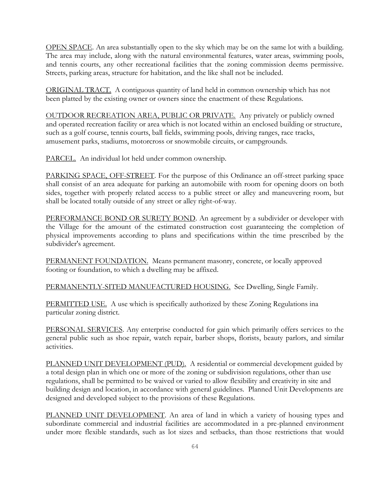OPEN SPACE. An area substantially open to the sky which may be on the same lot with a building. The area may include, along with the natural environmental features, water areas, swimming pools, and tennis courts, any other recreational facilities that the zoning commission deems permissive. Streets, parking areas, structure for habitation, and the like shall not be included.

ORIGINAL TRACT. A contiguous quantity of land held in common ownership which has not been platted by the existing owner or owners since the enactment of these Regulations.

OUTDOOR RECREATION AREA, PUBLIC OR PRIVATE. Any privately or publicly owned and operated recreation facility or area which is not located within an enclosed building or structure, such as a golf course, tennis courts, ball fields, swimming pools, driving ranges, race tracks, amusement parks, stadiums, motorcross or snowmobile circuits, or campgrounds.

PARCEL. An individual lot held under common ownership.

PARKING SPACE, OFF-STREET. For the purpose of this Ordinance an off-street parking space shall consist of an area adequate for parking an automobiile with room for opening doors on both sides, together with properly related access to a public street or alley and maneuvering room, but shall be located totally outside of any street or alley right-of-way.

PERFORMANCE BOND OR SURETY BOND. An agreement by a subdivider or developer with the Village for the amount of the estimated construction cost guaranteeing the completion of physical improvements according to plans and specifications within the time prescribed by the subdivider's agreement.

PERMANENT FOUNDATION. Means permanent masonry, concrete, or locally approved footing or foundation, to which a dwelling may be affixed.

PERMANENTLY-SITED MANUFACTURED HOUSING. See Dwelling, Single Family.

PERMITTED USE. A use which is specifically authorized by these Zoning Regulations ina particular zoning district.

PERSONAL SERVICES. Any enterprise conducted for gain which primarily offers services to the general public such as shoe repair, watch repair, barber shops, florists, beauty parlors, and similar activities.

PLANNED UNIT DEVELOPMENT (PUD). A residential or commercial development guided by a total design plan in which one or more of the zoning or subdivision regulations, other than use regulations, shall be permitted to be waived or varied to allow flexibility and creativity in site and building design and location, in accordance with general guidelines. Planned Unit Developments are designed and developed subject to the provisions of these Regulations.

PLANNED UNIT DEVELOPMENT. An area of land in which a variety of housing types and subordinate commercial and industrial facilities are accommodated in a pre-planned environment under more flexible standards, such as lot sizes and setbacks, than those restrictions that would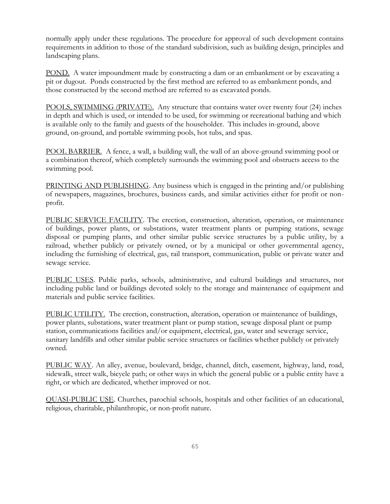normally apply under these regulations. The procedure for approval of such development contains requirements in addition to those of the standard subdivision, such as building design, principles and landscaping plans.

POND. A water impoundment made by constructing a dam or an embankment or by excavating a pit or dugout. Ponds constructed by the first method are referred to as embankment ponds, and those constructed by the second method are referred to as excavated ponds.

POOLS, SWIMMING (PRIVATE). Any structure that contains water over twenty four (24) inches in depth and which is used, or intended to be used, for swimming or recreational bathing and which is available only to the family and guests of the householder. This includes in-ground, above ground, on-ground, and portable swimming pools, hot tubs, and spas.

POOL BARRIER. A fence, a wall, a building wall, the wall of an above-ground swimming pool or a combination thereof, which completely surrounds the swimming pool and obstructs access to the swimming pool.

PRINTING AND PUBLISHING. Any business which is engaged in the printing and/or publishing of newspapers, magazines, brochures, business cards, and similar activities either for profit or nonprofit.

PUBLIC SERVICE FACILITY. The erection, construction, alteration, operation, or maintenance of buildings, power plants, or substations, water treatment plants or pumping stations, sewage disposal or pumping plants, and other similar public service structures by a public utility, by a railroad, whether publicly or privately owned, or by a municipal or other governmental agency, including the furnishing of electrical, gas, rail transport, communication, public or private water and sewage service.

PUBLIC USES. Public parks, schools, administrative, and cultural buildings and structures, not including public land or buildings devoted solely to the storage and maintenance of equipment and materials and public service facilities.

PUBLIC UTILITY. The erection, construction, alteration, operation or maintenance of buildings, power plants, substations, water treatment plant or pump station, sewage disposal plant or pump station, communications facilities and/or equipment, electrical, gas, water and sewerage service, sanitary landfills and other similar public service structures or facilities whether publicly or privately owned.

PUBLIC WAY. An alley, avenue, boulevard, bridge, channel, ditch, easement, highway, land, road, sidewalk, street walk, bicycle path; or other ways in which the general public or a public entity have a right, or which are dedicated, whether improved or not.

QUASI-PUBLIC USE. Churches, parochial schools, hospitals and other facilities of an educational, religious, charitable, philanthropic, or non-profit nature.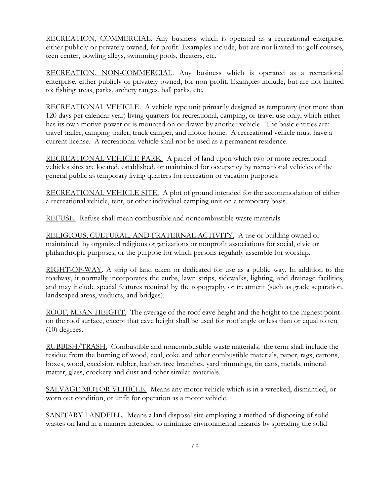RECREATION, COMMERCIAL. Any business which is operated as a recreational enterprise, either publicly or privately owned, for profit. Examples include, but are not limited to: golf courses, teen center, bowling alleys, swimming pools, theaters, etc.

RECREATION, NON-COMMERCIAL. Any business which is operated as a recreational enterprise, either publicly or privately owned, for non-profit. Examples include, but are not limited to: fishing areas, parks, archery ranges, ball parks, etc.

RECREATIONAL VEHICLE. A vehicle type unit primarily designed as temporary (not more than 120 days per calendar year) living quarters for recreational, camping, or travel use only, which either has its own motive power or is mounted on or drawn by another vehicle. The basic entities are: travel trailer, camping trailer, truck camper, and motor home. A recreational vehicle must have a current license. A recreational vehicle shall not be used as a permanent residence.

RECREATIONAL VEHICLE PARK. A parcel of land upon which two or more recreational vehicles sites are located, established, or maintained for occupancy by recreational vehicles of the general public as temporary living quarters for recreation or vacation purposes.

RECREATIONAL VEHICLE SITE. A plot of ground intended for the accommodation of either a recreational vehicle, tent, or other individual camping unit on a temporary basis.

REFUSE. Refuse shall mean combustible and noncombustible waste materials.

RELIGIOUS, CULTURAL, AND FRATERNAL ACTIVITY. A use or building owned or maintained by organized religious organizations or nonprofit associations for social, civic or philanthropic purposes, or the purpose for which persons regularly assemble for worship.

RIGHT-OF-WAY. A strip of land taken or dedicated for use as a public way. In addition to the roadway, it normally incorporates the curbs, lawn strips, sidewalks, lighting, and drainage facilities, and may include special features required by the topography or treatment (such as grade separation, landscaped areas, viaducts, and bridges).

ROOF, MEAN HEIGHT. The average of the roof eave height and the height to the highest point on the roof surface, except that eave height shall be used for roof angle or less than or equal to ten (10) degrees.

RUBBISH/TRASH. Combustible and noncombustible waste materials; the term shall include the residue from the burning of wood, coal, coke and other combustible materials, paper, rags, cartons, boxes, wood, excelsior, rubber, leather, tree branches, yard trimmings, tin cans, metals, mineral matter, glass, crockery and dust and other similar materials.

SALVAGE MOTOR VEHICLE. Means any motor vehicle which is in a wrecked, dismantled, or worn out condition, or unfit for operation as a motor vehicle.

SANITARY LANDFILL. Means a land disposal site employing a method of disposing of solid wastes on land in a manner intended to minimize environmental hazards by spreading the solid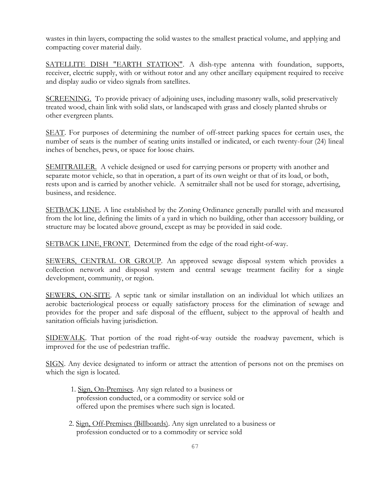wastes in thin layers, compacting the solid wastes to the smallest practical volume, and applying and compacting cover material daily.

SATELLITE DISH "EARTH STATION". A dish-type antenna with foundation, supports, receiver, electric supply, with or without rotor and any other ancillary equipment required to receive and display audio or video signals from satellites.

SCREENING. To provide privacy of adjoining uses, including masonry walls, solid preservatively treated wood, chain link with solid slats, or landscaped with grass and closely planted shrubs or other evergreen plants.

SEAT. For purposes of determining the number of off-street parking spaces for certain uses, the number of seats is the number of seating units installed or indicated, or each twenty-four (24) lineal inches of benches, pews, or space for loose chairs.

SEMITRAILER. A vehicle designed or used for carrying persons or property with another and separate motor vehicle, so that in operation, a part of its own weight or that of its load, or both, rests upon and is carried by another vehicle. A semitrailer shall not be used for storage, advertising, business, and residence.

SETBACK LINE. A line established by the Zoning Ordinance generally parallel with and measured from the lot line, defining the limits of a yard in which no building, other than accessory building, or structure may be located above ground, except as may be provided in said code.

SETBACK LINE, FRONT. Determined from the edge of the road right-of-way.

SEWERS, CENTRAL OR GROUP. An approved sewage disposal system which provides a collection network and disposal system and central sewage treatment facility for a single development, community, or region.

SEWERS, ON-SITE. A septic tank or similar installation on an individual lot which utilizes an aerobic bacteriological process or equally satisfactory process for the elimination of sewage and provides for the proper and safe disposal of the effluent, subject to the approval of health and sanitation officials having jurisdiction.

SIDEWALK. That portion of the road right-of-way outside the roadway pavement, which is improved for the use of pedestrian traffic.

SIGN. Any device designated to inform or attract the attention of persons not on the premises on which the sign is located.

- 1. Sign, On-Premises. Any sign related to a business or profession conducted, or a commodity or service sold or offered upon the premises where such sign is located.
- 2. Sign, Off-Premises (Billboards). Any sign unrelated to a business or profession conducted or to a commodity or service sold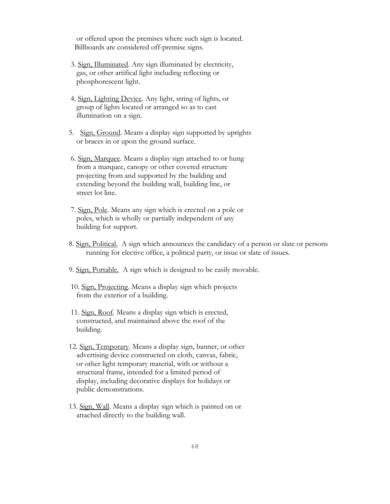or offered upon the premises where such sign is located. Billboards are considered off-premise signs.

- 3. Sign, Illuminated. Any sign illuminated by electricity, gas, or other artifical light including reflecting or phosphorescent light.
- 4. Sign, Lighting Device. Any light, string of lights, or group of lights located or arranged so as to cast illumination on a sign.
- 5. Sign, Ground. Means a display sign supported by uprights or braces in or upon the ground surface.
- 6. Sign, Marquee. Means a display sign attached to or hung from a marquee, canopy or other covered structure projecting from and supported by the building and extending beyond the building wall, building line, or street lot line.
- 7. Sign, Pole. Means any sign which is erected on a pole or poles, which is wholly or partially independent of any building for support.
- 8. Sign, Political. A sign which announces the candidacy of a person or slate or persons running for elective office, a political party, or issue or slate of issues.
- 9. Sign, Portable. A sign which is designed to be easily movable.
- 10. Sign, Projecting. Means a display sign which projects from the exterior of a building.
- 11. Sign, Roof. Means a display sign which is erected, constructed, and maintained above the roof of the building.
- 12. Sign, Temporary. Means a display sign, banner, or other advertising device constructed on cloth, canvas, fabric, or other light temporary material, with or without a structural frame, intended for a limited period of display, including decorative displays for holidays or public demonstrations.
- 13. Sign, Wall. Means a display sign which is painted on or attached directly to the building wall.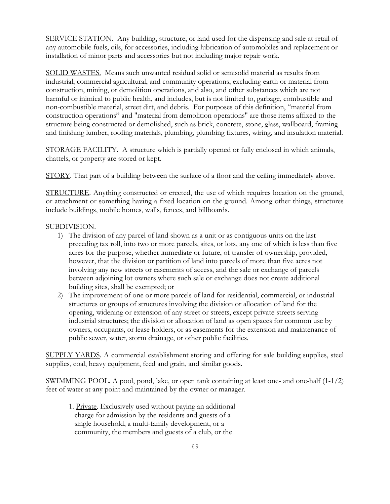SERVICE STATION. Any building, structure, or land used for the dispensing and sale at retail of any automobile fuels, oils, for accessories, including lubrication of automobiles and replacement or installation of minor parts and accessories but not including major repair work.

SOLID WASTES. Means such unwanted residual solid or semisolid material as results from industrial, commercial agricultural, and community operations, excluding earth or material from construction, mining, or demolition operations, and also, and other substances which are not harmful or inimical to public health, and includes, but is not limited to, garbage, combustible and non-combustible material, street dirt, and debris. For purposes of this definition, "material from construction operations" and "material from demolition operations" are those items affixed to the structure being constructed or demolished, such as brick, concrete, stone, glass, wallboard, framing and finishing lumber, roofing materials, plumbing, plumbing fixtures, wiring, and insulation material.

STORAGE FACILITY. A structure which is partially opened or fully enclosed in which animals, chattels, or property are stored or kept.

STORY. That part of a building between the surface of a floor and the ceiling immediately above.

STRUCTURE. Anything constructed or erected, the use of which requires location on the ground, or attachment or something having a fixed location on the ground. Among other things, structures include buildings, mobile homes, walls, fences, and billboards.

## SUBDIVISION.

- 1) The division of any parcel of land shown as a unit or as contiguous units on the last preceding tax roll, into two or more parcels, sites, or lots, any one of which is less than five acres for the purpose, whether immediate or future, of transfer of ownership, provided, however, that the division or partition of land into parcels of more than five acres not involving any new streets or easements of access, and the sale or exchange of parcels between adjoining lot owners where such sale or exchange does not create additional building sites, shall be exempted; or
- 2) The improvement of one or more parcels of land for residential, commercial, or industrial structures or groups of structures involving the division or allocation of land for the opening, widening or extension of any street or streets, except private streets serving industrial structures; the division or allocation of land as open spaces for common use by owners, occupants, or lease holders, or as easements for the extension and maintenance of public sewer, water, storm drainage, or other public facilities.

SUPPLY YARDS. A commercial establishment storing and offering for sale building supplies, steel supplies, coal, heavy equipment, feed and grain, and similar goods.

SWIMMING POOL. A pool, pond, lake, or open tank containing at least one- and one-half (1-1/2) feet of water at any point and maintained by the owner or manager.

1. Private. Exclusively used without paying an additional charge for admission by the residents and guests of a single household, a multi-family development, or a community, the members and guests of a club, or the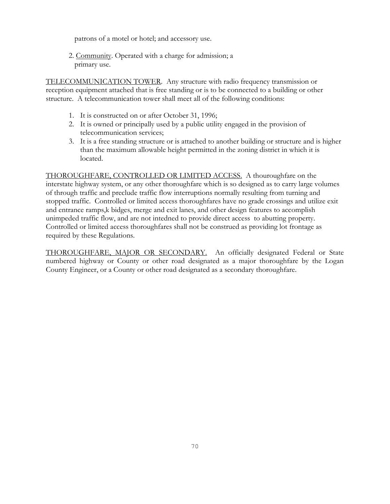patrons of a motel or hotel; and accessory use.

2. Community. Operated with a charge for admission; a primary use.

TELECOMMUNICATION TOWER. Any structure with radio frequency transmission or reception equipment attached that is free standing or is to be connected to a building or other structure. A telecommunication tower shall meet all of the following conditions:

- 1. It is constructed on or after October 31, 1996;
- 2. It is owned or principally used by a public utility engaged in the provision of telecommunication services;
- 3. It is a free standing structure or is attached to another building or structure and is higher than the maximum allowable height permitted in the zoning district in which it is located.

THOROUGHFARE, CONTROLLED OR LIMITED ACCESS. A thouroughfare on the interstate highway system, or any other thoroughfare which is so designed as to carry large volumes of through traffic and preclude traffic flow interruptions normally resulting from turning and stopped traffic. Controlled or limited access thoroughfares have no grade crossings and utilize exit and entrance ramps,k bidges, merge and exit lanes, and other design features to accomplish unimpeded traffic flow, and are not intedned to provide direct access to abutting property. Controlled or limited access thoroughfares shall not be construed as providing lot frontage as required by these Regulations.

THOROUGHFARE, MAJOR OR SECONDARY. An officially designated Federal or State numbered highway or County or other road designated as a major thoroughfare by the Logan County Engineer, or a County or other road designated as a secondary thoroughfare.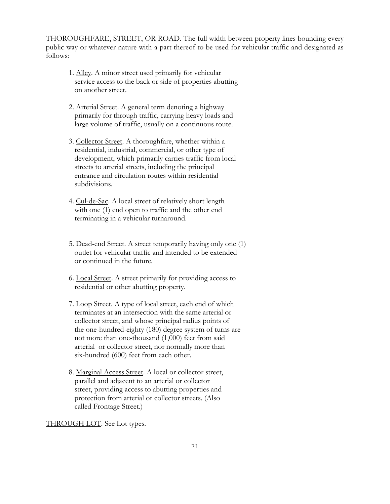THOROUGHFARE, STREET, OR ROAD. The full width between property lines bounding every public way or whatever nature with a part thereof to be used for vehicular traffic and designated as follows:

- 1. Alley. A minor street used primarily for vehicular service access to the back or side of properties abutting on another street.
- 2. Arterial Street. A general term denoting a highway primarily for through traffic, carrying heavy loads and large volume of traffic, usually on a continuous route.
- 3. Collector Street. A thoroughfare, whether within a residential, industrial, commercial, or other type of development, which primarily carries traffic from local streets to arterial streets, including the principal entrance and circulation routes within residential subdivisions.
- 4. Cul-de-Sac. A local street of relatively short length with one (1) end open to traffic and the other end terminating in a vehicular turnaround.
- 5. Dead-end Street. A street temporarily having only one (1) outlet for vehicular traffic and intended to be extended or continued in the future.
- 6. Local Street. A street primarily for providing access to residential or other abutting property.
- 7. Loop Street. A type of local street, each end of which terminates at an intersection with the same arterial or collector street, and whose principal radius points of the one-hundred-eighty (180) degree system of turns are not more than one-thousand (1,000) feet from said arterial or collector street, nor normally more than six-hundred (600) feet from each other.
- 8. Marginal Access Street. A local or collector street, parallel and adjacent to an arterial or collector street, providing access to abutting properties and protection from arterial or collector streets. (Also called Frontage Street.)

THROUGH LOT. See Lot types.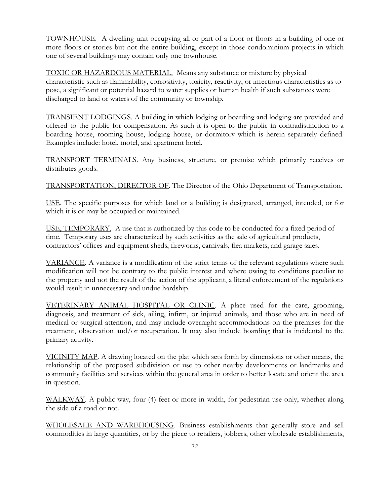TOWNHOUSE. A dwelling unit occupying all or part of a floor or floors in a building of one or more floors or stories but not the entire building, except in those condominium projects in which one of several buildings may contain only one townhouse.

TOXIC OR HAZARDOUS MATERIAL. Means any substance or mixture by physical characteristic such as flammability, corrositivity, toxicity, reactivity, or infectious characteristics as to pose, a significant or potential hazard to water supplies or human health if such substances were discharged to land or waters of the community or township.

TRANSIENT LODGINGS. A building in which lodging or boarding and lodging are provided and offered to the public for compensation. As such it is open to the public in contradistinction to a boarding house, rooming house, lodging house, or dormitory which is herein separately defined. Examples include: hotel, motel, and apartment hotel.

TRANSPORT TERMINALS. Any business, structure, or premise which primarily receives or distributes goods.

TRANSPORTATION, DIRECTOR OF. The Director of the Ohio Department of Transportation.

USE. The specific purposes for which land or a building is designated, arranged, intended, or for which it is or may be occupied or maintained.

USE, TEMPORARY. A use that is authorized by this code to be conducted for a fixed period of time. Temporary uses are characterized by such activities as the sale of agricultural products, contractors' offices and equipment sheds, fireworks, carnivals, flea markets, and garage sales.

VARIANCE. A variance is a modification of the strict terms of the relevant regulations where such modification will not be contrary to the public interest and where owing to conditions peculiar to the property and not the result of the action of the applicant, a literal enforcement of the regulations would result in unnecessary and undue hardship.

VETERINARY ANIMAL HOSPITAL OR CLINIC. A place used for the care, grooming, diagnosis, and treatment of sick, ailing, infirm, or injured animals, and those who are in need of medical or surgical attention, and may include overnight accommodations on the premises for the treatment, observation and/or recuperation. It may also include boarding that is incidental to the primary activity.

VICINITY MAP. A drawing located on the plat which sets forth by dimensions or other means, the relationship of the proposed subdivision or use to other nearby developments or landmarks and community facilities and services within the general area in order to better locate and orient the area in question.

WALKWAY. A public way, four (4) feet or more in width, for pedestrian use only, whether along the side of a road or not.

WHOLESALE AND WAREHOUSING. Business establishments that generally store and sell commodities in large quantities, or by the piece to retailers, jobbers, other wholesale establishments,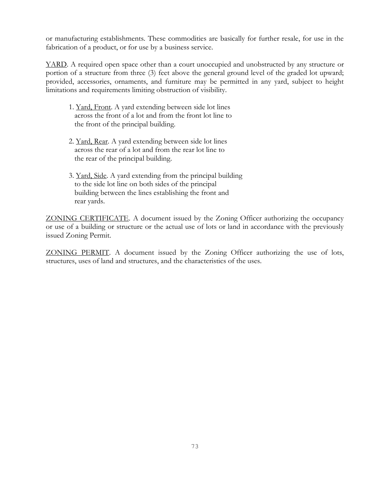or manufacturing establishments. These commodities are basically for further resale, for use in the fabrication of a product, or for use by a business service.

YARD. A required open space other than a court unoccupied and unobstructed by any structure or portion of a structure from three (3) feet above the general ground level of the graded lot upward; provided, accessories, ornaments, and furniture may be permitted in any yard, subject to height limitations and requirements limiting obstruction of visibility.

- 1. Yard, Front. A yard extending between side lot lines across the front of a lot and from the front lot line to the front of the principal building.
- 2. Yard, Rear. A yard extending between side lot lines across the rear of a lot and from the rear lot line to the rear of the principal building.
- 3. Yard, Side. A yard extending from the principal building to the side lot line on both sides of the principal building between the lines establishing the front and rear yards.

ZONING CERTIFICATE. A document issued by the Zoning Officer authorizing the occupancy or use of a building or structure or the actual use of lots or land in accordance with the previously issued Zoning Permit.

ZONING PERMIT. A document issued by the Zoning Officer authorizing the use of lots, structures, uses of land and structures, and the characteristics of the uses.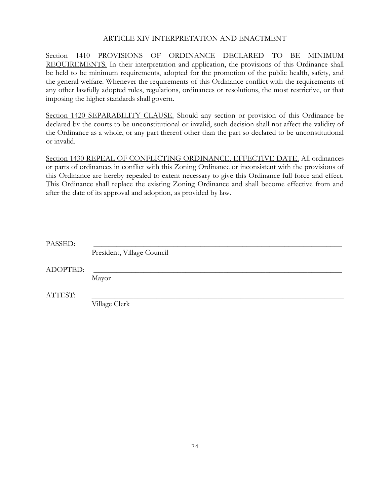## ARTICLE XIV INTERPRETATION AND ENACTMENT

Section 1410 PROVISIONS OF ORDINANCE DECLARED TO BE MINIMUM REQUIREMENTS. In their interpretation and application, the provisions of this Ordinance shall be held to be minimum requirements, adopted for the promotion of the public health, safety, and the general welfare. Whenever the requirements of this Ordinance conflict with the requirements of any other lawfully adopted rules, regulations, ordinances or resolutions, the most restrictive, or that imposing the higher standards shall govern.

Section 1420 SEPARABILITY CLAUSE. Should any section or provision of this Ordinance be declared by the courts to be unconstitutional or invalid, such decision shall not affect the validity of the Ordinance as a whole, or any part thereof other than the part so declared to be unconstitutional or invalid.

Section 1430 REPEAL OF CONFLICTING ORDINANCE, EFFECTIVE DATE. All ordinances or parts of ordinances in conflict with this Zoning Ordinance or inconsistent with the provisions of this Ordinance are hereby repealed to extent necessary to give this Ordinance full force and effect. This Ordinance shall replace the existing Zoning Ordinance and shall become effective from and after the date of its approval and adoption, as provided by law.

| PASSED:  |                            |
|----------|----------------------------|
|          | President, Village Council |
| ADOPTED: |                            |
|          | Mayor                      |
| ATTEST:  |                            |
|          | Village Clerk              |